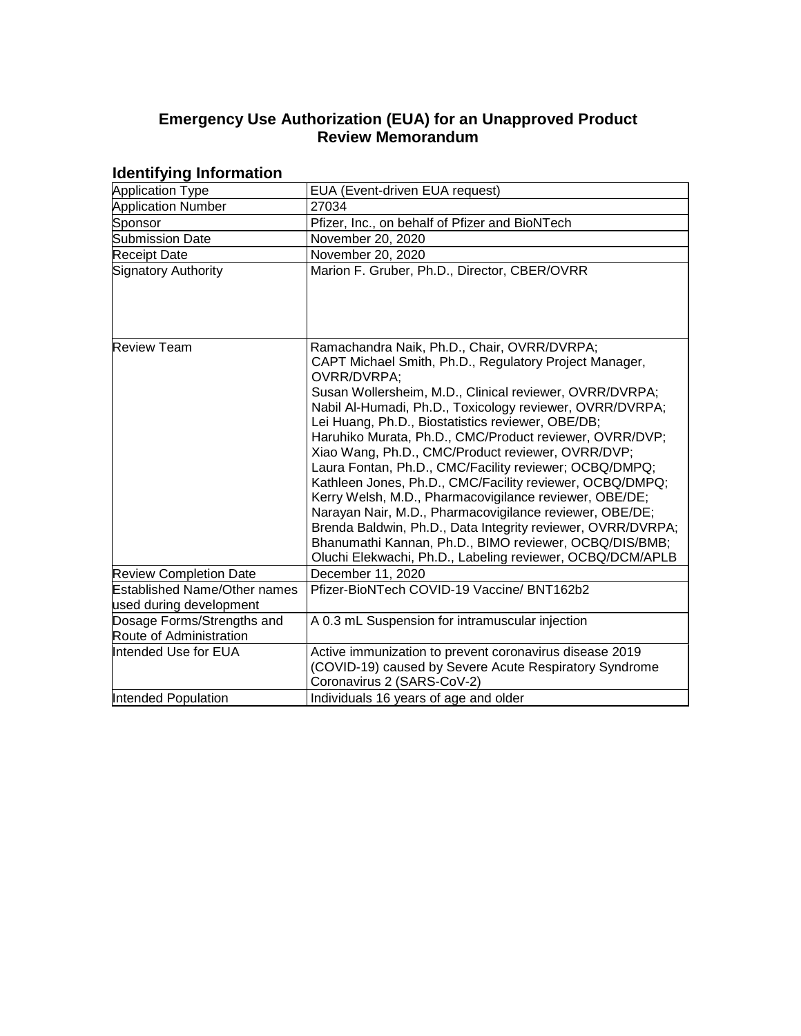# **Emergency Use Authorization (EUA) for an Unapproved Product Review Memorandum**

| .                                                     |                                                                                                                                                                                                                                                                                                                                                                                                                                                                                                                                                                                                                                                                                                                                                                                                                                                   |  |  |
|-------------------------------------------------------|---------------------------------------------------------------------------------------------------------------------------------------------------------------------------------------------------------------------------------------------------------------------------------------------------------------------------------------------------------------------------------------------------------------------------------------------------------------------------------------------------------------------------------------------------------------------------------------------------------------------------------------------------------------------------------------------------------------------------------------------------------------------------------------------------------------------------------------------------|--|--|
| <b>Application Type</b>                               | EUA (Event-driven EUA request)                                                                                                                                                                                                                                                                                                                                                                                                                                                                                                                                                                                                                                                                                                                                                                                                                    |  |  |
| <b>Application Number</b>                             | 27034                                                                                                                                                                                                                                                                                                                                                                                                                                                                                                                                                                                                                                                                                                                                                                                                                                             |  |  |
| Sponsor                                               | Pfizer, Inc., on behalf of Pfizer and BioNTech                                                                                                                                                                                                                                                                                                                                                                                                                                                                                                                                                                                                                                                                                                                                                                                                    |  |  |
| Submission Date                                       | November 20, 2020                                                                                                                                                                                                                                                                                                                                                                                                                                                                                                                                                                                                                                                                                                                                                                                                                                 |  |  |
| <b>Receipt Date</b>                                   | November 20, 2020                                                                                                                                                                                                                                                                                                                                                                                                                                                                                                                                                                                                                                                                                                                                                                                                                                 |  |  |
| Signatory Authority                                   | Marion F. Gruber, Ph.D., Director, CBER/OVRR                                                                                                                                                                                                                                                                                                                                                                                                                                                                                                                                                                                                                                                                                                                                                                                                      |  |  |
|                                                       |                                                                                                                                                                                                                                                                                                                                                                                                                                                                                                                                                                                                                                                                                                                                                                                                                                                   |  |  |
| <b>Review Team</b>                                    | Ramachandra Naik, Ph.D., Chair, OVRR/DVRPA;<br>CAPT Michael Smith, Ph.D., Regulatory Project Manager,<br>OVRR/DVRPA;<br>Susan Wollersheim, M.D., Clinical reviewer, OVRR/DVRPA;<br>Nabil Al-Humadi, Ph.D., Toxicology reviewer, OVRR/DVRPA;<br>Lei Huang, Ph.D., Biostatistics reviewer, OBE/DB;<br>Haruhiko Murata, Ph.D., CMC/Product reviewer, OVRR/DVP;<br>Xiao Wang, Ph.D., CMC/Product reviewer, OVRR/DVP;<br>Laura Fontan, Ph.D., CMC/Facility reviewer; OCBQ/DMPQ;<br>Kathleen Jones, Ph.D., CMC/Facility reviewer, OCBQ/DMPQ;<br>Kerry Welsh, M.D., Pharmacovigilance reviewer, OBE/DE;<br>Narayan Nair, M.D., Pharmacovigilance reviewer, OBE/DE;<br>Brenda Baldwin, Ph.D., Data Integrity reviewer, OVRR/DVRPA;<br>Bhanumathi Kannan, Ph.D., BIMO reviewer, OCBQ/DIS/BMB;<br>Oluchi Elekwachi, Ph.D., Labeling reviewer, OCBQ/DCM/APLB |  |  |
| <b>Review Completion Date</b>                         | December 11, 2020                                                                                                                                                                                                                                                                                                                                                                                                                                                                                                                                                                                                                                                                                                                                                                                                                                 |  |  |
| <b>Established Name/Other names</b>                   | Pfizer-BioNTech COVID-19 Vaccine/ BNT162b2                                                                                                                                                                                                                                                                                                                                                                                                                                                                                                                                                                                                                                                                                                                                                                                                        |  |  |
| used during development                               |                                                                                                                                                                                                                                                                                                                                                                                                                                                                                                                                                                                                                                                                                                                                                                                                                                                   |  |  |
| Dosage Forms/Strengths and<br>Route of Administration | A 0.3 mL Suspension for intramuscular injection                                                                                                                                                                                                                                                                                                                                                                                                                                                                                                                                                                                                                                                                                                                                                                                                   |  |  |
| Intended Use for EUA                                  | Active immunization to prevent coronavirus disease 2019<br>(COVID-19) caused by Severe Acute Respiratory Syndrome<br>Coronavirus 2 (SARS-CoV-2)                                                                                                                                                                                                                                                                                                                                                                                                                                                                                                                                                                                                                                                                                                   |  |  |
| Intended Population                                   | Individuals 16 years of age and older                                                                                                                                                                                                                                                                                                                                                                                                                                                                                                                                                                                                                                                                                                                                                                                                             |  |  |

### **Identifying Information**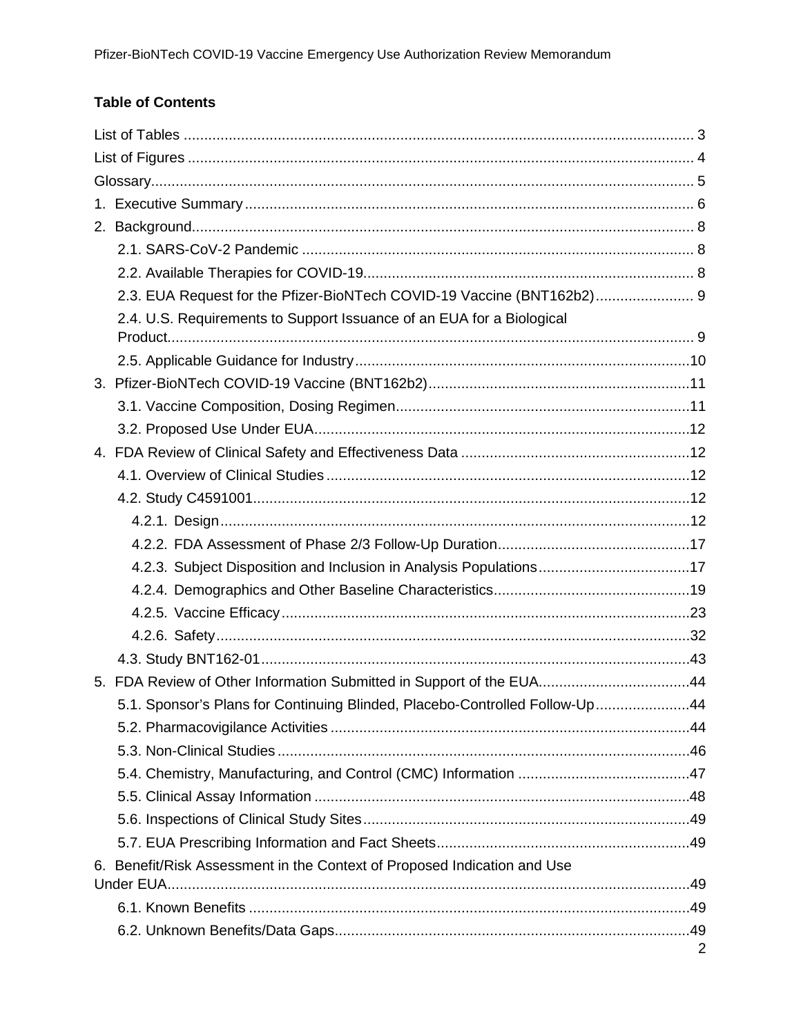# **Table of Contents**

| 2.3. EUA Request for the Pfizer-BioNTech COVID-19 Vaccine (BNT162b2) 9      |   |
|-----------------------------------------------------------------------------|---|
| 2.4. U.S. Requirements to Support Issuance of an EUA for a Biological       |   |
|                                                                             |   |
|                                                                             |   |
|                                                                             |   |
|                                                                             |   |
|                                                                             |   |
|                                                                             |   |
|                                                                             |   |
|                                                                             |   |
|                                                                             |   |
|                                                                             |   |
| 4.2.3. Subject Disposition and Inclusion in Analysis Populations17          |   |
|                                                                             |   |
|                                                                             |   |
|                                                                             |   |
|                                                                             |   |
| 5. FDA Review of Other Information Submitted in Support of the EUA44        |   |
| 5.1. Sponsor's Plans for Continuing Blinded, Placebo-Controlled Follow-Up44 |   |
|                                                                             |   |
|                                                                             |   |
|                                                                             |   |
|                                                                             |   |
|                                                                             |   |
|                                                                             |   |
| 6. Benefit/Risk Assessment in the Context of Proposed Indication and Use    |   |
|                                                                             |   |
|                                                                             |   |
|                                                                             | 2 |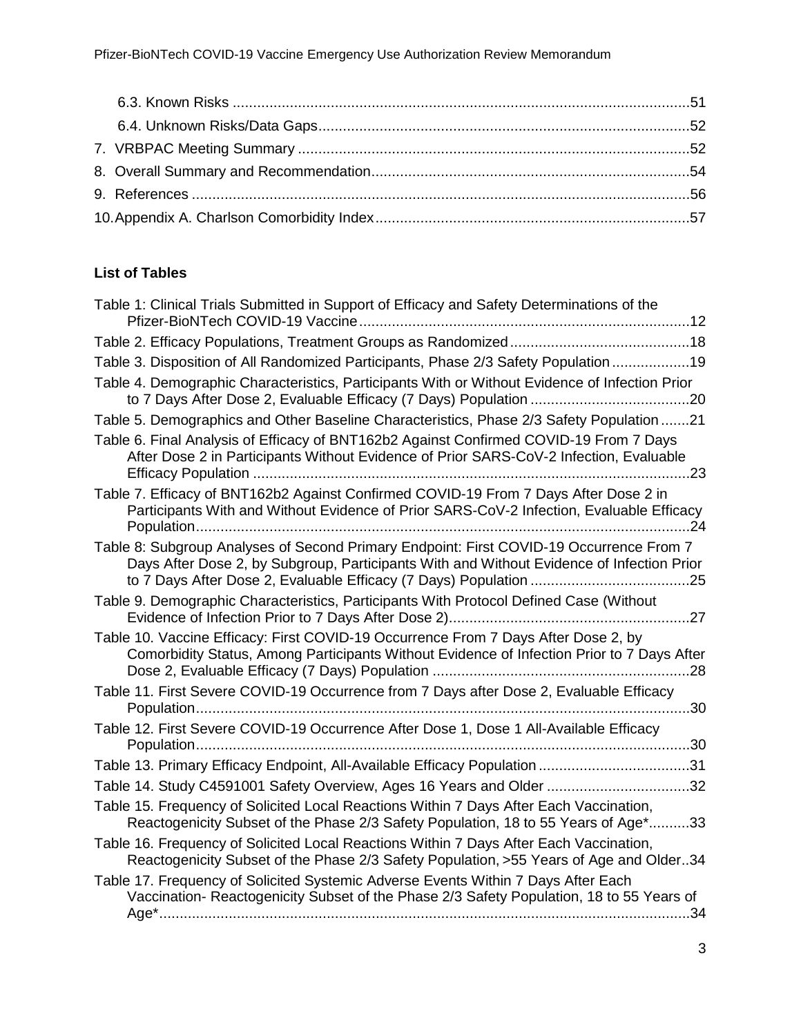# <span id="page-2-0"></span>**List of Tables**

| Table 1: Clinical Trials Submitted in Support of Efficacy and Safety Determinations of the                                                                                           |
|--------------------------------------------------------------------------------------------------------------------------------------------------------------------------------------|
|                                                                                                                                                                                      |
| Table 3. Disposition of All Randomized Participants, Phase 2/3 Safety Population 19                                                                                                  |
| Table 4. Demographic Characteristics, Participants With or Without Evidence of Infection Prior                                                                                       |
| Table 5. Demographics and Other Baseline Characteristics, Phase 2/3 Safety Population 21                                                                                             |
| Table 6. Final Analysis of Efficacy of BNT162b2 Against Confirmed COVID-19 From 7 Days<br>After Dose 2 in Participants Without Evidence of Prior SARS-CoV-2 Infection, Evaluable     |
| Table 7. Efficacy of BNT162b2 Against Confirmed COVID-19 From 7 Days After Dose 2 in<br>Participants With and Without Evidence of Prior SARS-CoV-2 Infection, Evaluable Efficacy     |
| Table 8: Subgroup Analyses of Second Primary Endpoint: First COVID-19 Occurrence From 7<br>Days After Dose 2, by Subgroup, Participants With and Without Evidence of Infection Prior |
| Table 9. Demographic Characteristics, Participants With Protocol Defined Case (Without                                                                                               |
| Table 10. Vaccine Efficacy: First COVID-19 Occurrence From 7 Days After Dose 2, by<br>Comorbidity Status, Among Participants Without Evidence of Infection Prior to 7 Days After     |
| Table 11. First Severe COVID-19 Occurrence from 7 Days after Dose 2, Evaluable Efficacy                                                                                              |
| Table 12. First Severe COVID-19 Occurrence After Dose 1, Dose 1 All-Available Efficacy                                                                                               |
| Table 13. Primary Efficacy Endpoint, All-Available Efficacy Population 31                                                                                                            |
| Table 14. Study C4591001 Safety Overview, Ages 16 Years and Older 32                                                                                                                 |
| Table 15. Frequency of Solicited Local Reactions Within 7 Days After Each Vaccination,<br>Reactogenicity Subset of the Phase 2/3 Safety Population, 18 to 55 Years of Age*33         |
| Table 16. Frequency of Solicited Local Reactions Within 7 Days After Each Vaccination,<br>Reactogenicity Subset of the Phase 2/3 Safety Population, >55 Years of Age and Older34     |
| Table 17. Frequency of Solicited Systemic Adverse Events Within 7 Days After Each<br>Vaccination- Reactogenicity Subset of the Phase 2/3 Safety Population, 18 to 55 Years of        |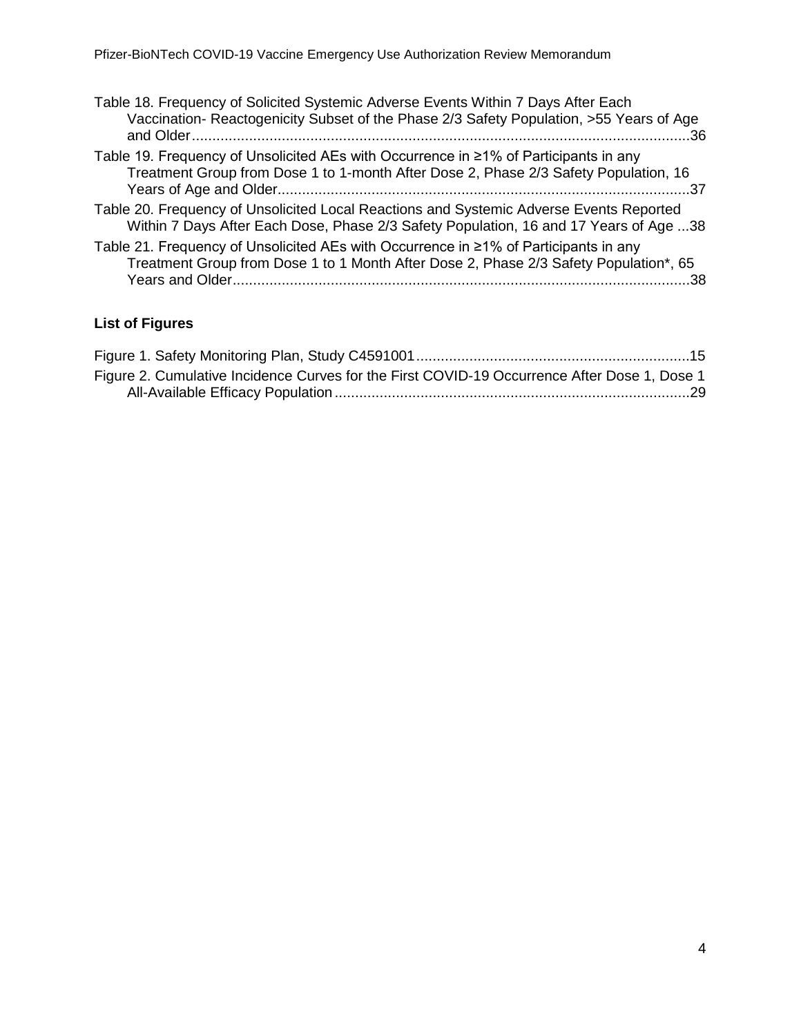| Table 18. Frequency of Solicited Systemic Adverse Events Within 7 Days After Each<br>Vaccination-Reactogenicity Subset of the Phase 2/3 Safety Population, >55 Years of Age<br>….36  |
|--------------------------------------------------------------------------------------------------------------------------------------------------------------------------------------|
| Table 19. Frequency of Unsolicited AEs with Occurrence in ≥1% of Participants in any<br>Treatment Group from Dose 1 to 1-month After Dose 2, Phase 2/3 Safety Population, 16         |
| Table 20. Frequency of Unsolicited Local Reactions and Systemic Adverse Events Reported<br>Within 7 Days After Each Dose, Phase 2/3 Safety Population, 16 and 17 Years of Age 38     |
| Table 21. Frequency of Unsolicited AEs with Occurrence in ≥1% of Participants in any<br>Treatment Group from Dose 1 to 1 Month After Dose 2, Phase 2/3 Safety Population*, 65<br>.38 |

# <span id="page-3-0"></span>**List of Figures**

| Figure 2. Cumulative Incidence Curves for the First COVID-19 Occurrence After Dose 1, Dose 1 |  |
|----------------------------------------------------------------------------------------------|--|
|                                                                                              |  |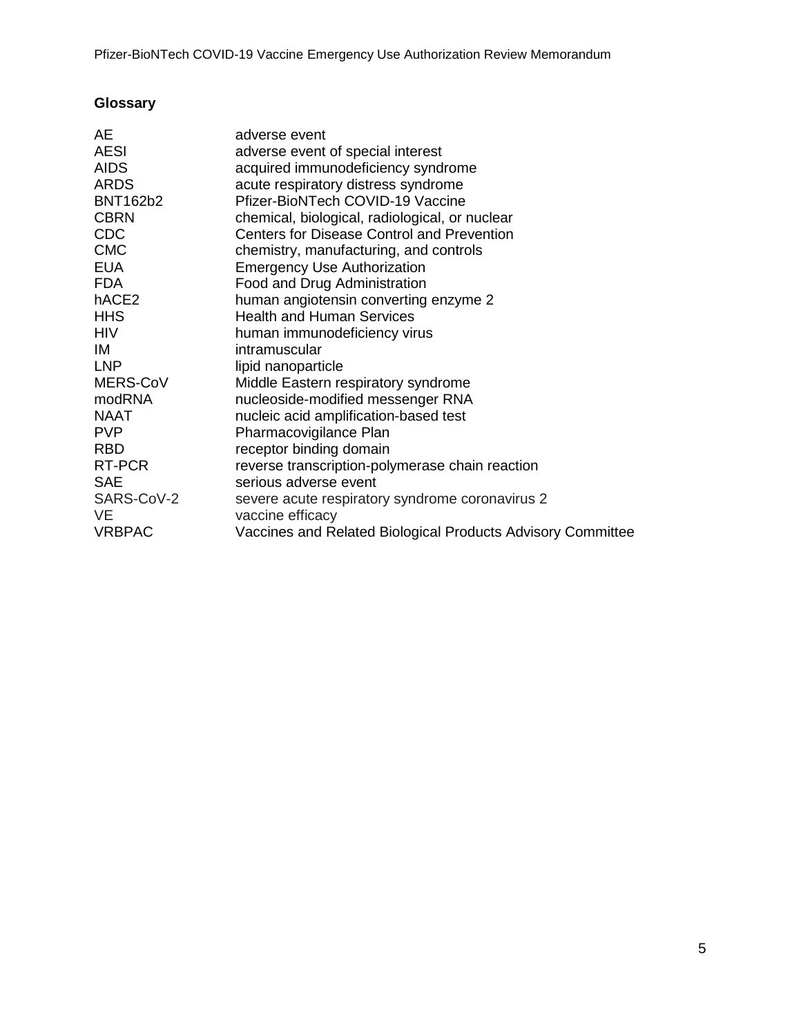# <span id="page-4-0"></span>**Glossary**

| <b>AESI</b><br>adverse event of special interest<br>AIDS<br>acquired immunodeficiency syndrome<br><b>ARDS</b><br>acute respiratory distress syndrome<br><b>BNT162b2</b><br>Pfizer-BioNTech COVID-19 Vaccine<br><b>CBRN</b><br>chemical, biological, radiological, or nuclear<br><b>CDC</b><br><b>Centers for Disease Control and Prevention</b><br><b>CMC</b><br>chemistry, manufacturing, and controls<br><b>EUA</b><br><b>Emergency Use Authorization</b><br><b>FDA</b><br>Food and Drug Administration<br>hACE2<br>human angiotensin converting enzyme 2<br><b>HHS</b><br><b>Health and Human Services</b><br>HIV<br>human immunodeficiency virus<br>ΙM<br>intramuscular<br><b>LNP</b><br>lipid nanoparticle<br>MERS-CoV<br>Middle Eastern respiratory syndrome<br>modRNA<br>nucleoside-modified messenger RNA<br>NAAT<br>nucleic acid amplification-based test<br><b>PVP</b><br>Pharmacovigilance Plan<br><b>RBD</b><br>receptor binding domain<br>RT-PCR<br>reverse transcription-polymerase chain reaction<br><b>SAE</b><br>serious adverse event<br>SARS-CoV-2<br>severe acute respiratory syndrome coronavirus 2<br>VE<br>vaccine efficacy<br><b>VRBPAC</b><br>Vaccines and Related Biological Products Advisory Committee | AЕ | adverse event |
|------------------------------------------------------------------------------------------------------------------------------------------------------------------------------------------------------------------------------------------------------------------------------------------------------------------------------------------------------------------------------------------------------------------------------------------------------------------------------------------------------------------------------------------------------------------------------------------------------------------------------------------------------------------------------------------------------------------------------------------------------------------------------------------------------------------------------------------------------------------------------------------------------------------------------------------------------------------------------------------------------------------------------------------------------------------------------------------------------------------------------------------------------------------------------------------------------------------------------------|----|---------------|
|                                                                                                                                                                                                                                                                                                                                                                                                                                                                                                                                                                                                                                                                                                                                                                                                                                                                                                                                                                                                                                                                                                                                                                                                                                    |    |               |
|                                                                                                                                                                                                                                                                                                                                                                                                                                                                                                                                                                                                                                                                                                                                                                                                                                                                                                                                                                                                                                                                                                                                                                                                                                    |    |               |
|                                                                                                                                                                                                                                                                                                                                                                                                                                                                                                                                                                                                                                                                                                                                                                                                                                                                                                                                                                                                                                                                                                                                                                                                                                    |    |               |
|                                                                                                                                                                                                                                                                                                                                                                                                                                                                                                                                                                                                                                                                                                                                                                                                                                                                                                                                                                                                                                                                                                                                                                                                                                    |    |               |
|                                                                                                                                                                                                                                                                                                                                                                                                                                                                                                                                                                                                                                                                                                                                                                                                                                                                                                                                                                                                                                                                                                                                                                                                                                    |    |               |
|                                                                                                                                                                                                                                                                                                                                                                                                                                                                                                                                                                                                                                                                                                                                                                                                                                                                                                                                                                                                                                                                                                                                                                                                                                    |    |               |
|                                                                                                                                                                                                                                                                                                                                                                                                                                                                                                                                                                                                                                                                                                                                                                                                                                                                                                                                                                                                                                                                                                                                                                                                                                    |    |               |
|                                                                                                                                                                                                                                                                                                                                                                                                                                                                                                                                                                                                                                                                                                                                                                                                                                                                                                                                                                                                                                                                                                                                                                                                                                    |    |               |
|                                                                                                                                                                                                                                                                                                                                                                                                                                                                                                                                                                                                                                                                                                                                                                                                                                                                                                                                                                                                                                                                                                                                                                                                                                    |    |               |
|                                                                                                                                                                                                                                                                                                                                                                                                                                                                                                                                                                                                                                                                                                                                                                                                                                                                                                                                                                                                                                                                                                                                                                                                                                    |    |               |
|                                                                                                                                                                                                                                                                                                                                                                                                                                                                                                                                                                                                                                                                                                                                                                                                                                                                                                                                                                                                                                                                                                                                                                                                                                    |    |               |
|                                                                                                                                                                                                                                                                                                                                                                                                                                                                                                                                                                                                                                                                                                                                                                                                                                                                                                                                                                                                                                                                                                                                                                                                                                    |    |               |
|                                                                                                                                                                                                                                                                                                                                                                                                                                                                                                                                                                                                                                                                                                                                                                                                                                                                                                                                                                                                                                                                                                                                                                                                                                    |    |               |
|                                                                                                                                                                                                                                                                                                                                                                                                                                                                                                                                                                                                                                                                                                                                                                                                                                                                                                                                                                                                                                                                                                                                                                                                                                    |    |               |
|                                                                                                                                                                                                                                                                                                                                                                                                                                                                                                                                                                                                                                                                                                                                                                                                                                                                                                                                                                                                                                                                                                                                                                                                                                    |    |               |
|                                                                                                                                                                                                                                                                                                                                                                                                                                                                                                                                                                                                                                                                                                                                                                                                                                                                                                                                                                                                                                                                                                                                                                                                                                    |    |               |
|                                                                                                                                                                                                                                                                                                                                                                                                                                                                                                                                                                                                                                                                                                                                                                                                                                                                                                                                                                                                                                                                                                                                                                                                                                    |    |               |
|                                                                                                                                                                                                                                                                                                                                                                                                                                                                                                                                                                                                                                                                                                                                                                                                                                                                                                                                                                                                                                                                                                                                                                                                                                    |    |               |
|                                                                                                                                                                                                                                                                                                                                                                                                                                                                                                                                                                                                                                                                                                                                                                                                                                                                                                                                                                                                                                                                                                                                                                                                                                    |    |               |
|                                                                                                                                                                                                                                                                                                                                                                                                                                                                                                                                                                                                                                                                                                                                                                                                                                                                                                                                                                                                                                                                                                                                                                                                                                    |    |               |
|                                                                                                                                                                                                                                                                                                                                                                                                                                                                                                                                                                                                                                                                                                                                                                                                                                                                                                                                                                                                                                                                                                                                                                                                                                    |    |               |
|                                                                                                                                                                                                                                                                                                                                                                                                                                                                                                                                                                                                                                                                                                                                                                                                                                                                                                                                                                                                                                                                                                                                                                                                                                    |    |               |
|                                                                                                                                                                                                                                                                                                                                                                                                                                                                                                                                                                                                                                                                                                                                                                                                                                                                                                                                                                                                                                                                                                                                                                                                                                    |    |               |
|                                                                                                                                                                                                                                                                                                                                                                                                                                                                                                                                                                                                                                                                                                                                                                                                                                                                                                                                                                                                                                                                                                                                                                                                                                    |    |               |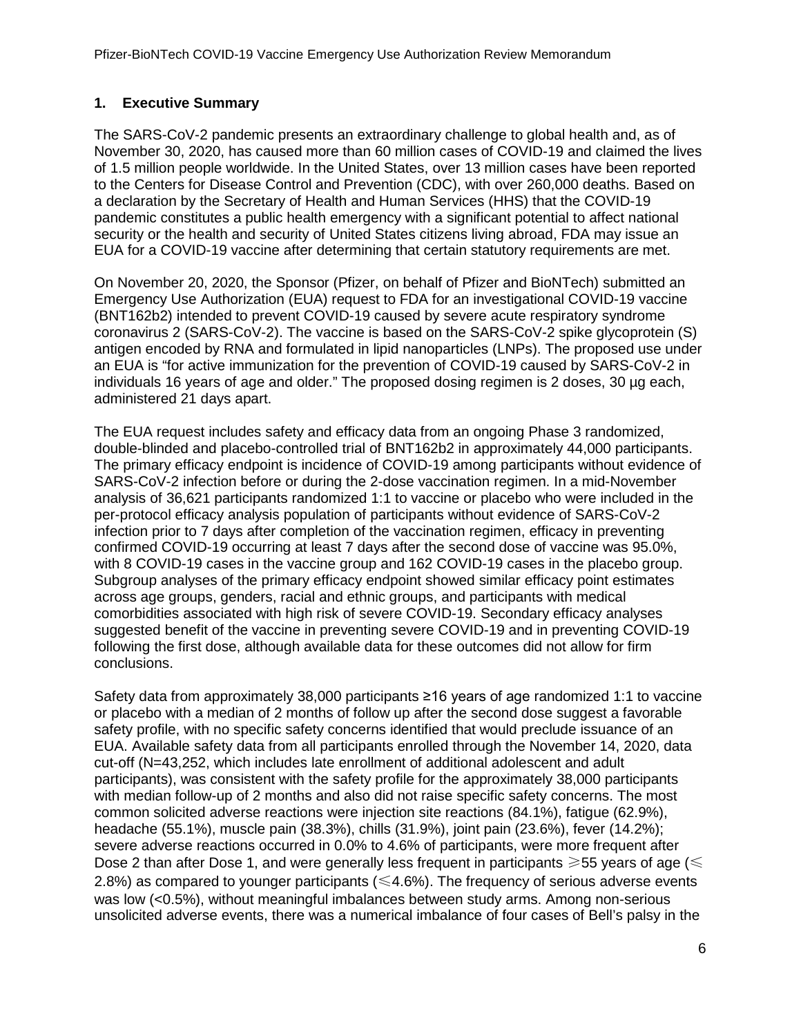### <span id="page-5-0"></span>**1. Executive Summary**

The SARS-CoV-2 pandemic presents an extraordinary challenge to global health and, as of November 30, 2020, has caused more than 60 million cases of COVID-19 and claimed the lives of 1.5 million people worldwide. In the United States, over 13 million cases have been reported to the Centers for Disease Control and Prevention (CDC), with over 260,000 deaths. Based on a declaration by the Secretary of Health and Human Services (HHS) that the COVID-19 pandemic constitutes a public health emergency with a significant potential to affect national security or the health and security of United States citizens living abroad, FDA may issue an EUA for a COVID-19 vaccine after determining that certain statutory requirements are met.

On November 20, 2020, the Sponsor (Pfizer, on behalf of Pfizer and BioNTech) submitted an Emergency Use Authorization (EUA) request to FDA for an investigational COVID-19 vaccine (BNT162b2) intended to prevent COVID-19 caused by severe acute respiratory syndrome coronavirus 2 (SARS-CoV-2). The vaccine is based on the SARS-CoV-2 spike glycoprotein (S) antigen encoded by RNA and formulated in lipid nanoparticles (LNPs). The proposed use under an EUA is "for active immunization for the prevention of COVID-19 caused by SARS-CoV-2 in individuals 16 years of age and older." The proposed dosing regimen is 2 doses, 30 µg each, administered 21 days apart.

The EUA request includes safety and efficacy data from an ongoing Phase 3 randomized, double-blinded and placebo-controlled trial of BNT162b2 in approximately 44,000 participants. The primary efficacy endpoint is incidence of COVID-19 among participants without evidence of SARS-CoV-2 infection before or during the 2-dose vaccination regimen. In a mid-November analysis of 36,621 participants randomized 1:1 to vaccine or placebo who were included in the per-protocol efficacy analysis population of participants without evidence of SARS-CoV-2 infection prior to 7 days after completion of the vaccination regimen, efficacy in preventing confirmed COVID-19 occurring at least 7 days after the second dose of vaccine was 95.0%, with 8 COVID-19 cases in the vaccine group and 162 COVID-19 cases in the placebo group. Subgroup analyses of the primary efficacy endpoint showed similar efficacy point estimates across age groups, genders, racial and ethnic groups, and participants with medical comorbidities associated with high risk of severe COVID-19. Secondary efficacy analyses suggested benefit of the vaccine in preventing severe COVID-19 and in preventing COVID-19 following the first dose, although available data for these outcomes did not allow for firm conclusions.

Safety data from approximately 38,000 participants ≥16 years of age randomized 1:1 to vaccine or placebo with a median of 2 months of follow up after the second dose suggest a favorable safety profile, with no specific safety concerns identified that would preclude issuance of an EUA. Available safety data from all participants enrolled through the November 14, 2020, data cut-off (N=43,252, which includes late enrollment of additional adolescent and adult participants), was consistent with the safety profile for the approximately 38,000 participants with median follow-up of 2 months and also did not raise specific safety concerns. The most common solicited adverse reactions were injection site reactions (84.1%), fatigue (62.9%), headache (55.1%), muscle pain (38.3%), chills (31.9%), joint pain (23.6%), fever (14.2%); severe adverse reactions occurred in 0.0% to 4.6% of participants, were more frequent after Dose 2 than after Dose 1, and were generally less frequent in participants  $\geq 55$  years of age ( $\leq$ 2.8%) as compared to younger participants ( $\leq 4.6$ %). The frequency of serious adverse events was low (<0.5%), without meaningful imbalances between study arms. Among non-serious unsolicited adverse events, there was a numerical imbalance of four cases of Bell's palsy in the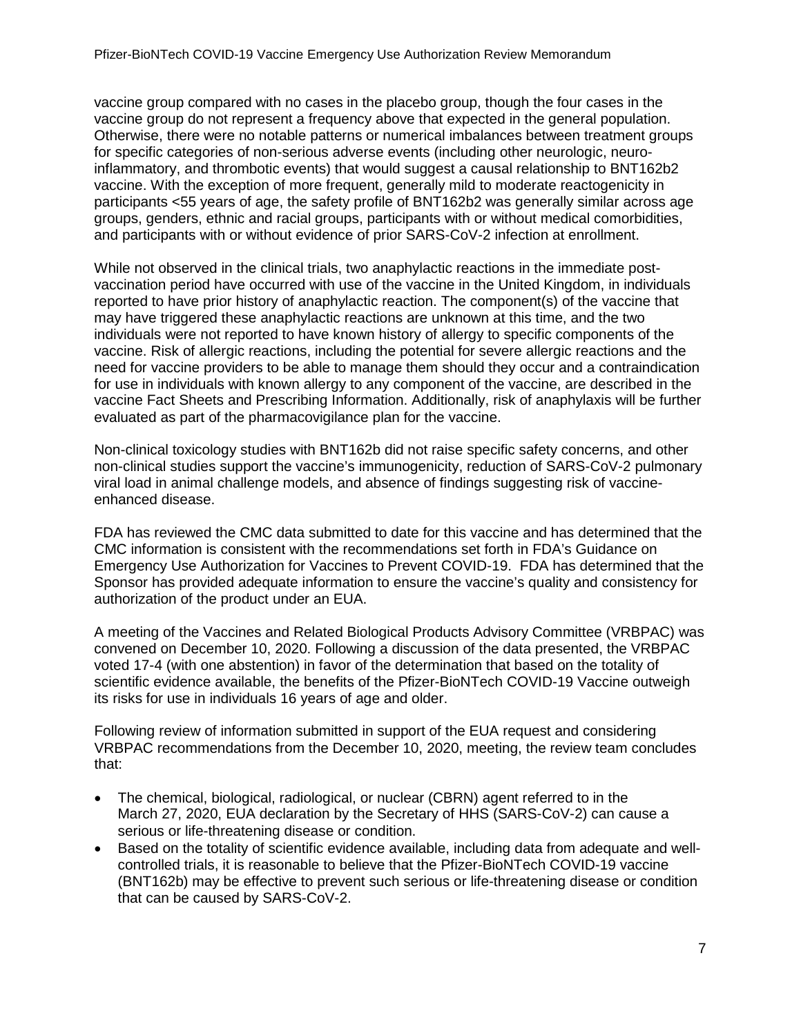vaccine group compared with no cases in the placebo group, though the four cases in the vaccine group do not represent a frequency above that expected in the general population. Otherwise, there were no notable patterns or numerical imbalances between treatment groups for specific categories of non-serious adverse events (including other neurologic, neuroinflammatory, and thrombotic events) that would suggest a causal relationship to BNT162b2 vaccine. With the exception of more frequent, generally mild to moderate reactogenicity in participants <55 years of age, the safety profile of BNT162b2 was generally similar across age groups, genders, ethnic and racial groups, participants with or without medical comorbidities, and participants with or without evidence of prior SARS-CoV-2 infection at enrollment.

While not observed in the clinical trials, two anaphylactic reactions in the immediate postvaccination period have occurred with use of the vaccine in the United Kingdom, in individuals reported to have prior history of anaphylactic reaction. The component(s) of the vaccine that may have triggered these anaphylactic reactions are unknown at this time, and the two individuals were not reported to have known history of allergy to specific components of the vaccine. Risk of allergic reactions, including the potential for severe allergic reactions and the need for vaccine providers to be able to manage them should they occur and a contraindication for use in individuals with known allergy to any component of the vaccine, are described in the vaccine Fact Sheets and Prescribing Information. Additionally, risk of anaphylaxis will be further evaluated as part of the pharmacovigilance plan for the vaccine.

Non-clinical toxicology studies with BNT162b did not raise specific safety concerns, and other non-clinical studies support the vaccine's immunogenicity, reduction of SARS-CoV-2 pulmonary viral load in animal challenge models, and absence of findings suggesting risk of vaccineenhanced disease.

FDA has reviewed the CMC data submitted to date for this vaccine and has determined that the CMC information is consistent with the recommendations set forth in FDA's Guidance on Emergency Use Authorization for Vaccines to Prevent COVID-19. FDA has determined that the Sponsor has provided adequate information to ensure the vaccine's quality and consistency for authorization of the product under an EUA.

A meeting of the Vaccines and Related Biological Products Advisory Committee (VRBPAC) was convened on December 10, 2020. Following a discussion of the data presented, the VRBPAC voted 17-4 (with one abstention) in favor of the determination that based on the totality of scientific evidence available, the benefits of the Pfizer-BioNTech COVID-19 Vaccine outweigh its risks for use in individuals 16 years of age and older.

Following review of information submitted in support of the EUA request and considering VRBPAC recommendations from the December 10, 2020, meeting, the review team concludes that:

- The chemical, biological, radiological, or nuclear (CBRN) agent referred to in the March 27, 2020, EUA declaration by the Secretary of HHS (SARS-CoV-2) can cause a serious or life-threatening disease or condition.
- Based on the totality of scientific evidence available, including data from adequate and wellcontrolled trials, it is reasonable to believe that the Pfizer-BioNTech COVID-19 vaccine (BNT162b) may be effective to prevent such serious or life-threatening disease or condition that can be caused by SARS-CoV-2.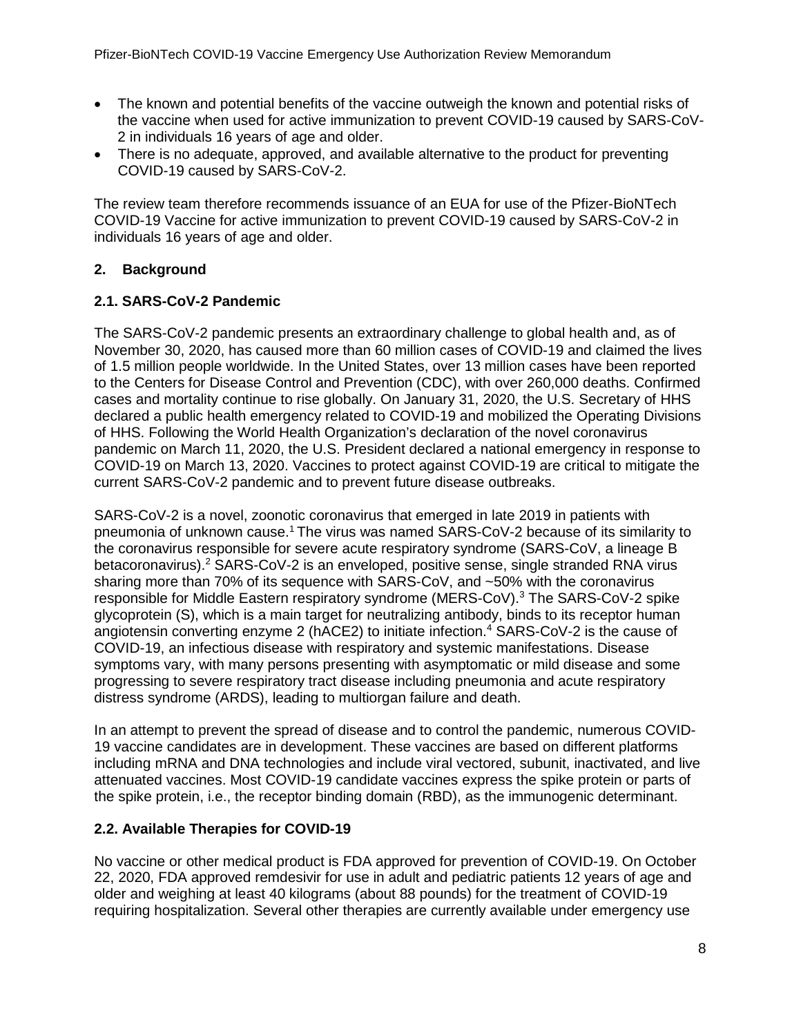- The known and potential benefits of the vaccine outweigh the known and potential risks of the vaccine when used for active immunization to prevent COVID-19 caused by SARS-CoV-2 in individuals 16 years of age and older.
- There is no adequate, approved, and available alternative to the product for preventing COVID-19 caused by SARS-CoV-2.

The review team therefore recommends issuance of an EUA for use of the Pfizer-BioNTech COVID-19 Vaccine for active immunization to prevent COVID-19 caused by SARS-CoV-2 in individuals 16 years of age and older.

# <span id="page-7-0"></span>**2. Background**

### <span id="page-7-1"></span>**2.1. SARS-CoV-2 Pandemic**

The SARS-CoV-2 pandemic presents an extraordinary challenge to global health and, as of November 30, 2020, has caused more than 60 million cases of COVID-19 and claimed the lives of 1.5 million people worldwide. In the United States, over 13 million cases have been reported to the Centers for Disease Control and Prevention (CDC), with over 260,000 deaths. Confirmed cases and mortality continue to rise globally. On January 31, 2020, the U.S. Secretary of HHS declared a public health emergency related to COVID-19 and mobilized the Operating Divisions of HHS. Following the World Health Organization's declaration of the novel coronavirus pandemic on March 11, 2020, the U.S. President declared a national emergency in response to COVID-19 on March 13, 2020. Vaccines to protect against COVID-19 are critical to mitigate the current SARS-CoV-2 pandemic and to prevent future disease outbreaks.

SARS-CoV-2 is a novel, zoonotic coronavirus that emerged in late 2019 in patients with pneumonia of unknown cause.<sup>[1](#page-55-1)</sup> The virus was named SARS-CoV-2 because of its similarity to the coronavirus responsible for severe acute respiratory syndrome (SARS-CoV, a lineage B betacoronavirus)[.2](#page-55-2) SARS-CoV-2 is an enveloped, positive sense, single stranded RNA virus sharing more than 70% of its sequence with SARS-CoV, and ~50% with the coronavirus responsible for Middle Eastern respiratory syndrome (MERS-CoV)[.3](#page-55-3) The SARS-CoV-2 spike glycoprotein (S), which is a main target for neutralizing antibody, binds to its receptor human angiotensin converting enzyme 2 (hACE2) to initiate infection[.4](#page-55-4) SARS-CoV-2 is the cause of COVID-19, an infectious disease with respiratory and systemic manifestations. Disease symptoms vary, with many persons presenting with asymptomatic or mild disease and some progressing to severe respiratory tract disease including pneumonia and acute respiratory distress syndrome (ARDS), leading to multiorgan failure and death.

In an attempt to prevent the spread of disease and to control the pandemic, numerous COVID-19 vaccine candidates are in development. These vaccines are based on different platforms including mRNA and DNA technologies and include viral vectored, subunit, inactivated, and live attenuated vaccines. Most COVID-19 candidate vaccines express the spike protein or parts of the spike protein, i.e., the receptor binding domain (RBD), as the immunogenic determinant.

# <span id="page-7-2"></span>**2.2. Available Therapies for COVID-19**

No vaccine or other medical product is FDA approved for prevention of COVID-19. On October 22, 2020, FDA approved remdesivir for use in adult and pediatric patients 12 years of age and older and weighing at least 40 kilograms (about 88 pounds) for the treatment of COVID-19 requiring hospitalization. Several other therapies are currently available under emergency use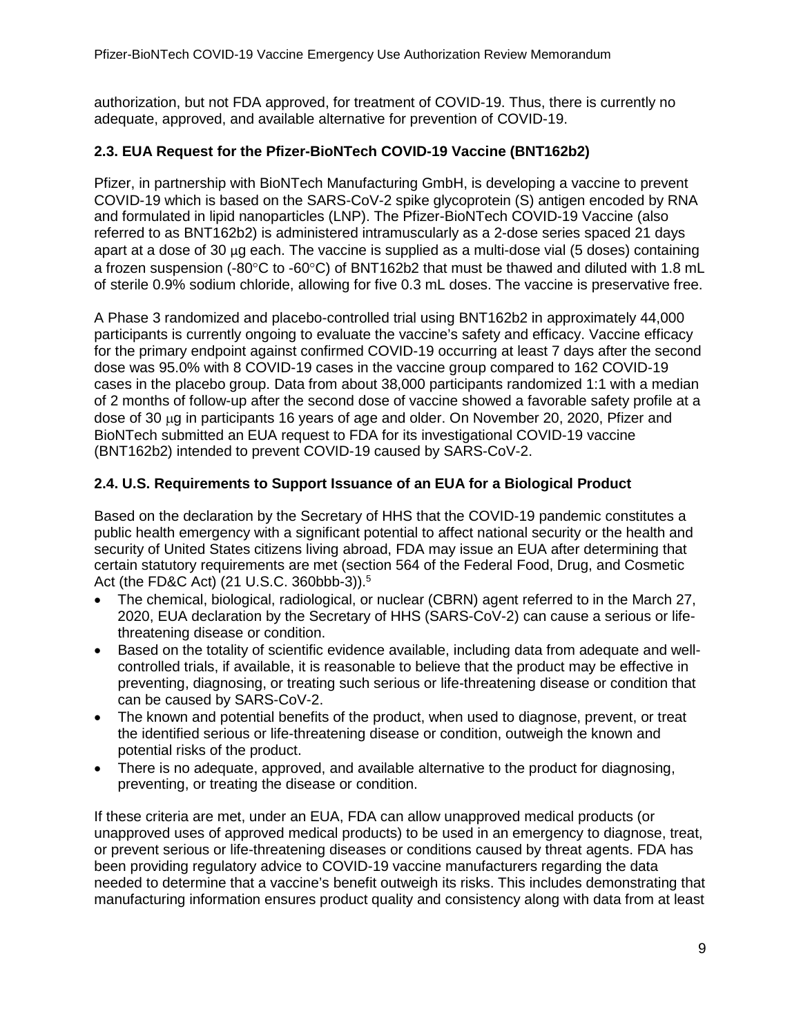authorization, but not FDA approved, for treatment of COVID-19. Thus, there is currently no adequate, approved, and available alternative for prevention of COVID-19.

### <span id="page-8-0"></span>**2.3. EUA Request for the Pfizer-BioNTech COVID-19 Vaccine (BNT162b2)**

Pfizer, in partnership with BioNTech Manufacturing GmbH, is developing a vaccine to prevent COVID-19 which is based on the SARS-CoV-2 spike glycoprotein (S) antigen encoded by RNA and formulated in lipid nanoparticles (LNP). The Pfizer-BioNTech COVID-19 Vaccine (also referred to as BNT162b2) is administered intramuscularly as a 2-dose series spaced 21 days apart at a dose of 30 µg each. The vaccine is supplied as a multi-dose vial (5 doses) containing a frozen suspension (-80°C to -60°C) of BNT162b2 that must be thawed and diluted with 1.8 mL of sterile 0.9% sodium chloride, allowing for five 0.3 mL doses. The vaccine is preservative free.

A Phase 3 randomized and placebo-controlled trial using BNT162b2 in approximately 44,000 participants is currently ongoing to evaluate the vaccine's safety and efficacy. Vaccine efficacy for the primary endpoint against confirmed COVID-19 occurring at least 7 days after the second dose was 95.0% with 8 COVID-19 cases in the vaccine group compared to 162 COVID-19 cases in the placebo group. Data from about 38,000 participants randomized 1:1 with a median of 2 months of follow-up after the second dose of vaccine showed a favorable safety profile at a dose of 30 µg in participants 16 years of age and older. On November 20, 2020, Pfizer and BioNTech submitted an EUA request to FDA for its investigational COVID-19 vaccine (BNT162b2) intended to prevent COVID-19 caused by SARS-CoV-2.

### <span id="page-8-1"></span>**2.4. U.S. Requirements to Support Issuance of an EUA for a Biological Product**

Based on the declaration by the Secretary of HHS that the COVID-19 pandemic constitutes a public health emergency with a significant potential to affect national security or the health and security of United States citizens living abroad, FDA may issue an EUA after determining that certain statutory requirements are met (section 564 of the Federal Food, Drug, and Cosmetic Act (the FD&C Act) (21 U.S.C. 360bbb-3)).<sup>5</sup>

- The chemical, biological, radiological, or nuclear (CBRN) agent referred to in the March 27, 2020, EUA declaration by the Secretary of HHS (SARS-CoV-2) can cause a serious or lifethreatening disease or condition.
- Based on the totality of scientific evidence available, including data from adequate and wellcontrolled trials, if available, it is reasonable to believe that the product may be effective in preventing, diagnosing, or treating such serious or life-threatening disease or condition that can be caused by SARS-CoV-2.
- The known and potential benefits of the product, when used to diagnose, prevent, or treat the identified serious or life-threatening disease or condition, outweigh the known and potential risks of the product.
- There is no adequate, approved, and available alternative to the product for diagnosing, preventing, or treating the disease or condition.

If these criteria are met, under an EUA, FDA can allow unapproved medical products (or unapproved uses of approved medical products) to be used in an emergency to diagnose, treat, or prevent serious or life-threatening diseases or conditions caused by threat agents. FDA has been providing regulatory advice to COVID-19 vaccine manufacturers regarding the data needed to determine that a vaccine's benefit outweigh its risks. This includes demonstrating that manufacturing information ensures product quality and consistency along with data from at least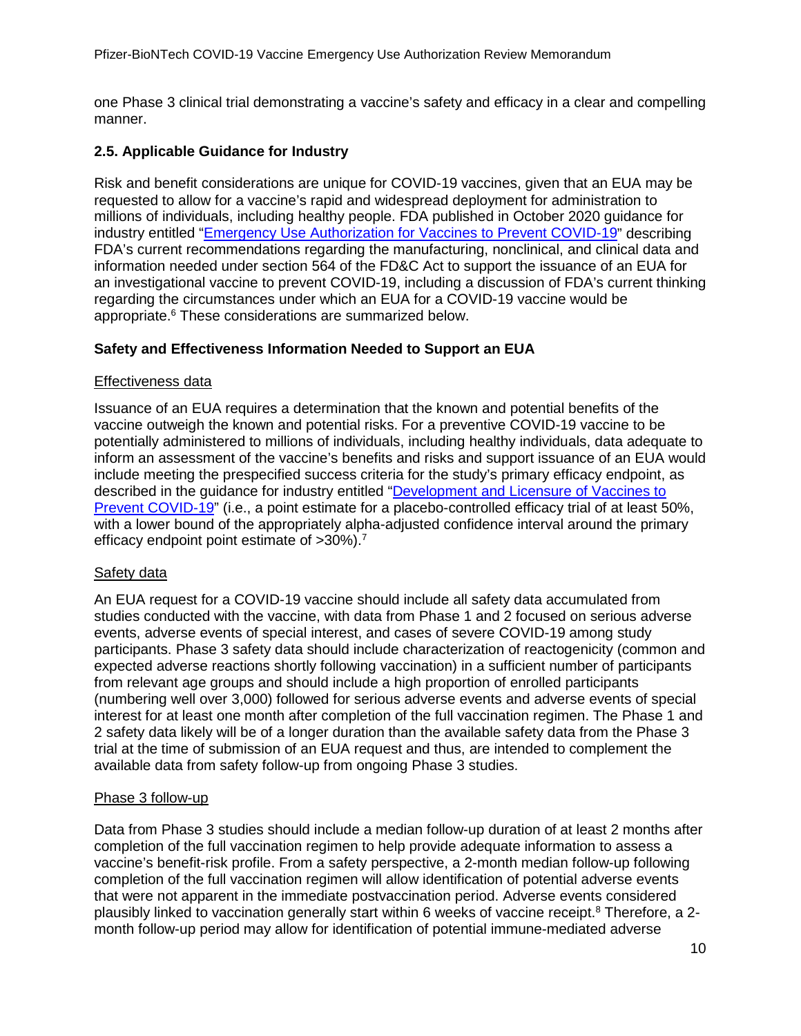one Phase 3 clinical trial demonstrating a vaccine's safety and efficacy in a clear and compelling manner.

### <span id="page-9-0"></span>**2.5. Applicable Guidance for Industry**

Risk and benefit considerations are unique for COVID-19 vaccines, given that an EUA may be requested to allow for a vaccine's rapid and widespread deployment for administration to millions of individuals, including healthy people. FDA published in October 2020 guidance for industry entitled ["Emergency Use Authorization for Vaccines to Prevent COVID-19"](https://www.fda.gov/media/142749/download) describing FDA's current recommendations regarding the manufacturing, nonclinical, and clinical data and information needed under section 564 of the FD&C Act to support the issuance of an EUA for an investigational vaccine to prevent COVID-19, including a discussion of FDA's current thinking regarding the circumstances under which an EUA for a COVID-19 vaccine would be appropriate[.6](#page-55-6) These considerations are summarized below.

### **Safety and Effectiveness Information Needed to Support an EUA**

### Effectiveness data

Issuance of an EUA requires a determination that the known and potential benefits of the vaccine outweigh the known and potential risks. For a preventive COVID-19 vaccine to be potentially administered to millions of individuals, including healthy individuals, data adequate to inform an assessment of the vaccine's benefits and risks and support issuance of an EUA would include meeting the prespecified success criteria for the study's primary efficacy endpoint, as described in the guidance for industry entitled ["Development and Licensure of Vaccines to](https://www.fda.gov/media/139638/download)  [Prevent COVID-19"](https://www.fda.gov/media/139638/download) (i.e., a point estimate for a placebo-controlled efficacy trial of at least 50%, with a lower bound of the appropriately alpha-adjusted confidence interval around the primary efficacy endpoint point estimate of >30%).<sup>7</sup>

### Safety data

An EUA request for a COVID-19 vaccine should include all safety data accumulated from studies conducted with the vaccine, with data from Phase 1 and 2 focused on serious adverse events, adverse events of special interest, and cases of severe COVID-19 among study participants. Phase 3 safety data should include characterization of reactogenicity (common and expected adverse reactions shortly following vaccination) in a sufficient number of participants from relevant age groups and should include a high proportion of enrolled participants (numbering well over 3,000) followed for serious adverse events and adverse events of special interest for at least one month after completion of the full vaccination regimen. The Phase 1 and 2 safety data likely will be of a longer duration than the available safety data from the Phase 3 trial at the time of submission of an EUA request and thus, are intended to complement the available data from safety follow-up from ongoing Phase 3 studies.

### Phase 3 follow-up

Data from Phase 3 studies should include a median follow-up duration of at least 2 months after completion of the full vaccination regimen to help provide adequate information to assess a vaccine's benefit-risk profile. From a safety perspective, a 2-month median follow-up following completion of the full vaccination regimen will allow identification of potential adverse events that were not apparent in the immediate postvaccination period. Adverse events considered plausibly linked to vaccination generally start within 6 weeks of vaccine receipt.<sup>8</sup> Therefore, a 2month follow-up period may allow for identification of potential immune-mediated adverse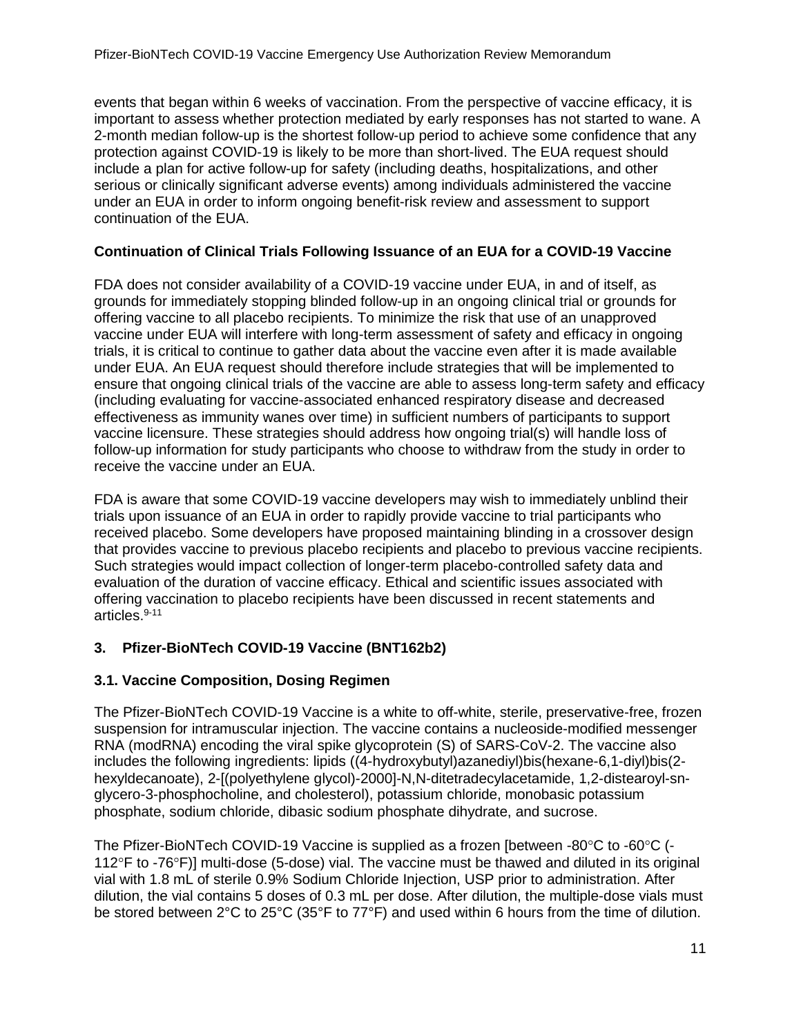events that began within 6 weeks of vaccination. From the perspective of vaccine efficacy, it is important to assess whether protection mediated by early responses has not started to wane. A 2-month median follow-up is the shortest follow-up period to achieve some confidence that any protection against COVID-19 is likely to be more than short-lived. The EUA request should include a plan for active follow-up for safety (including deaths, hospitalizations, and other serious or clinically significant adverse events) among individuals administered the vaccine under an EUA in order to inform ongoing benefit-risk review and assessment to support continuation of the EUA.

# **Continuation of Clinical Trials Following Issuance of an EUA for a COVID-19 Vaccine**

FDA does not consider availability of a COVID-19 vaccine under EUA, in and of itself, as grounds for immediately stopping blinded follow-up in an ongoing clinical trial or grounds for offering vaccine to all placebo recipients. To minimize the risk that use of an unapproved vaccine under EUA will interfere with long-term assessment of safety and efficacy in ongoing trials, it is critical to continue to gather data about the vaccine even after it is made available under EUA. An EUA request should therefore include strategies that will be implemented to ensure that ongoing clinical trials of the vaccine are able to assess long-term safety and efficacy (including evaluating for vaccine-associated enhanced respiratory disease and decreased effectiveness as immunity wanes over time) in sufficient numbers of participants to support vaccine licensure. These strategies should address how ongoing trial(s) will handle loss of follow-up information for study participants who choose to withdraw from the study in order to receive the vaccine under an EUA.

FDA is aware that some COVID-19 vaccine developers may wish to immediately unblind their trials upon issuance of an EUA in order to rapidly provide vaccine to trial participants who received placebo. Some developers have proposed maintaining blinding in a crossover design that provides vaccine to previous placebo recipients and placebo to previous vaccine recipients. Such strategies would impact collection of longer-term placebo-controlled safety data and evaluation of the duration of vaccine efficacy. Ethical and scientific issues associated with offering vaccination to placebo recipients have been discussed in recent statements and articles. [9-11](#page-55-1) 

# <span id="page-10-0"></span>**3. Pfizer-BioNTech COVID-19 Vaccine (BNT162b2)**

### <span id="page-10-1"></span>**3.1. Vaccine Composition, Dosing Regimen**

The Pfizer-BioNTech COVID-19 Vaccine is a white to off-white, sterile, preservative-free, frozen suspension for intramuscular injection. The vaccine contains a nucleoside-modified messenger RNA (modRNA) encoding the viral spike glycoprotein (S) of SARS-CoV-2. The vaccine also includes the following ingredients: lipids ((4-hydroxybutyl)azanediyl)bis(hexane-6,1-diyl)bis(2 hexyldecanoate), 2-[(polyethylene glycol)-2000]-N,N-ditetradecylacetamide, 1,2-distearoyl-snglycero-3-phosphocholine, and cholesterol), potassium chloride, monobasic potassium phosphate, sodium chloride, dibasic sodium phosphate dihydrate, and sucrose.

The Pfizer-BioNTech COVID-19 Vaccine is supplied as a frozen [between -80°C to -60°C (- 112°F to -76°F)] multi-dose (5-dose) vial. The vaccine must be thawed and diluted in its original vial with 1.8 mL of sterile 0.9% Sodium Chloride Injection, USP prior to administration. After dilution, the vial contains 5 doses of 0.3 mL per dose. After dilution, the multiple-dose vials must be stored between 2°C to 25°C (35°F to 77°F) and used within 6 hours from the time of dilution.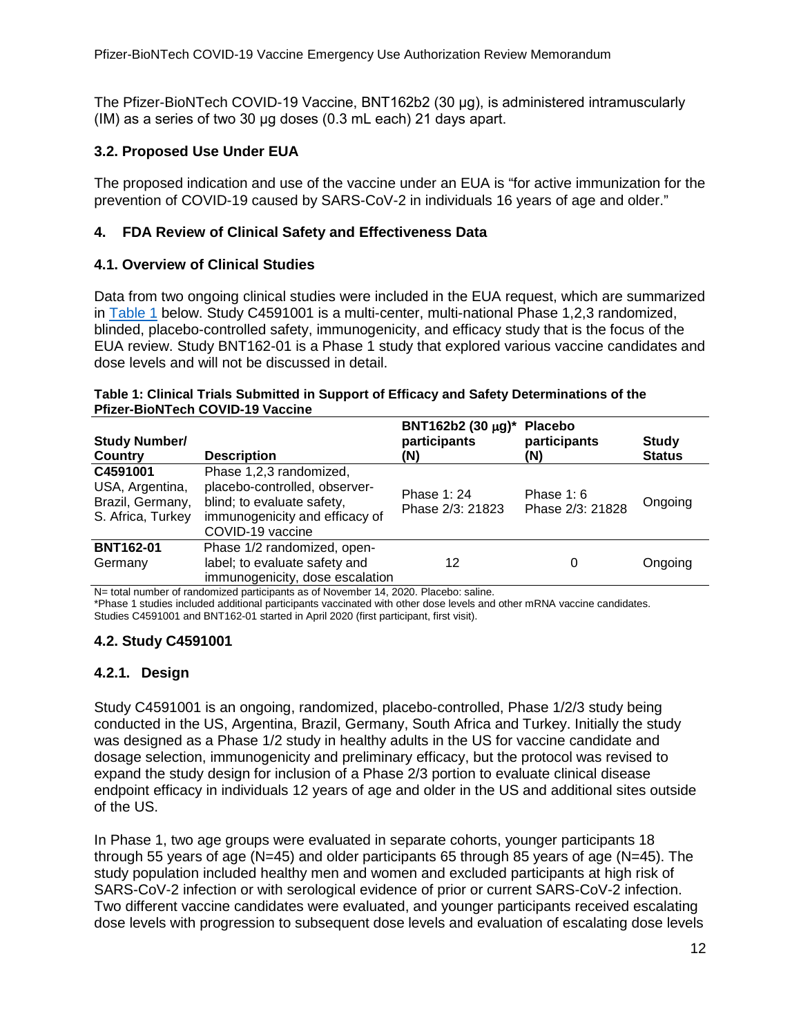The Pfizer-BioNTech COVID-19 Vaccine, BNT162b2 (30 μg), is administered intramuscularly (IM) as a series of two 30 μg doses (0.3 mL each) 21 days apart.

### <span id="page-11-0"></span>**3.2. Proposed Use Under EUA**

The proposed indication and use of the vaccine under an EUA is "for active immunization for the prevention of COVID-19 caused by SARS-CoV-2 in individuals 16 years of age and older."

### <span id="page-11-1"></span>**4. FDA Review of Clinical Safety and Effectiveness Data**

### <span id="page-11-2"></span>**4.1. Overview of Clinical Studies**

Data from two ongoing clinical studies were included in the EUA request, which are summarized in [Table 1](#page-11-5) below. Study C4591001 is a multi-center, multi-national Phase 1,2,3 randomized, blinded, placebo-controlled safety, immunogenicity, and efficacy study that is the focus of the EUA review. Study BNT162-01 is a Phase 1 study that explored various vaccine candidates and dose levels and will not be discussed in detail.

#### <span id="page-11-5"></span>**Table 1: Clinical Trials Submitted in Support of Efficacy and Safety Determinations of the Pfizer-BioNTech COVID-19 Vaccine**

| <b>Study Number/</b><br><b>Country</b>                               | <b>Description</b>                                                                                                                           | BNT162b2 (30 µg)*<br>participants<br>(N) | <b>Placebo</b><br>participants<br>(N) | <b>Study</b><br><b>Status</b> |
|----------------------------------------------------------------------|----------------------------------------------------------------------------------------------------------------------------------------------|------------------------------------------|---------------------------------------|-------------------------------|
| C4591001<br>USA, Argentina,<br>Brazil, Germany,<br>S. Africa, Turkey | Phase 1,2,3 randomized,<br>placebo-controlled, observer-<br>blind; to evaluate safety,<br>immunogenicity and efficacy of<br>COVID-19 vaccine | Phase 1: 24<br>Phase 2/3: 21823          | Phase $1:6$<br>Phase 2/3: 21828       | Ongoing                       |
| <b>BNT162-01</b><br>Germany                                          | Phase 1/2 randomized, open-<br>label; to evaluate safety and<br>immunogenicity, dose escalation                                              | 12                                       | 0                                     | Ongoing                       |

N= total number of randomized participants as of November 14, 2020. Placebo: saline.

\*Phase 1 studies included additional participants vaccinated with other dose levels and other mRNA vaccine candidates. Studies C4591001 and BNT162-01 started in April 2020 (first participant, first visit).

# <span id="page-11-3"></span>**4.2. Study C4591001**

### <span id="page-11-4"></span>**4.2.1. Design**

Study C4591001 is an ongoing, randomized, placebo-controlled, Phase 1/2/3 study being conducted in the US, Argentina, Brazil, Germany, South Africa and Turkey. Initially the study was designed as a Phase 1/2 study in healthy adults in the US for vaccine candidate and dosage selection, immunogenicity and preliminary efficacy, but the protocol was revised to expand the study design for inclusion of a Phase 2/3 portion to evaluate clinical disease endpoint efficacy in individuals 12 years of age and older in the US and additional sites outside of the US.

In Phase 1, two age groups were evaluated in separate cohorts, younger participants 18 through 55 years of age (N=45) and older participants 65 through 85 years of age (N=45). The study population included healthy men and women and excluded participants at high risk of SARS-CoV-2 infection or with serological evidence of prior or current SARS-CoV-2 infection. Two different vaccine candidates were evaluated, and younger participants received escalating dose levels with progression to subsequent dose levels and evaluation of escalating dose levels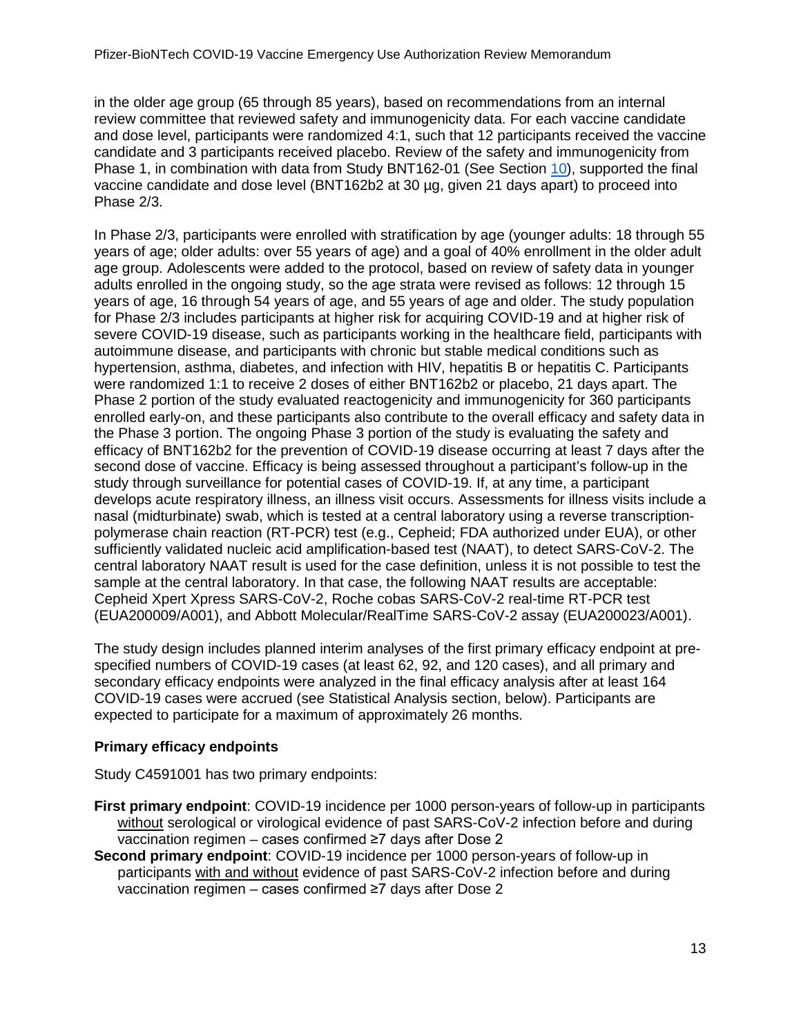in the older age group (65 through 85 years), based on recommendations from an internal review committee that reviewed safety and immunogenicity data. For each vaccine candidate and dose level, participants were randomized 4:1, such that 12 participants received the vaccine candidate and 3 participants received placebo. Review of the safety and immunogenicity from Phase 1, in combination with data from Study BNT162-01 (See Section [10\)](#page-42-0), supported the final vaccine candidate and dose level (BNT162b2 at 30 µg, given 21 days apart) to proceed into Phase 2/3.

In Phase 2/3, participants were enrolled with stratification by age (younger adults: 18 through 55 years of age; older adults: over 55 years of age) and a goal of 40% enrollment in the older adult age group. Adolescents were added to the protocol, based on review of safety data in younger adults enrolled in the ongoing study, so the age strata were revised as follows: 12 through 15 years of age, 16 through 54 years of age, and 55 years of age and older. The study population for Phase 2/3 includes participants at higher risk for acquiring COVID-19 and at higher risk of severe COVID-19 disease, such as participants working in the healthcare field, participants with autoimmune disease, and participants with chronic but stable medical conditions such as hypertension, asthma, diabetes, and infection with HIV, hepatitis B or hepatitis C. Participants were randomized 1:1 to receive 2 doses of either BNT162b2 or placebo, 21 days apart. The Phase 2 portion of the study evaluated reactogenicity and immunogenicity for 360 participants enrolled early-on, and these participants also contribute to the overall efficacy and safety data in the Phase 3 portion. The ongoing Phase 3 portion of the study is evaluating the safety and efficacy of BNT162b2 for the prevention of COVID-19 disease occurring at least 7 days after the second dose of vaccine. Efficacy is being assessed throughout a participant's follow-up in the study through surveillance for potential cases of COVID-19. If, at any time, a participant develops acute respiratory illness, an illness visit occurs. Assessments for illness visits include a nasal (midturbinate) swab, which is tested at a central laboratory using a reverse transcriptionpolymerase chain reaction (RT-PCR) test (e.g., Cepheid; FDA authorized under EUA), or other sufficiently validated nucleic acid amplification-based test (NAAT), to detect SARS-CoV-2. The central laboratory NAAT result is used for the case definition, unless it is not possible to test the sample at the central laboratory. In that case, the following NAAT results are acceptable: Cepheid Xpert Xpress SARS-CoV-2, Roche cobas SARS-CoV-2 real-time RT-PCR test (EUA200009/A001), and Abbott Molecular/RealTime SARS-CoV-2 assay (EUA200023/A001).

The study design includes planned interim analyses of the first primary efficacy endpoint at prespecified numbers of COVID-19 cases (at least 62, 92, and 120 cases), and all primary and secondary efficacy endpoints were analyzed in the final efficacy analysis after at least 164 COVID-19 cases were accrued (see Statistical Analysis section, below). Participants are expected to participate for a maximum of approximately 26 months.

### **Primary efficacy endpoints**

Study C4591001 has two primary endpoints:

- **First primary endpoint**: COVID-19 incidence per 1000 person-years of follow-up in participants without serological or virological evidence of past SARS-CoV-2 infection before and during vaccination regimen – cases confirmed ≥7 days after Dose 2
- **Second primary endpoint**: COVID-19 incidence per 1000 person-years of follow-up in participants with and without evidence of past SARS-CoV-2 infection before and during vaccination regimen – cases confirmed ≥7 days after Dose 2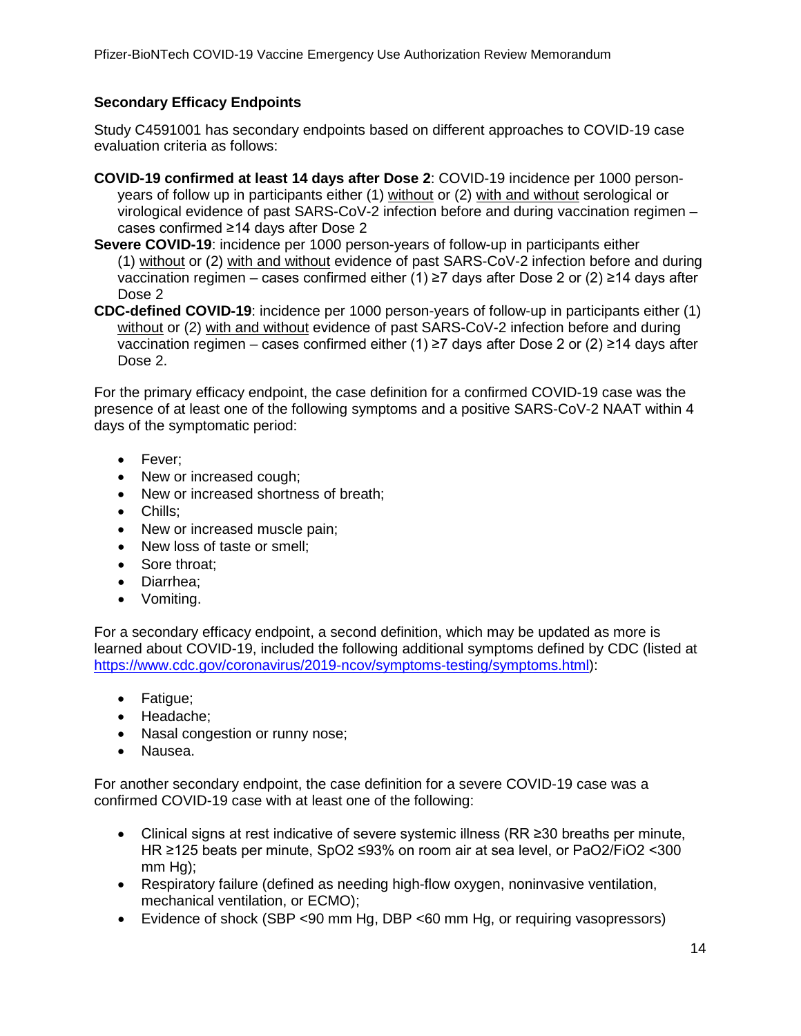### **Secondary Efficacy Endpoints**

Study C4591001 has secondary endpoints based on different approaches to COVID-19 case evaluation criteria as follows:

- **COVID-19 confirmed at least 14 days after Dose 2**: COVID-19 incidence per 1000 personyears of follow up in participants either (1) without or (2) with and without serological or virological evidence of past SARS-CoV-2 infection before and during vaccination regimen – cases confirmed ≥14 days after Dose 2
- **Severe COVID-19**: incidence per 1000 person-years of follow-up in participants either (1) without or (2) with and without evidence of past SARS-CoV-2 infection before and during vaccination regimen – cases confirmed either (1) ≥7 days after Dose 2 or (2) ≥14 days after Dose 2
- **CDC-defined COVID-19**: incidence per 1000 person-years of follow-up in participants either (1) without or (2) with and without evidence of past SARS-CoV-2 infection before and during vaccination regimen – cases confirmed either (1) ≥7 days after Dose 2 or (2) ≥14 days after Dose 2.

For the primary efficacy endpoint, the case definition for a confirmed COVID-19 case was the presence of at least one of the following symptoms and a positive SARS-CoV-2 NAAT within 4 days of the symptomatic period:

- Fever;
- New or increased cough:
- New or increased shortness of breath;
- Chills;
- New or increased muscle pain;
- New loss of taste or smell;
- Sore throat:
- Diarrhea;
- Vomiting.

For a secondary efficacy endpoint, a second definition, which may be updated as more is learned about COVID-19, included the following additional symptoms defined by CDC (listed at [https://www.cdc.gov/coronavirus/2019-ncov/symptoms-testing/symptoms.html\)](https://www.cdc.gov/coronavirus/2019-ncov/symptoms-testing/symptoms.html):

- Fatigue;
- Headache;
- Nasal congestion or runny nose;
- Nausea.

For another secondary endpoint, the case definition for a severe COVID-19 case was a confirmed COVID-19 case with at least one of the following:

- Clinical signs at rest indicative of severe systemic illness (RR ≥30 breaths per minute, HR ≥125 beats per minute, SpO2 ≤93% on room air at sea level, or PaO2/FiO2 <300 mm Hg);
- Respiratory failure (defined as needing high-flow oxygen, noninvasive ventilation, mechanical ventilation, or ECMO);
- Evidence of shock (SBP <90 mm Hg, DBP <60 mm Hg, or requiring vasopressors)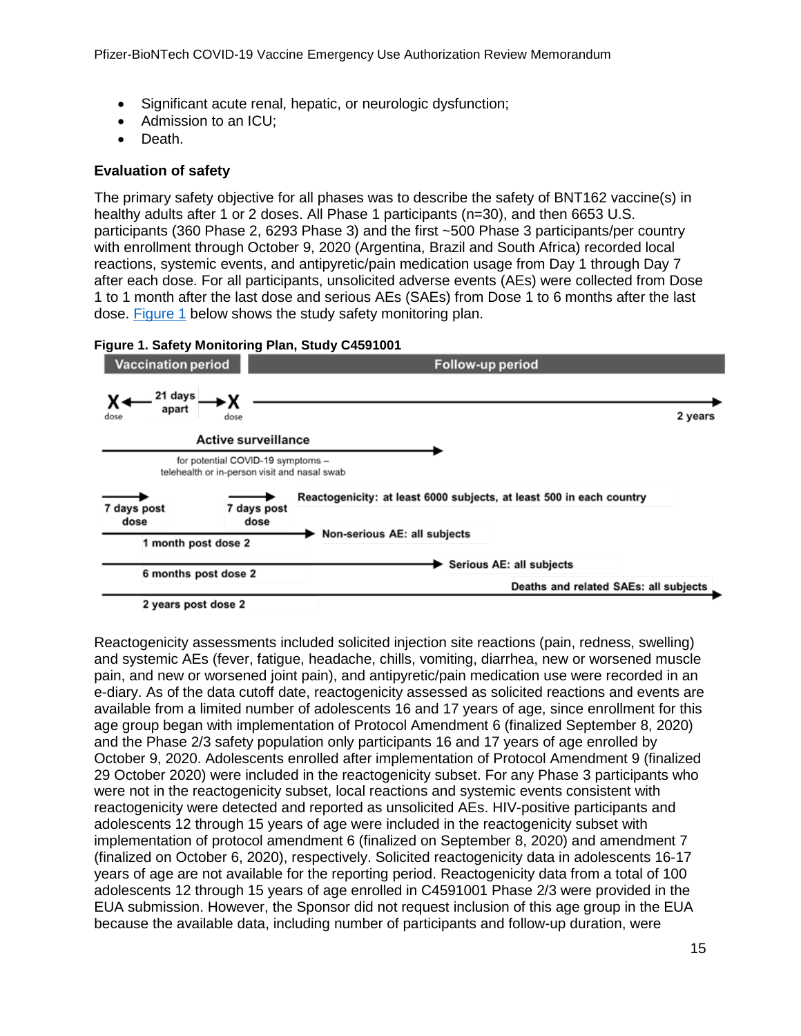- Significant acute renal, hepatic, or neurologic dysfunction;
- Admission to an ICU;
- Death.

#### **Evaluation of safety**

The primary safety objective for all phases was to describe the safety of BNT162 vaccine(s) in healthy adults after 1 or 2 doses. All Phase 1 participants (n=30), and then 6653 U.S. participants (360 Phase 2, 6293 Phase 3) and the first ~500 Phase 3 participants/per country with enrollment through October 9, 2020 (Argentina, Brazil and South Africa) recorded local reactions, systemic events, and antipyretic/pain medication usage from Day 1 through Day 7 after each dose. For all participants, unsolicited adverse events (AEs) were collected from Dose 1 to 1 month after the last dose and serious AEs (SAEs) from Dose 1 to 6 months after the last dose. [Figure 1](#page-14-0) below shows the study safety monitoring plan.

<span id="page-14-0"></span>



Reactogenicity assessments included solicited injection site reactions (pain, redness, swelling) and systemic AEs (fever, fatigue, headache, chills, vomiting, diarrhea, new or worsened muscle pain, and new or worsened joint pain), and antipyretic/pain medication use were recorded in an e-diary. As of the data cutoff date, reactogenicity assessed as solicited reactions and events are available from a limited number of adolescents 16 and 17 years of age, since enrollment for this age group began with implementation of Protocol Amendment 6 (finalized September 8, 2020) and the Phase 2/3 safety population only participants 16 and 17 years of age enrolled by October 9, 2020. Adolescents enrolled after implementation of Protocol Amendment 9 (finalized 29 October 2020) were included in the reactogenicity subset. For any Phase 3 participants who were not in the reactogenicity subset, local reactions and systemic events consistent with reactogenicity were detected and reported as unsolicited AEs. HIV-positive participants and adolescents 12 through 15 years of age were included in the reactogenicity subset with implementation of protocol amendment 6 (finalized on September 8, 2020) and amendment 7 (finalized on October 6, 2020), respectively. Solicited reactogenicity data in adolescents 16-17 years of age are not available for the reporting period. Reactogenicity data from a total of 100 adolescents 12 through 15 years of age enrolled in C4591001 Phase 2/3 were provided in the EUA submission. However, the Sponsor did not request inclusion of this age group in the EUA because the available data, including number of participants and follow-up duration, were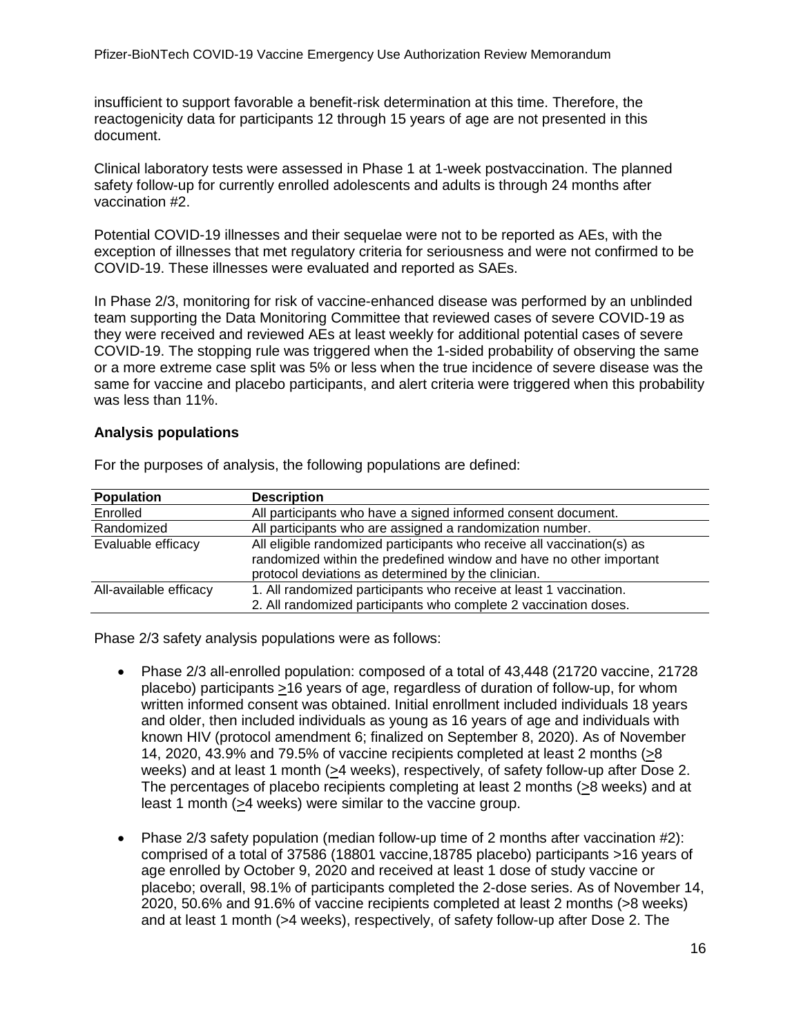insufficient to support favorable a benefit-risk determination at this time. Therefore, the reactogenicity data for participants 12 through 15 years of age are not presented in this document.

Clinical laboratory tests were assessed in Phase 1 at 1-week postvaccination. The planned safety follow-up for currently enrolled adolescents and adults is through 24 months after vaccination #2.

Potential COVID-19 illnesses and their sequelae were not to be reported as AEs, with the exception of illnesses that met regulatory criteria for seriousness and were not confirmed to be COVID-19. These illnesses were evaluated and reported as SAEs.

In Phase 2/3, monitoring for risk of vaccine-enhanced disease was performed by an unblinded team supporting the Data Monitoring Committee that reviewed cases of severe COVID-19 as they were received and reviewed AEs at least weekly for additional potential cases of severe COVID-19. The stopping rule was triggered when the 1-sided probability of observing the same or a more extreme case split was 5% or less when the true incidence of severe disease was the same for vaccine and placebo participants, and alert criteria were triggered when this probability was less than 11%.

### **Analysis populations**

| <b>Population</b>      | <b>Description</b>                                                                                                                                                                                   |  |
|------------------------|------------------------------------------------------------------------------------------------------------------------------------------------------------------------------------------------------|--|
| Enrolled               | All participants who have a signed informed consent document.                                                                                                                                        |  |
| Randomized             | All participants who are assigned a randomization number.                                                                                                                                            |  |
| Evaluable efficacy     | All eligible randomized participants who receive all vaccination(s) as<br>randomized within the predefined window and have no other important<br>protocol deviations as determined by the clinician. |  |
| All-available efficacy | 1. All randomized participants who receive at least 1 vaccination.<br>2. All randomized participants who complete 2 vaccination doses.                                                               |  |

For the purposes of analysis, the following populations are defined:

Phase 2/3 safety analysis populations were as follows:

- Phase 2/3 all-enrolled population: composed of a total of 43,448 (21720 vaccine, 21728 placebo) participants >16 years of age, regardless of duration of follow-up, for whom written informed consent was obtained. Initial enrollment included individuals 18 years and older, then included individuals as young as 16 years of age and individuals with known HIV (protocol amendment 6; finalized on September 8, 2020). As of November 14, 2020, 43.9% and 79.5% of vaccine recipients completed at least 2 months (>8 weeks) and at least 1 month (>4 weeks), respectively, of safety follow-up after Dose 2. The percentages of placebo recipients completing at least 2 months (>8 weeks) and at least 1 month (>4 weeks) were similar to the vaccine group.
- Phase 2/3 safety population (median follow-up time of 2 months after vaccination #2): comprised of a total of 37586 (18801 vaccine,18785 placebo) participants >16 years of age enrolled by October 9, 2020 and received at least 1 dose of study vaccine or placebo; overall, 98.1% of participants completed the 2-dose series. As of November 14, 2020, 50.6% and 91.6% of vaccine recipients completed at least 2 months (>8 weeks) and at least 1 month (>4 weeks), respectively, of safety follow-up after Dose 2. The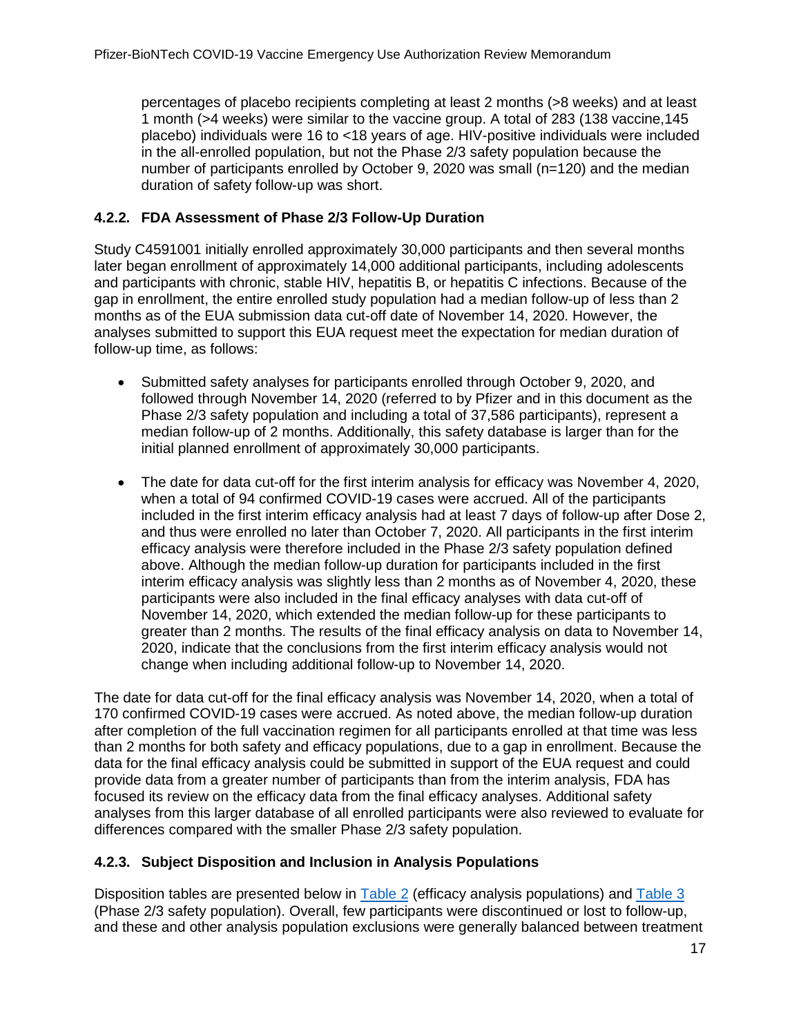percentages of placebo recipients completing at least 2 months (>8 weeks) and at least 1 month (>4 weeks) were similar to the vaccine group. A total of 283 (138 vaccine,145 placebo) individuals were 16 to <18 years of age. HIV-positive individuals were included in the all-enrolled population, but not the Phase 2/3 safety population because the number of participants enrolled by October 9, 2020 was small (n=120) and the median duration of safety follow-up was short.

### <span id="page-16-0"></span>**4.2.2. FDA Assessment of Phase 2/3 Follow-Up Duration**

Study C4591001 initially enrolled approximately 30,000 participants and then several months later began enrollment of approximately 14,000 additional participants, including adolescents and participants with chronic, stable HIV, hepatitis B, or hepatitis C infections. Because of the gap in enrollment, the entire enrolled study population had a median follow-up of less than 2 months as of the EUA submission data cut-off date of November 14, 2020. However, the analyses submitted to support this EUA request meet the expectation for median duration of follow-up time, as follows:

- Submitted safety analyses for participants enrolled through October 9, 2020, and followed through November 14, 2020 (referred to by Pfizer and in this document as the Phase 2/3 safety population and including a total of 37,586 participants), represent a median follow-up of 2 months. Additionally, this safety database is larger than for the initial planned enrollment of approximately 30,000 participants.
- The date for data cut-off for the first interim analysis for efficacy was November 4, 2020, when a total of 94 confirmed COVID-19 cases were accrued. All of the participants included in the first interim efficacy analysis had at least 7 days of follow-up after Dose 2, and thus were enrolled no later than October 7, 2020. All participants in the first interim efficacy analysis were therefore included in the Phase 2/3 safety population defined above. Although the median follow-up duration for participants included in the first interim efficacy analysis was slightly less than 2 months as of November 4, 2020, these participants were also included in the final efficacy analyses with data cut-off of November 14, 2020, which extended the median follow-up for these participants to greater than 2 months. The results of the final efficacy analysis on data to November 14, 2020, indicate that the conclusions from the first interim efficacy analysis would not change when including additional follow-up to November 14, 2020.

The date for data cut-off for the final efficacy analysis was November 14, 2020, when a total of 170 confirmed COVID-19 cases were accrued. As noted above, the median follow-up duration after completion of the full vaccination regimen for all participants enrolled at that time was less than 2 months for both safety and efficacy populations, due to a gap in enrollment. Because the data for the final efficacy analysis could be submitted in support of the EUA request and could provide data from a greater number of participants than from the interim analysis, FDA has focused its review on the efficacy data from the final efficacy analyses. Additional safety analyses from this larger database of all enrolled participants were also reviewed to evaluate for differences compared with the smaller Phase 2/3 safety population.

### <span id="page-16-1"></span>**4.2.3. Subject Disposition and Inclusion in Analysis Populations**

Disposition tables are presented below in [Table 2](#page-17-0) (efficacy analysis populations) and [Table 3](#page-17-1) (Phase 2/3 safety population). Overall, few participants were discontinued or lost to follow-up, and these and other analysis population exclusions were generally balanced between treatment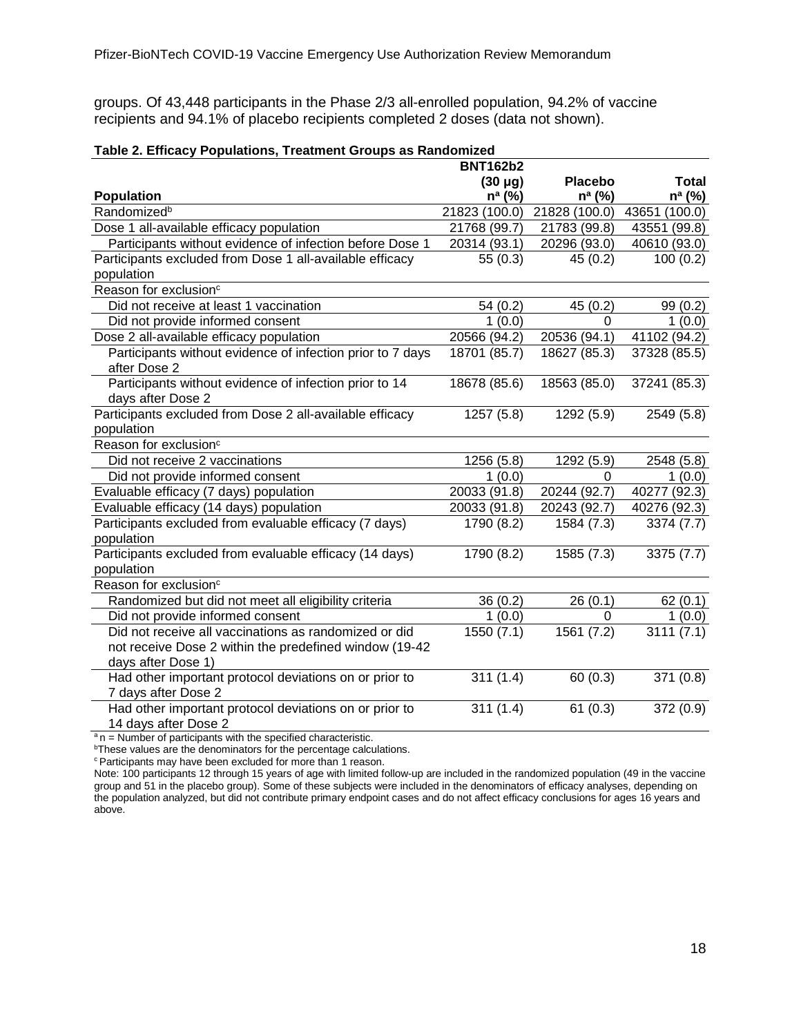groups. Of 43,448 participants in the Phase 2/3 all-enrolled population, 94.2% of vaccine recipients and 94.1% of placebo recipients completed 2 doses (data not shown).

| <b>Total</b>                |
|-----------------------------|
| $n^a$ (%)                   |
| 21828 (100.0) 43651 (100.0) |
| 43551 (99.8)                |
| 40610 (93.0)                |
| 100(0.2)                    |
|                             |
|                             |
| 99(0.2)                     |
| 1(0.0)                      |
| 41102 (94.2)                |
| 37328 (85.5)                |
|                             |
| 37241 (85.3)                |
|                             |
| 2549 (5.8)                  |
|                             |
|                             |
| 2548 (5.8)                  |
| 1(0.0)                      |
| 40277 (92.3)                |
| 40276 (92.3)                |
| 3374(7.7)                   |
|                             |
| 3375(7.7)                   |
|                             |
|                             |
| 62(0.1)                     |
| 1(0.0)                      |
| 3111(7.1)                   |
|                             |
|                             |
| 371(0.8)                    |
|                             |
| 372 (0.9)                   |
|                             |

#### <span id="page-17-0"></span>**Table 2. Efficacy Populations, Treatment Groups as Randomized**

 $a_n$  = Number of participants with the specified characteristic.

<sup>b</sup>These values are the denominators for the percentage calculations.

**Participants may have been excluded for more than 1 reason.** 

<span id="page-17-1"></span>Note: 100 participants 12 through 15 years of age with limited follow-up are included in the randomized population (49 in the vaccine group and 51 in the placebo group). Some of these subjects were included in the denominators of efficacy analyses, depending on the population analyzed, but did not contribute primary endpoint cases and do not affect efficacy conclusions for ages 16 years and above.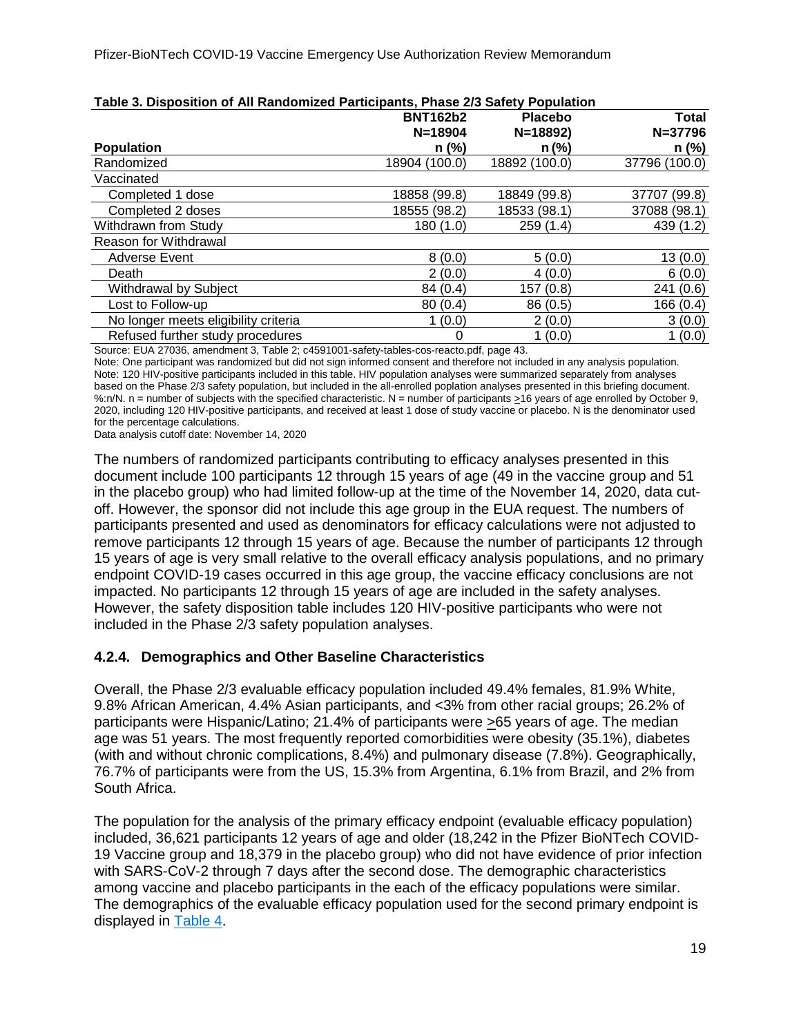| <b>TWATS OF PROPORTION OF THE INSTRUMENTAL MEMORIAL FROM A POST DURING THE ORDER</b> | <b>BNT162b2</b> | <b>Placebo</b> | Total         |
|--------------------------------------------------------------------------------------|-----------------|----------------|---------------|
|                                                                                      | $N = 18904$     | $N=18892$      | $N = 37796$   |
| <b>Population</b>                                                                    | n (%)           | $n$ (%)        | n (%)         |
| Randomized                                                                           | 18904 (100.0)   | 18892 (100.0)  | 37796 (100.0) |
| Vaccinated                                                                           |                 |                |               |
| Completed 1 dose                                                                     | 18858 (99.8)    | 18849 (99.8)   | 37707 (99.8)  |
| Completed 2 doses                                                                    | 18555 (98.2)    | 18533 (98.1)   | 37088 (98.1)  |
| Withdrawn from Study                                                                 | 180(1.0)        | 259(1.4)       | 439 (1.2)     |
| Reason for Withdrawal                                                                |                 |                |               |
| <b>Adverse Event</b>                                                                 | 8(0.0)          | 5(0.0)         | 13(0.0)       |
| Death                                                                                | 2(0.0)          | 4(0.0)         | 6(0.0)        |
| <b>Withdrawal by Subject</b>                                                         | 84 (0.4)        | 157 (0.8)      | 241 (0.6)     |
| Lost to Follow-up                                                                    | 80(0.4)         | 86 (0.5)       | 166 (0.4)     |
| No longer meets eligibility criteria                                                 | 1(0.0)          | 2(0.0)         | 3(0.0)        |
| Refused further study procedures                                                     | 0               | 1(0.0)         | 1(0.0)        |

<span id="page-18-2"></span><span id="page-18-1"></span>

| Table 3. Disposition of All Randomized Participants, Phase 2/3 Safety Population |  |
|----------------------------------------------------------------------------------|--|
|                                                                                  |  |

Source: EUA 27036, amendment 3, Table 2; c4591001-safety-tables-cos-reacto.pdf, page 43.

Note: One participant was randomized but did not sign informed consent and therefore not included in any analysis population. Note: 120 HIV-positive participants included in this table. HIV population analyses were summarized separately from analyses based on the Phase 2/3 safety population, but included in the all-enrolled poplation analyses presented in this briefing document. %:n/N. n = number of subjects with the specified characteristic. N = number of participants  $\geq$ 16 years of age enrolled by October 9, 2020, including 120 HIV-positive participants, and received at least 1 dose of study vaccine or placebo. N is the denominator used for the percentage calculations.

Data analysis cutoff date: November 14, 2020

The numbers of randomized participants contributing to efficacy analyses presented in this document include 100 participants 12 through 15 years of age (49 in the vaccine group and 51 in the placebo group) who had limited follow-up at the time of the November 14, 2020, data cutoff. However, the sponsor did not include this age group in the EUA request. The numbers of participants presented and used as denominators for efficacy calculations were not adjusted to remove participants 12 through 15 years of age. Because the number of participants 12 through 15 years of age is very small relative to the overall efficacy analysis populations, and no primary endpoint COVID-19 cases occurred in this age group, the vaccine efficacy conclusions are not impacted. No participants 12 through 15 years of age are included in the safety analyses. However, the safety disposition table includes 120 HIV-positive participants who were not included in the Phase 2/3 safety population analyses.

### <span id="page-18-0"></span>**4.2.4. Demographics and Other Baseline Characteristics**

Overall, the Phase 2/3 evaluable efficacy population included 49.4% females, 81.9% White, 9.8% African American, 4.4% Asian participants, and <3% from other racial groups; 26.2% of participants were Hispanic/Latino; 21.4% of participants were >65 years of age. The median age was 51 years. The most frequently reported comorbidities were obesity (35.1%), diabetes (with and without chronic complications, 8.4%) and pulmonary disease (7.8%). Geographically, 76.7% of participants were from the US, 15.3% from Argentina, 6.1% from Brazil, and 2% from South Africa.

The population for the analysis of the primary efficacy endpoint (evaluable efficacy population) included, 36,621 participants 12 years of age and older (18,242 in the Pfizer BioNTech COVID-19 Vaccine group and 18,379 in the placebo group) who did not have evidence of prior infection with SARS-CoV-2 through 7 days after the second dose. The demographic characteristics among vaccine and placebo participants in the each of the efficacy populations were similar. The demographics of the evaluable efficacy population used for the second primary endpoint is displayed in [Table 4.](#page-18-2)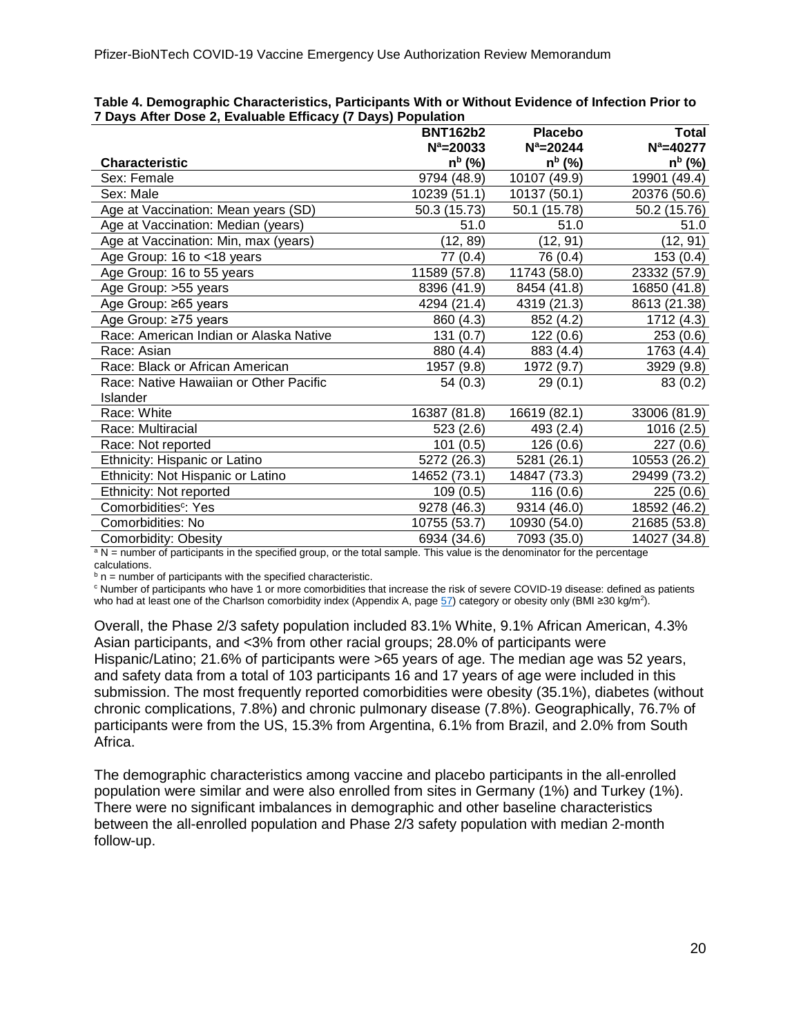|                                        | <b>BNT162b2</b> | <b>Placebo</b> | <b>Total</b>       |
|----------------------------------------|-----------------|----------------|--------------------|
|                                        | $N^a = 20033$   | $N^a = 20244$  | $N^a = 40277$      |
| Characteristic                         | $n^{b}$ (%)     | $n^{b}$ (%)    | n <sup>b</sup> (%) |
| Sex: Female                            | 9794 (48.9)     | 10107 (49.9)   | 19901 (49.4)       |
| Sex: Male                              | 10239 (51.1)    | 10137 (50.1)   | 20376 (50.6)       |
| Age at Vaccination: Mean years (SD)    | 50.3 (15.73)    | 50.1 (15.78)   | 50.2 (15.76)       |
| Age at Vaccination: Median (years)     | 51.0            | 51.0           | 51.0               |
| Age at Vaccination: Min, max (years)   | (12, 89)        | (12, 91)       | (12, 91)           |
| Age Group: 16 to <18 years             | 77 (0.4)        | 76 (0.4)       | 153(0.4)           |
| Age Group: 16 to 55 years              | 11589 (57.8)    | 11743 (58.0)   | 23332 (57.9)       |
| Age Group: >55 years                   | 8396 (41.9)     | 8454 (41.8)    | 16850 (41.8)       |
| Age Group: ≥65 years                   | 4294 (21.4)     | 4319 (21.3)    | 8613 (21.38)       |
| Age Group: ≥75 years                   | 860 (4.3)       | 852 (4.2)      | 1712 (4.3)         |
| Race: American Indian or Alaska Native | 131(0.7)        | 122(0.6)       | 253(0.6)           |
| Race: Asian                            | 880 (4.4)       | 883 (4.4)      | 1763 (4.4)         |
| Race: Black or African American        | 1957 (9.8)      | 1972 (9.7)     | 3929 (9.8)         |
| Race: Native Hawaiian or Other Pacific | 54(0.3)         | 29(0.1)        | 83 (0.2)           |
| Islander                               |                 |                |                    |
| Race: White                            | 16387 (81.8)    | 16619 (82.1)   | 33006 (81.9)       |
| Race: Multiracial                      | 523(2.6)        | 493 (2.4)      | 1016 (2.5)         |
| Race: Not reported                     | 101(0.5)        | 126(0.6)       | 227(0.6)           |
| Ethnicity: Hispanic or Latino          | 5272 (26.3)     | 5281 (26.1)    | 10553 (26.2)       |
| Ethnicity: Not Hispanic or Latino      | 14652 (73.1)    | 14847 (73.3)   | 29499 (73.2)       |
| Ethnicity: Not reported                | 109 (0.5)       | 116(0.6)       | 225(0.6)           |
| Comorbidities <sup>c</sup> : Yes       | 9278 (46.3)     | 9314 (46.0)    | 18592 (46.2)       |
| Comorbidities: No                      | 10755 (53.7)    | 10930 (54.0)   | 21685 (53.8)       |
| Comorbidity: Obesity                   | 6934 (34.6)     | 7093 (35.0)    | 14027 (34.8)       |

**Table 4. Demographic Characteristics, Participants With or Without Evidence of Infection Prior to 7 Days After Dose 2, Evaluable Efficacy (7 Days) Population**

<sup>a</sup> N = number of participants in the specified group, or the total sample. This value is the denominator for the percentage

calculations.<br> $\binom{b}{r}$  n = number of participants with the specified characteristic.

 $\circ$  Number of participants who have 1 or more comorbidities that increase the risk of severe COVID-19 disease: defined as patients

who had at least one of the Charlson comorbidity index (Appendix A, page [57\)](#page-56-0) category or obesity only (BMI ≥30 kg/m<sup>2</sup>).

Overall, the Phase 2/3 safety population included 83.1% White, 9.1% African American, 4.3% Asian participants, and <3% from other racial groups; 28.0% of participants were Hispanic/Latino; 21.6% of participants were >65 years of age. The median age was 52 years, and safety data from a total of 103 participants 16 and 17 years of age were included in this submission. The most frequently reported comorbidities were obesity (35.1%), diabetes (without chronic complications, 7.8%) and chronic pulmonary disease (7.8%). Geographically, 76.7% of participants were from the US, 15.3% from Argentina, 6.1% from Brazil, and 2.0% from South Africa.

The demographic characteristics among vaccine and placebo participants in the all-enrolled population were similar and were also enrolled from sites in Germany (1%) and Turkey (1%). There were no significant imbalances in demographic and other baseline characteristics between the all-enrolled population and Phase 2/3 safety population with median 2-month follow-up.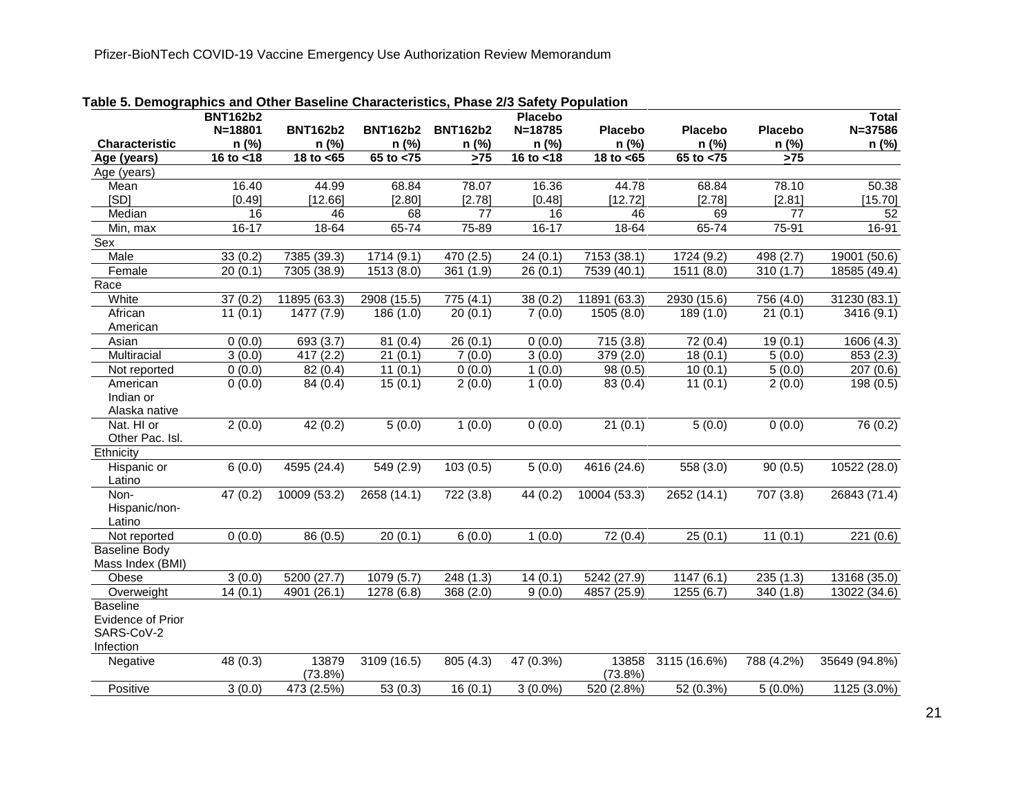<span id="page-20-0"></span>

|                       | <b>BNT162b2</b>     |                        |                       |                  | <b>Placebo</b>      |                          |                        |                 | <b>Total</b>           |
|-----------------------|---------------------|------------------------|-----------------------|------------------|---------------------|--------------------------|------------------------|-----------------|------------------------|
|                       | N=18801             | <b>BNT162b2</b>        | <b>BNT162b2</b>       | <b>BNT162b2</b>  | N=18785             | <b>Placebo</b>           | <b>Placebo</b>         | <b>Placebo</b>  | $N = 37586$            |
| <b>Characteristic</b> | n (%)               | n (%)                  | n (%)                 | n (%)            | n (%)               | n (%)                    | n (%)                  | n (%)           | n (%)                  |
| Age (years)           | 16 to <18           | $\overline{18}$ to <65 | $65$ to $< 75$        | $\overline{>75}$ | 16 to $<$ 18        | 18 to $<$ 65             | $65$ to $< 75$         | >75             |                        |
| Age (years)           |                     |                        |                       |                  |                     |                          |                        |                 |                        |
| Mean                  | 16.40               | 44.99                  | 68.84                 | 78.07            | 16.36               | 44.78                    | 68.84                  | 78.10           | 50.38                  |
| [SD]                  | [0.49]              | [12.66]                | [2.80]                | [2.78]           | [0.48]              | [12.72]                  | [2.78]                 | [2.81]          | [15.70]                |
| Median                | 16                  | 46                     | 68                    | $\overline{77}$  | 16                  | 46                       | 69                     | $\overline{77}$ | 52                     |
| Min, max              | $16 - 17$           | 18-64                  | 65-74                 | 75-89            | $16 - 17$           | 18-64                    | 65-74                  | 75-91           | 16-91                  |
| Sex                   |                     |                        |                       |                  |                     |                          |                        |                 |                        |
| Male                  | 33(0.2)             | 7385 (39.3)            | 1714(9.1)             | 470 (2.5)        | 24(0.1)             | 7153 (38.1)              | 1724 (9.2)             | 498 (2.7)       | 19001 (50.6)           |
| Female                | 20(0.1)             | 7305 (38.9)            | 1513(8.0)             | 361(1.9)         | 26(0.1)             | 7539(40.1)               | 1511(8.0)              | 310 $(1.7)$     | 18585 (49.4)           |
| Race                  |                     |                        |                       |                  |                     |                          |                        |                 |                        |
| White                 | 37(0.2)             | 11895 (63.3)           | 2908 (15.5)           | 775(4.1)         | 38(0.2)             | 11891(63.3)              | 2930 (15.6)            | 756(4.0)        | 31230(83.1)            |
| African               | 11(0.1)             | 1477 (7.9)             | 186(1.0)              | 20(0.1)          | 7(0.0)              | 1505 (8.0)               | 189 (1.0)              | 21(0.1)         | 3416 (9.1)             |
| American              |                     |                        |                       |                  |                     |                          |                        |                 |                        |
| Asian                 | 0(0.0)              | 693 (3.7)              | 81(0.4)               | 26(0.1)          | 0(0.0)              | 715(3.8)                 | 72 (0.4)               | 19(0.1)         | 1606 (4.3)             |
| Multiracial           | $\overline{3}(0.0)$ | 417(2.2)               | $\overline{21}$ (0.1) | 7(0.0)           | $\overline{3(0.0)}$ | 379(2.0)                 | 18(0.1)                | 5(0.0)          | 853 (2.3)              |
| Not reported          | 0(0.0)              | 82(0.4)                | 11(0.1)               | 0(0.0)           | 1(0.0)              | 98(0.5)                  | 10(0.1)                | 5(0.0)          | 207(0.6)               |
| American              | 0(0.0)              | 84 (0.4)               | 15(0.1)               | 2(0.0)           | 1(0.0)              | 83 (0.4)                 | 11(0.1)                | 2(0.0)          | $\overline{198}$ (0.5) |
| Indian or             |                     |                        |                       |                  |                     |                          |                        |                 |                        |
| Alaska native         |                     |                        |                       |                  |                     |                          |                        |                 |                        |
| Nat. HI or            | 2(0.0)              | 42(0.2)                | 5(0.0)                | 1(0.0)           | 0(0.0)              | 21(0.1)                  | 5(0.0)                 | 0(0.0)          | 76(0.2)                |
| Other Pac. Isl.       |                     |                        |                       |                  |                     |                          |                        |                 |                        |
| Ethnicity             |                     |                        |                       |                  |                     |                          |                        |                 |                        |
| Hispanic or           | 6(0.0)              | 4595 (24.4)            | 549(2.9)              | 103(0.5)         | 5(0.0)              | 4616 (24.6)              | 558(3.0)               | 90(0.5)         | 10522 (28.0)           |
| Latino                |                     |                        |                       |                  |                     |                          |                        |                 |                        |
| Non-                  | 47 (0.2)            | 10009 (53.2)           | 2658 (14.1)           | 722 (3.8)        | 44 (0.2)            | 10004 (53.3)             | 2652 (14.1)            | 707 (3.8)       | 26843 (71.4)           |
| Hispanic/non-         |                     |                        |                       |                  |                     |                          |                        |                 |                        |
| Latino                |                     |                        |                       |                  |                     |                          |                        |                 |                        |
| Not reported          | 0(0.0)              | 86(0.5)                | 20(0.1)               | 6(0.0)           | 1(0.0)              | 72(0.4)                  | 25(0.1)                | 11(0.1)         | 221(0.6)               |
| <b>Baseline Body</b>  |                     |                        |                       |                  |                     |                          |                        |                 |                        |
| Mass Index (BMI)      |                     |                        |                       |                  |                     |                          |                        |                 |                        |
| Obese                 | 3(0.0)              | 5200(27.7)             | 1079(5.7)             | 248(1.3)         | 14(0.1)             | 5242(27.9)               | 1147(6.1)              | 235(1.3)        | 13168 (35.0)           |
| Overweight            | 14(0.1)             | 4901 (26.1)            | 1278(6.8)             | 368(2.0)         | 9(0.0)              | 4857 (25.9)              | 1255(6.7)              | 340 (1.8)       | 13022 (34.6)           |
| <b>Baseline</b>       |                     |                        |                       |                  |                     |                          |                        |                 |                        |
| Evidence of Prior     |                     |                        |                       |                  |                     |                          |                        |                 |                        |
| SARS-CoV-2            |                     |                        |                       |                  |                     |                          |                        |                 |                        |
| Infection             |                     |                        |                       |                  |                     |                          |                        |                 |                        |
| Negative              | 48 (0.3)            | 13879                  | 3109 (16.5)           | 805 (4.3)        | 47 (0.3%)           | 13858                    | 3115 (16.6%)           | 788 (4.2%)      | 35649 (94.8%)          |
| Positive              | 3(0.0)              | $(73.8\%)$             | 53(0.3)               |                  |                     | $(73.8\%)$<br>520 (2.8%) |                        |                 |                        |
|                       |                     | 473 (2.5%)             |                       | 16(0.1)          | $3(0.0\%)$          |                          | $\overline{52(0.3\%)}$ | $5(0.0\%)$      | 1125 (3.0%)            |

**Table 5. Demographics and Other Baseline Characteristics, Phase 2/3 Safety Population**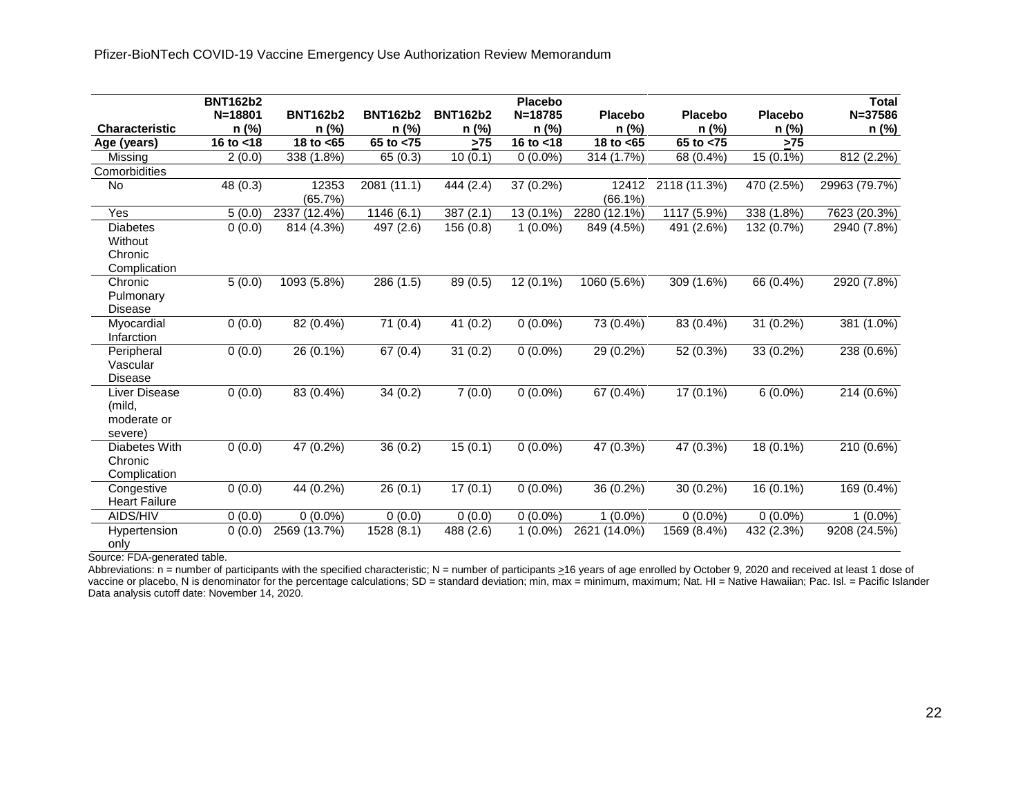|                                                       | <b>BNT162b2</b> |                  |                 |                 | <b>Placebo</b> |                     |                |                | <b>Total</b>  |
|-------------------------------------------------------|-----------------|------------------|-----------------|-----------------|----------------|---------------------|----------------|----------------|---------------|
|                                                       | $N = 18801$     | <b>BNT162b2</b>  | <b>BNT162b2</b> | <b>BNT162b2</b> | $N = 18785$    | Placebo             | <b>Placebo</b> | <b>Placebo</b> | $N = 37586$   |
| <b>Characteristic</b>                                 | n (%)           | n (%)            | n (%)           | n (%)           | n (%)          | n (%)               | n (%)          | n (%)          | n (%)         |
| Age (years)                                           | 16 to $<$ 18    | 18 to <65        | 65 to $< 75$    | >75             | 16 to $<$ 18   | 18 to <65           | 65 to <75      | $>75$          |               |
| Missing                                               | 2(0.0)          | 338 (1.8%)       | 65 (0.3)        | 10(0.1)         | $0(0.0\%)$     | 314 (1.7%)          | 68 (0.4%)      | 15 (0.1%)      | 812 (2.2%)    |
| Comorbidities                                         |                 |                  |                 |                 |                |                     |                |                |               |
| No                                                    | 48 (0.3)        | 12353<br>(65.7%) | 2081 (11.1)     | 444 (2.4)       | 37 (0.2%)      | 12412<br>$(66.1\%)$ | 2118 (11.3%)   | 470 (2.5%)     | 29963 (79.7%) |
| Yes                                                   | 5(0.0)          | 2337 (12.4%)     | 1146(6.1)       | 387(2.1)        | 13 (0.1%)      | 2280 (12.1%)        | 1117 (5.9%)    | 338 $(1.8\%)$  | 7623 (20.3%)  |
| <b>Diabetes</b><br>Without<br>Chronic<br>Complication | 0(0.0)          | 814 (4.3%)       | 497 (2.6)       | 156(0.8)        | $1(0.0\%)$     | 849 (4.5%)          | 491 (2.6%)     | 132 (0.7%)     | 2940 (7.8%)   |
| Chronic<br>Pulmonary<br><b>Disease</b>                | 5(0.0)          | 1093 (5.8%)      | 286 (1.5)       | 89 (0.5)        | 12 (0.1%)      | 1060 (5.6%)         | 309 (1.6%)     | 66 (0.4%)      | 2920 (7.8%)   |
| Myocardial<br>Infarction                              | 0(0.0)          | 82 (0.4%)        | 71(0.4)         | 41(0.2)         | $0(0.0\%)$     | 73 (0.4%)           | 83 (0.4%)      | 31 (0.2%)      | 381 (1.0%)    |
| Peripheral<br>Vascular<br><b>Disease</b>              | 0(0.0)          | 26 (0.1%)        | 67(0.4)         | 31(0.2)         | $0(0.0\%)$     | 29 (0.2%)           | 52 (0.3%)      | 33 (0.2%)      | 238 (0.6%)    |
| Liver Disease<br>(mild,<br>moderate or<br>severe)     | 0(0.0)          | 83 (0.4%)        | 34(0.2)         | 7(0.0)          | $0(0.0\%)$     | 67 (0.4%)           | 17 (0.1%)      | $6(0.0\%)$     | 214 (0.6%)    |
| Diabetes With<br>Chronic<br>Complication              | 0(0.0)          | 47 (0.2%)        | 36(0.2)         | 15(0.1)         | $0(0.0\%)$     | 47 (0.3%)           | 47 (0.3%)      | 18 (0.1%)      | 210 (0.6%)    |
| Congestive<br><b>Heart Failure</b>                    | 0(0.0)          | 44 (0.2%)        | 26(0.1)         | 17(0.1)         | $0(0.0\%)$     | 36 (0.2%)           | 30 (0.2%)      | 16 (0.1%)      | 169 (0.4%)    |
| AIDS/HIV                                              | 0(0.0)          | $0(0.0\%)$       | 0(0.0)          | 0(0.0)          | $0(0.0\%)$     | $1(0.0\%)$          | $0(0.0\%)$     | $0(0.0\%)$     | $1(0.0\%)$    |
| Hypertension<br>only                                  | 0(0.0)          | 2569 (13.7%)     | 1528 (8.1)      | 488 (2.6)       | $1(0.0\%)$     | 2621 (14.0%)        | 1569 (8.4%)    | 432 (2.3%)     | 9208 (24.5%)  |

Source: FDA-generated table.

Abbreviations: n = number of participants with the specified characteristic; N = number of participants  $\geq 16$  years of age enrolled by October 9, 2020 and received at least 1 dose of vaccine or placebo, N is denominator for the percentage calculations; SD = standard deviation; min, max = minimum, maximum; Nat. HI = Native Hawaiian; Pac. Isl. = Pacific Islander Data analysis cutoff date: November 14, 2020.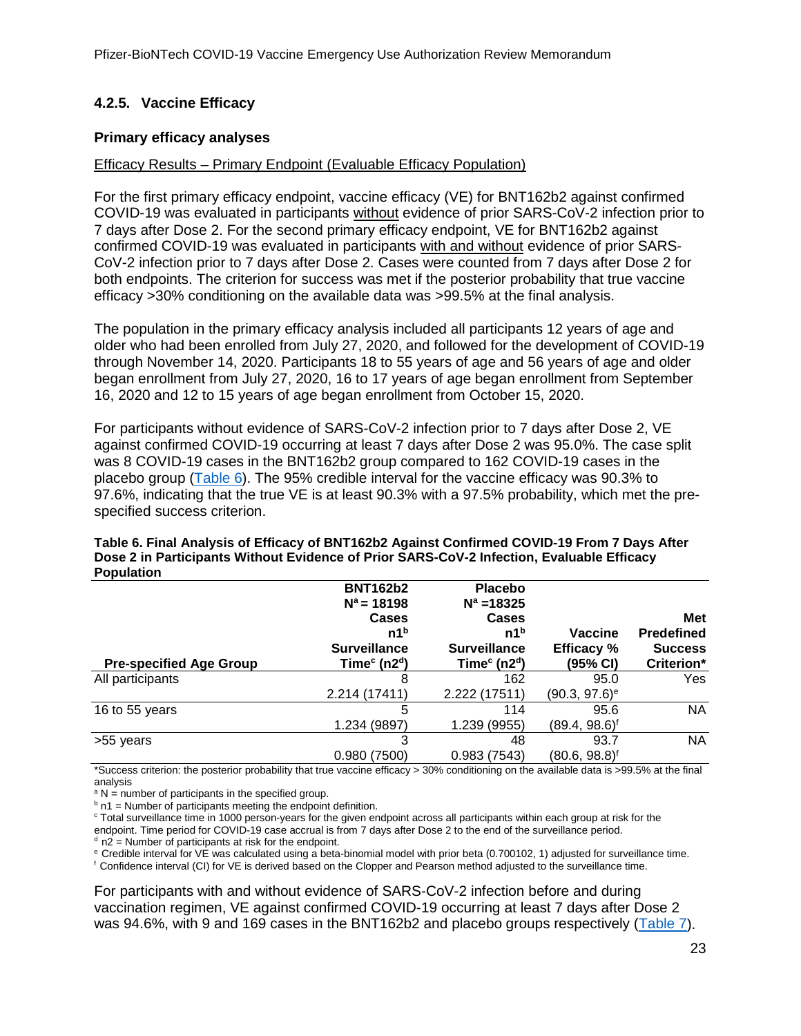# <span id="page-22-0"></span>**4.2.5. Vaccine Efficacy**

### **Primary efficacy analyses**

### Efficacy Results – Primary Endpoint (Evaluable Efficacy Population)

For the first primary efficacy endpoint, vaccine efficacy (VE) for BNT162b2 against confirmed COVID-19 was evaluated in participants without evidence of prior SARS-CoV-2 infection prior to 7 days after Dose 2. For the second primary efficacy endpoint, VE for BNT162b2 against confirmed COVID-19 was evaluated in participants with and without evidence of prior SARS-CoV-2 infection prior to 7 days after Dose 2. Cases were counted from 7 days after Dose 2 for both endpoints. The criterion for success was met if the posterior probability that true vaccine efficacy >30% conditioning on the available data was >99.5% at the final analysis.

The population in the primary efficacy analysis included all participants 12 years of age and older who had been enrolled from July 27, 2020, and followed for the development of COVID-19 through November 14, 2020. Participants 18 to 55 years of age and 56 years of age and older began enrollment from July 27, 2020, 16 to 17 years of age began enrollment from September 16, 2020 and 12 to 15 years of age began enrollment from October 15, 2020.

For participants without evidence of SARS-CoV-2 infection prior to 7 days after Dose 2, VE against confirmed COVID-19 occurring at least 7 days after Dose 2 was 95.0%. The case split was 8 COVID-19 cases in the BNT162b2 group compared to 162 COVID-19 cases in the placebo group [\(Table 6\)](#page-22-1). The 95% credible interval for the vaccine efficacy was 90.3% to 97.6%, indicating that the true VE is at least 90.3% with a 97.5% probability, which met the prespecified success criterion.

| <b>Pre-specified Age Group</b> | <b>BNT162b2</b><br>$N^a = 18198$<br><b>Cases</b><br>n1 <sup>b</sup><br><b>Surveillance</b><br>Time $c$ (n2 <sup>d</sup> ) | <b>Placebo</b><br>$N^a = 18325$<br>Cases<br>n1 <sup>b</sup><br><b>Surveillance</b><br>Time $c$ (n2 <sup>d</sup> ) | <b>Vaccine</b><br><b>Efficacy</b> %<br>(95% CI) | <b>Met</b><br><b>Predefined</b><br><b>Success</b><br>Criterion* |
|--------------------------------|---------------------------------------------------------------------------------------------------------------------------|-------------------------------------------------------------------------------------------------------------------|-------------------------------------------------|-----------------------------------------------------------------|
| All participants               | 8<br>2.214 (17411)                                                                                                        | 162<br>2.222 (17511)                                                                                              | 95.0<br>$(90.3, 97.6)$ <sup>e</sup>             | Yes                                                             |
| 16 to 55 years                 | 5<br>1.234 (9897)                                                                                                         | 114<br>1.239 (9955)                                                                                               | 95.6<br>(89.4, 98.6) <sup>f</sup>               | <b>NA</b>                                                       |
| >55 years                      | 3<br>0.980(7500)                                                                                                          | 48<br>0.983(7543)                                                                                                 | 93.7<br>(80.6, 98.8) <sup>f</sup>               | <b>NA</b>                                                       |

#### <span id="page-22-1"></span>**Table 6. Final Analysis of Efficacy of BNT162b2 Against Confirmed COVID-19 From 7 Days After Dose 2 in Participants Without Evidence of Prior SARS-CoV-2 Infection, Evaluable Efficacy Population**

\*Success criterion: the posterior probability that true vaccine efficacy > 30% conditioning on the available data is >99.5% at the final analysis<br>  $^{\text{a}}$  N = number of participants in the specified group.

 $b$  n1 = Number of participants meeting the endpoint definition.

<sup>c</sup> Total surveillance time in 1000 person-years for the given endpoint across all participants within each group at risk for the endpoint. Time period for COVID-19 case accrual is from 7 days after Dose 2 to the end of the surveillance period.  $d$  n2 = Number of participants at risk for the endpoint.

e Credible interval for VE was calculated using a beta-binomial model with prior beta (0.700102, 1) adjusted for surveillance time.

f Confidence interval (CI) for VE is derived based on the Clopper and Pearson method adjusted to the surveillance time.

For participants with and without evidence of SARS-CoV-2 infection before and during vaccination regimen, VE against confirmed COVID-19 occurring at least 7 days after Dose 2 was 94.6%, with 9 and 169 cases in the BNT162b2 and placebo groups respectively [\(Table 7\)](#page-23-0).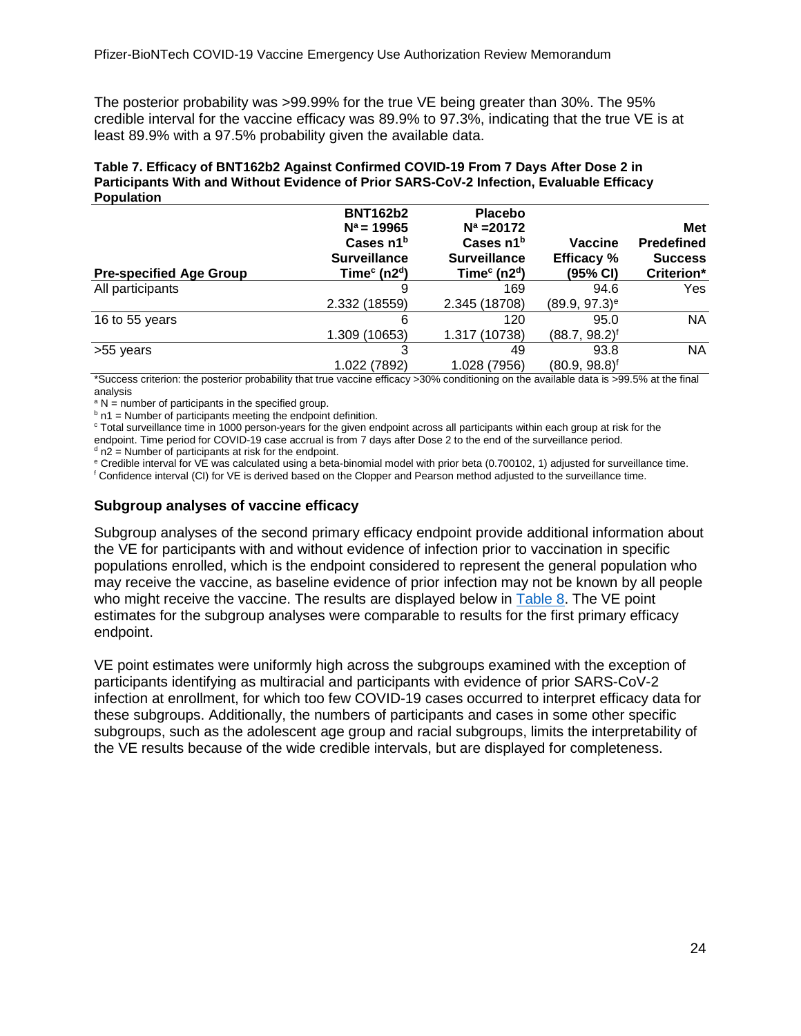The posterior probability was >99.99% for the true VE being greater than 30%. The 95% credible interval for the vaccine efficacy was 89.9% to 97.3%, indicating that the true VE is at least 89.9% with a 97.5% probability given the available data.

<span id="page-23-0"></span>

| Table 7. Efficacy of BNT162b2 Against Confirmed COVID-19 From 7 Days After Dose 2 in     |
|------------------------------------------------------------------------------------------|
| Participants With and Without Evidence of Prior SARS-CoV-2 Infection, Evaluable Efficacy |
| <b>Population</b>                                                                        |

| <b>Pre-specified Age Group</b> | <b>BNT162b2</b><br>$N^a = 19965$<br>Cases n1 <sup>b</sup><br><b>Surveillance</b><br>Time $c$ (n2 <sup>d</sup> ) | <b>Placebo</b><br>$N^a = 20172$<br>Cases n1 <sup>b</sup><br><b>Surveillance</b><br>Time $c$ (n2 <sup>d</sup> ) | Vaccine<br><b>Efficacy</b> %<br>(95% CI) | Met<br><b>Predefined</b><br><b>Success</b><br>Criterion* |
|--------------------------------|-----------------------------------------------------------------------------------------------------------------|----------------------------------------------------------------------------------------------------------------|------------------------------------------|----------------------------------------------------------|
| All participants               | 9                                                                                                               | 169                                                                                                            | 94.6                                     | Yes                                                      |
|                                | 2.332 (18559)                                                                                                   | 2.345 (18708)                                                                                                  | $(89.9, 97.3)$ <sup>e</sup>              |                                                          |
| 16 to 55 years                 | 6                                                                                                               | 120                                                                                                            | 95.0                                     | NA                                                       |
|                                | 1.309 (10653)                                                                                                   | 1.317 (10738)                                                                                                  | $(88.7, 98.2)^f$                         |                                                          |
| >55 years                      | 3                                                                                                               | 49                                                                                                             | 93.8                                     | NA                                                       |
|                                | 1.022 (7892)                                                                                                    | 1.028 (7956)                                                                                                   | $(80.9, 98.8)^f$                         |                                                          |

\*Success criterion: the posterior probability that true vaccine efficacy >30% conditioning on the available data is >99.5% at the final analysis<br><sup>a</sup> N = number of participants in the specified group.

 $b$  n1 = Number of participants meeting the endpoint definition.

<sup>c</sup> Total surveillance time in 1000 person-years for the given endpoint across all participants within each group at risk for the endpoint. Time period for COVID-19 case accrual is from 7 days after Dose 2 to the end of the surveillance period.

 $d$  n2 = Number of participants at risk for the endpoint.

<sup>e</sup> Credible interval for VE was calculated using a beta-binomial model with prior beta (0.700102, 1) adjusted for surveillance time.

<sup>f</sup> Confidence interval (CI) for VE is derived based on the Clopper and Pearson method adjusted to the surveillance time.

### **Subgroup analyses of vaccine efficacy**

Subgroup analyses of the second primary efficacy endpoint provide additional information about the VE for participants with and without evidence of infection prior to vaccination in specific populations enrolled, which is the endpoint considered to represent the general population who may receive the vaccine, as baseline evidence of prior infection may not be known by all people who might receive the vaccine. The results are displayed below in [Table 8.](#page-23-1) The VE point estimates for the subgroup analyses were comparable to results for the first primary efficacy endpoint.

<span id="page-23-1"></span>VE point estimates were uniformly high across the subgroups examined with the exception of participants identifying as multiracial and participants with evidence of prior SARS-CoV-2 infection at enrollment, for which too few COVID-19 cases occurred to interpret efficacy data for these subgroups. Additionally, the numbers of participants and cases in some other specific subgroups, such as the adolescent age group and racial subgroups, limits the interpretability of the VE results because of the wide credible intervals, but are displayed for completeness.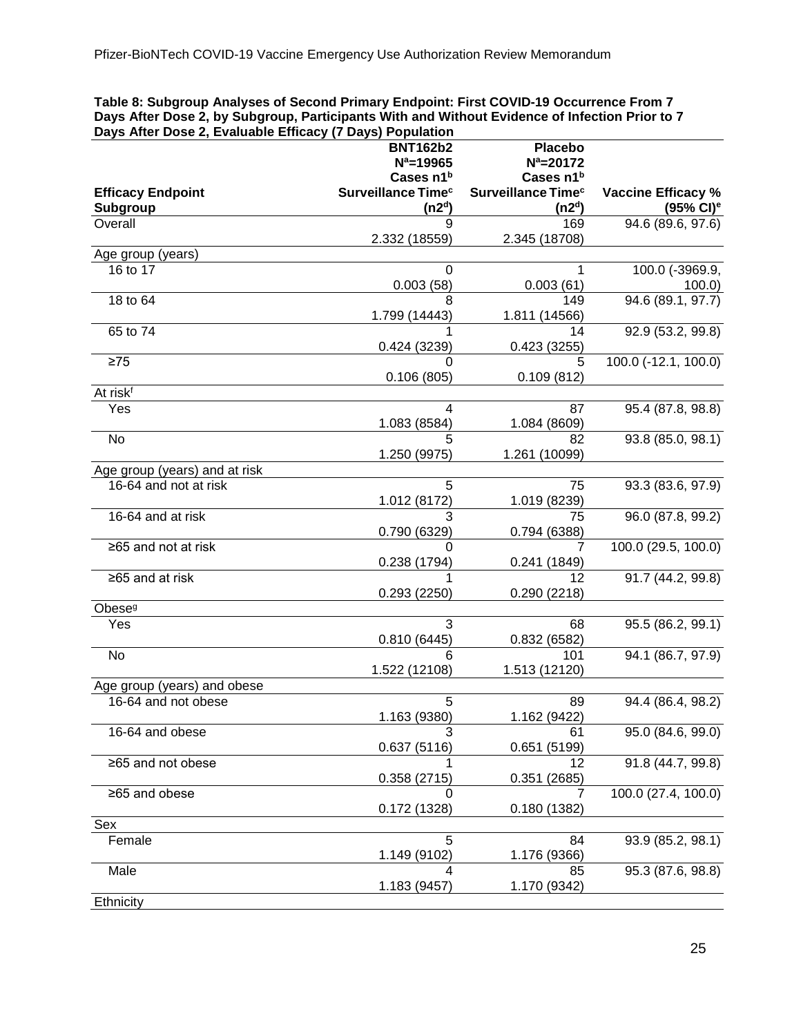#### <span id="page-24-0"></span>**Table 8: Subgroup Analyses of Second Primary Endpoint: First COVID-19 Occurrence From 7 Days After Dose 2, by Subgroup, Participants With and Without Evidence of Infection Prior to 7 Days After Dose 2, Evaluable Efficacy (7 Days) Population**

| Days Alter Dose Z, Evaluable Emicacy (7 Days) Fopulation |                                |                                |                           |
|----------------------------------------------------------|--------------------------------|--------------------------------|---------------------------|
|                                                          | <b>BNT162b2</b>                | <b>Placebo</b>                 |                           |
|                                                          | $N^a = 19965$                  | $N^a = 20172$                  |                           |
|                                                          | Cases n1 <sup>b</sup>          | Cases n1 <sup>b</sup>          |                           |
| <b>Efficacy Endpoint</b>                                 | Surveillance Time <sup>c</sup> | Surveillance Time <sup>c</sup> | <b>Vaccine Efficacy %</b> |
| Subgroup                                                 | (n2 <sup>d</sup> )             | (n2 <sup>d</sup> )             | $(95\% \text{ Cl})^e$     |
| Overall                                                  | 9                              | 169                            | 94.6 (89.6, 97.6)         |
|                                                          |                                |                                |                           |
|                                                          | 2.332 (18559)                  | 2.345 (18708)                  |                           |
| Age group (years)                                        |                                |                                |                           |
| 16 to 17                                                 | 0                              | 1                              | 100.0 (-3969.9,           |
|                                                          | 0.003(58)                      | 0.003(61)                      | 100.0                     |
| 18 to 64                                                 | 8                              | 149                            | 94.6 (89.1, 97.7)         |
|                                                          | 1.799 (14443)                  | 1.811 (14566)                  |                           |
| 65 to 74                                                 |                                | 14                             |                           |
|                                                          |                                |                                | 92.9 (53.2, 99.8)         |
|                                                          | 0.424 (3239)                   | 0.423(3255)                    |                           |
| $\geq 75$                                                |                                | 5                              | 100.0 (-12.1, 100.0)      |
|                                                          | 0.106(805)                     | 0.109(812)                     |                           |
| At risk <sup>f</sup>                                     |                                |                                |                           |
| Yes                                                      | 4                              | 87                             | 95.4 (87.8, 98.8)         |
|                                                          | 1.083 (8584)                   | 1.084 (8609)                   |                           |
|                                                          |                                |                                |                           |
| No                                                       |                                | 82                             | 93.8 (85.0, 98.1)         |
|                                                          | 1.250 (9975)                   | 1.261 (10099)                  |                           |
| Age group (years) and at risk                            |                                |                                |                           |
| 16-64 and not at risk                                    | 5                              | 75                             | 93.3 (83.6, 97.9)         |
|                                                          | 1.012 (8172)                   | 1.019 (8239)                   |                           |
| 16-64 and at risk                                        | 3                              | 75                             | 96.0 (87.8, 99.2)         |
|                                                          |                                |                                |                           |
|                                                          | 0.790 (6329)                   | 0.794 (6388)                   |                           |
| ≥65 and not at risk                                      | 0                              | 7                              | 100.0 (29.5, 100.0)       |
|                                                          | 0.238 (1794)                   | 0.241(1849)                    |                           |
| ≥65 and at risk                                          |                                | 12                             | 91.7 (44.2, 99.8)         |
|                                                          | 0.293(2250)                    | 0.290 (2218)                   |                           |
| Obese <sup>g</sup>                                       |                                |                                |                           |
| Yes                                                      | 3                              | 68                             |                           |
|                                                          |                                |                                | 95.5 (86.2, 99.1)         |
|                                                          | 0.810(6445)                    | 0.832(6582)                    |                           |
| No                                                       | 6                              | 101                            | 94.1 (86.7, 97.9)         |
|                                                          | 1.522 (12108)                  | 1.513 (12120)                  |                           |
| Age group (years) and obese                              |                                |                                |                           |
| 16-64 and not obese                                      | 5                              | 89                             | 94.4 (86.4, 98.2)         |
|                                                          | 1.163 (9380)                   | 1.162 (9422)                   |                           |
|                                                          | 3                              | 61                             | 95.0 (84.6, 99.0)         |
| 16-64 and obese                                          |                                |                                |                           |
|                                                          | 0.637(5116)                    | 0.651(5199)                    |                           |
| ≥65 and not obese                                        |                                | 12                             | 91.8 (44.7, 99.8)         |
|                                                          | 0.358(2715)                    | 0.351(2685)                    |                           |
| ≥65 and obese                                            | 0                              |                                | 100.0 (27.4, 100.0)       |
|                                                          | 0.172 (1328)                   | 0.180 (1382)                   |                           |
| Sex                                                      |                                |                                |                           |
|                                                          |                                |                                |                           |
| Female                                                   | 5                              | 84                             | 93.9 (85.2, 98.1)         |
|                                                          | 1.149 (9102)                   | 1.176 (9366)                   |                           |
| Male                                                     |                                | 85                             | 95.3 (87.6, 98.8)         |
|                                                          | 1.183 (9457)                   | 1.170 (9342)                   |                           |
| Ethnicity                                                |                                |                                |                           |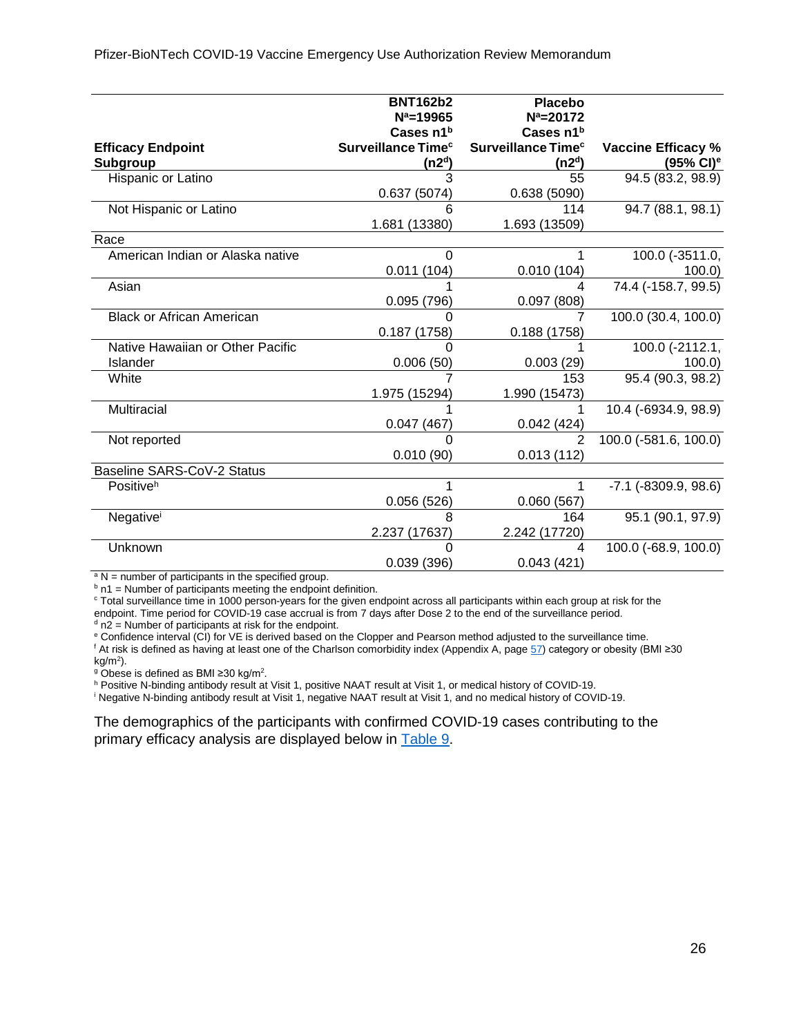|                                  | <b>BNT162b2</b><br>$N^a = 19965$ | <b>Placebo</b><br>$N^a = 20172$ |                            |
|----------------------------------|----------------------------------|---------------------------------|----------------------------|
|                                  | Cases n1b                        | Cases n1b                       |                            |
| <b>Efficacy Endpoint</b>         | Surveillance Time <sup>c</sup>   | Surveillance Time <sup>c</sup>  | <b>Vaccine Efficacy %</b>  |
| Subgroup                         | (n2 <sup>d</sup> )               | (n2 <sup>d</sup> )              | $(95\% \text{ Cl})^e$      |
| Hispanic or Latino               | 3                                | 55                              | 94.5 (83.2, 98.9)          |
|                                  | 0.637(5074)                      | 0.638(5090)                     |                            |
| Not Hispanic or Latino           | 6                                | 114                             | 94.7 (88.1, 98.1)          |
|                                  | 1.681 (13380)                    | 1.693 (13509)                   |                            |
| Race                             |                                  |                                 |                            |
| American Indian or Alaska native | $\Omega$                         |                                 | 100.0 (-3511.0,            |
|                                  | 0.011(104)                       | 0.010(104)                      | 100.0                      |
| Asian                            |                                  | 4                               | 74.4 (-158.7, 99.5)        |
|                                  | 0.095(796)                       | 0.097(808)                      |                            |
| <b>Black or African American</b> |                                  |                                 | 100.0 (30.4, 100.0)        |
|                                  | 0.187(1758)                      | 0.188(1758)                     |                            |
| Native Hawaiian or Other Pacific |                                  |                                 | 100.0 (-2112.1,            |
| Islander                         | 0.006(50)                        | 0.003(29)                       | 100.0                      |
| White                            |                                  | 153                             | 95.4 (90.3, 98.2)          |
|                                  | 1.975 (15294)                    | 1.990 (15473)                   |                            |
| Multiracial                      |                                  |                                 | 10.4 (-6934.9, 98.9)       |
|                                  | 0.047(467)                       | 0.042(424)                      |                            |
| Not reported                     | ∩                                | $\mathcal{P}$                   | 100.0 (-581.6, 100.0)      |
|                                  | 0.010(90)                        | 0.013(112)                      |                            |
| Baseline SARS-CoV-2 Status       |                                  |                                 |                            |
| Positive <sup>h</sup>            |                                  |                                 | $-7.1$ ( $-8309.9, 98.6$ ) |
|                                  | 0.056(526)                       | 0.060(567)                      |                            |
| Negativei                        | 8                                | 164                             | 95.1 (90.1, 97.9)          |
|                                  | 2.237 (17637)                    | 2.242 (17720)                   |                            |
| Unknown                          | ∩                                | 4                               | 100.0 (-68.9, 100.0)       |
|                                  | 0.039(396)                       | 0.043(421)                      |                            |

<sup>a</sup> N = number of participants in the specified group.<br><sup>b</sup> n1 = Number of participants meeting the endpoint definition.

<sup>c</sup> Total surveillance time in 1000 person-years for the given endpoint across all participants within each group at risk for the endpoint. Time period for COVID-19 case accrual is from 7 days after Dose 2 to the end of the surveillance period.  $d$  n2 = Number of participants at risk for the endpoint.

<sup>e</sup> Confidence interval (CI) for VE is derived based on the Clopper and Pearson method adjusted to the surveillance time. <sup>f</sup> At risk is defined as having at least one of the Charlson comorbidity index (Appendix A, page [57\)](#page-56-0) category or obesity (BMI ≥30 kg/m<sup>2</sup>).

<sup>9</sup> Obese is defined as BMI ≥30 kg/m<sup>2</sup>.

h Positive N-binding antibody result at Visit 1, positive NAAT result at Visit 1, or medical history of COVID-19.

<sup>i</sup> Negative N-binding antibody result at Visit 1, negative NAAT result at Visit 1, and no medical history of COVID-19.

<span id="page-25-0"></span>The demographics of the participants with confirmed COVID-19 cases contributing to the primary efficacy analysis are displayed below in [Table 9.](#page-25-0)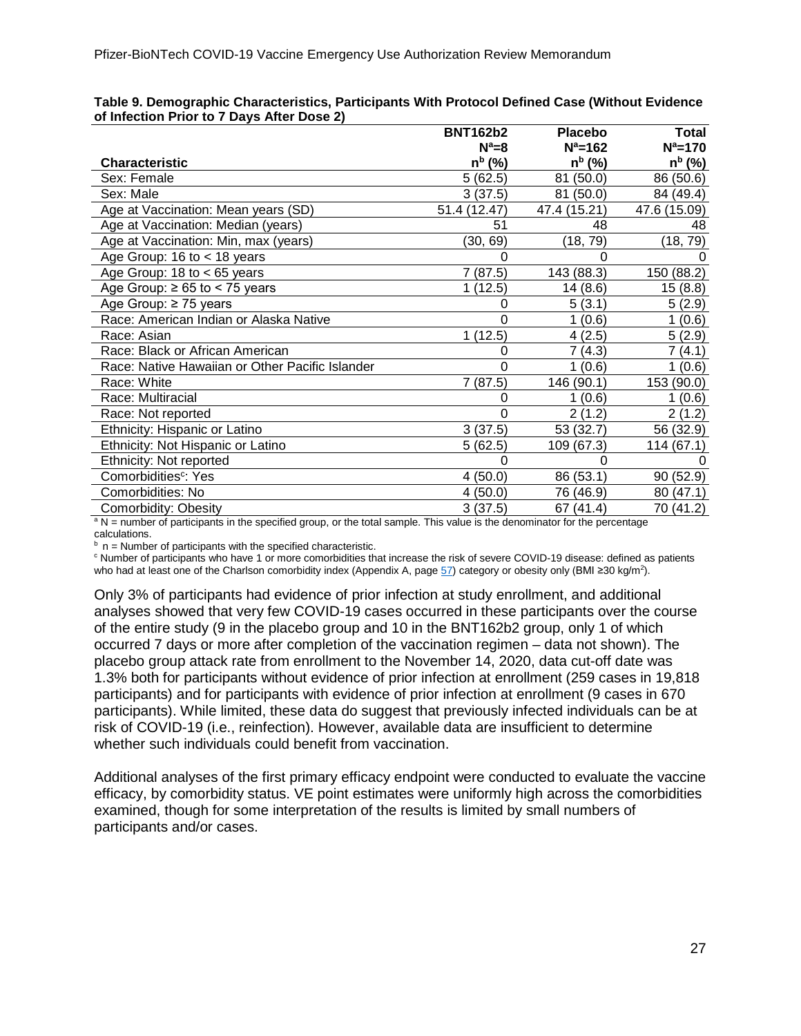|                                                 | <b>BNT162b2</b> | Placebo      | Total              |
|-------------------------------------------------|-----------------|--------------|--------------------|
|                                                 | $N^a=8$         | $N^a = 162$  | $N^a = 170$        |
| <b>Characteristic</b>                           | $n^{b}$ (%)     | $n^{b}$ (%)  | n <sup>b</sup> (%) |
| Sex: Female                                     | 5(62.5)         | 81 (50.0)    | 86 (50.6)          |
| Sex: Male                                       | 3(37.5)         | 81 (50.0)    | 84 (49.4)          |
| Age at Vaccination: Mean years (SD)             | 51.4 (12.47)    | 47.4 (15.21) | 47.6 (15.09)       |
| Age at Vaccination: Median (years)              | 51              | 48           | 48                 |
| Age at Vaccination: Min, max (years)            | (30, 69)        | (18, 79)     | (18, 79)           |
| Age Group: 16 to $<$ 18 years                   |                 |              |                    |
| Age Group: 18 to $<$ 65 years                   | 7(87.5)         | 143 (88.3)   | 150 (88.2)         |
| Age Group: $\geq 65$ to < 75 years              | 1(12.5)         | 14 (8.6)     | 15(8.8)            |
| Age Group: $\geq$ 75 years                      |                 | 5(3.1)       | 5(2.9)             |
| Race: American Indian or Alaska Native          | 0               | 1(0.6)       | 1(0.6)             |
| Race: Asian                                     | 1(12.5)         | 4(2.5)       | 5(2.9)             |
| Race: Black or African American                 | 0               | 7(4.3)       | 7 (4.1)            |
| Race: Native Hawaiian or Other Pacific Islander | 0               | 1(0.6)       | 1(0.6)             |
| Race: White                                     | 7 (87.5)        | 146 (90.1)   | 153 (90.0)         |
| Race: Multiracial                               | 0               | 1(0.6)       | 1(0.6)             |
| Race: Not reported                              | 0               | 2(1.2)       | 2(1.2)             |
| Ethnicity: Hispanic or Latino                   | 3(37.5)         | 53 (32.7)    | 56 (32.9)          |
| Ethnicity: Not Hispanic or Latino               | 5(62.5)         | 109 (67.3)   | 114 (67.1)         |
| Ethnicity: Not reported                         |                 | 0            |                    |
| Comorbidities <sup>c</sup> : Yes                | 4(50.0)         | 86 (53.1)    | 90 (52.9)          |
| Comorbidities: No                               | 4(50.0)         | 76 (46.9)    | 80 (47.1)          |
| Comorbidity: Obesity                            | 3(37.5)         | 67 (41.4)    | 70 (41.2)          |

#### <span id="page-26-1"></span><span id="page-26-0"></span>**Table 9. Demographic Characteristics, Participants With Protocol Defined Case (Without Evidence of Infection Prior to 7 Days After Dose 2)**

<sup>a</sup> N = number of participants in the specified group, or the total sample. This value is the denominator for the percentage

calculations.<br> $\frac{b}{n}$  n = Number of participants with the specified characteristic.

 $\degree$  Number of participants who have 1 or more comorbidities that increase the risk of severe COVID-19 disease: defined as patients who had at least one of the Charlson comorbidity index (Appendix A, page [57\)](#page-56-0) category or obesity only (BMI ≥30 kg/m<sup>2</sup>).

Only 3% of participants had evidence of prior infection at study enrollment, and additional analyses showed that very few COVID-19 cases occurred in these participants over the course of the entire study (9 in the placebo group and 10 in the BNT162b2 group, only 1 of which occurred 7 days or more after completion of the vaccination regimen – data not shown). The placebo group attack rate from enrollment to the November 14, 2020, data cut-off date was 1.3% both for participants without evidence of prior infection at enrollment (259 cases in 19,818 participants) and for participants with evidence of prior infection at enrollment (9 cases in 670 participants). While limited, these data do suggest that previously infected individuals can be at risk of COVID-19 (i.e., reinfection). However, available data are insufficient to determine whether such individuals could benefit from vaccination.

Additional analyses of the first primary efficacy endpoint were conducted to evaluate the vaccine efficacy, by comorbidity status. VE point estimates were uniformly high across the comorbidities examined, though for some interpretation of the results is limited by small numbers of participants and/or cases.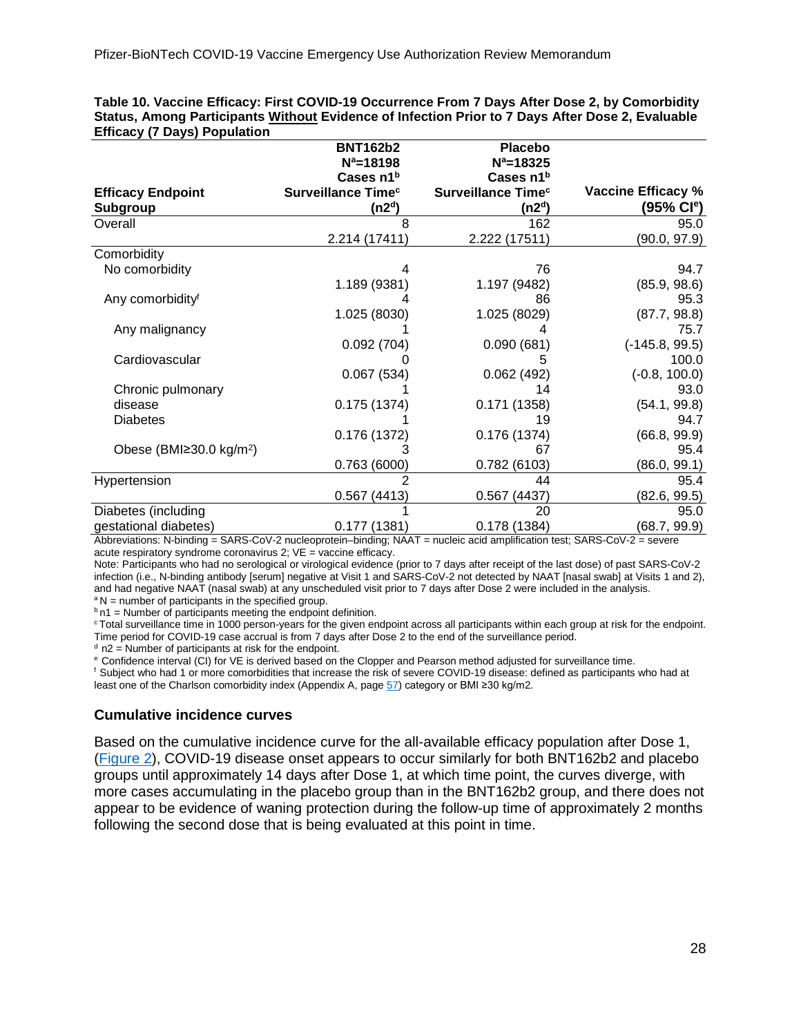|                                            | <b>BNT162b2</b>                | <b>Placebo</b>                       |                           |
|--------------------------------------------|--------------------------------|--------------------------------------|---------------------------|
|                                            | $N^a = 18198$                  | $N^a = 18325$                        |                           |
|                                            | Cases n1 <sup>b</sup>          | Cases n1 <sup>b</sup>                |                           |
| <b>Efficacy Endpoint</b>                   | Surveillance Time <sup>c</sup> | <b>Surveillance Time<sup>c</sup></b> | <b>Vaccine Efficacy %</b> |
| <b>Subgroup</b>                            | (n2 <sup>d</sup> )             | (n2ª)                                | (95% Cl <sup>e</sup> )    |
| Overall                                    |                                | 162                                  | 95.0                      |
|                                            | 2.214 (17411)                  | 2.222 (17511)                        | (90.0, 97.9)              |
| Comorbidity                                |                                |                                      |                           |
| No comorbidity                             | 4                              | 76                                   | 94.7                      |
|                                            | 1.189 (9381)                   | 1.197 (9482)                         | (85.9, 98.6)              |
| Any comorbidity <sup>f</sup>               |                                | 86                                   | 95.3                      |
|                                            | 1.025 (8030)                   | 1.025 (8029)                         | (87.7, 98.8)              |
| Any malignancy                             |                                |                                      | 75.7                      |
|                                            | 0.092(704)                     | 0.090(681)                           | $(-145.8, 99.5)$          |
| Cardiovascular                             |                                |                                      | 100.0                     |
|                                            | 0.067(534)                     | 0.062(492)                           | $(-0.8, 100.0)$           |
| Chronic pulmonary                          |                                | 14                                   | 93.0                      |
| disease                                    | 0.175(1374)                    | 0.171(1358)                          | (54.1, 99.8)              |
| <b>Diabetes</b>                            |                                | 19                                   | 94.7                      |
|                                            | 0.176(1372)                    | 0.176(1374)                          | (66.8, 99.9)              |
| Obese (BMI $\geq$ 30.0 kg/m <sup>2</sup> ) |                                | 67                                   | 95.4                      |
|                                            | 0.763(6000)                    | 0.782(6103)                          | (86.0, 99.1)              |
| Hypertension                               | 2                              | 44                                   | 95.4                      |
|                                            | 0.567(4413)                    | 0.567(4437)                          | (82.6, 99.5)              |
| Diabetes (including                        |                                | 20                                   | 95.0                      |
| gestational diabetes)                      | 0.177(1381)                    | 0.178(1384)                          | (68.7, 99.9)              |

<span id="page-27-0"></span>**Table 10. Vaccine Efficacy: First COVID-19 Occurrence From 7 Days After Dose 2, by Comorbidity Status, Among Participants Without Evidence of Infection Prior to 7 Days After Dose 2, Evaluable Efficacy (7 Days) Population** 

Abbreviations: N-binding = SARS-CoV-2 nucleoprotein–binding; NAAT = nucleic acid amplification test; SARS-CoV-2 = severe acute respiratory syndrome coronavirus 2; VE = vaccine efficacy.

Note: Participants who had no serological or virological evidence (prior to 7 days after receipt of the last dose) of past SARS-CoV-2 infection (i.e., N-binding antibody [serum] negative at Visit 1 and SARS-CoV-2 not detected by NAAT [nasal swab] at Visits 1 and 2), and had negative NAAT (nasal swab) at any unscheduled visit prior to 7 days after Dose 2 were included in the analysis.  $a<sup>a</sup>N$  = number of participants in the specified group.

 $b$  n1 = Number of participants meeting the endpoint definition.

<sup>c</sup> Total surveillance time in 1000 person-years for the given endpoint across all participants within each group at risk for the endpoint. Time period for COVID-19 case accrual is from 7 days after Dose 2 to the end of the surveillance period.

 $d$  n2 = Number of participants at risk for the endpoint.

e Confidence interval (CI) for VE is derived based on the Clopper and Pearson method adjusted for surveillance time.

f Subject who had 1 or more comorbidities that increase the risk of severe COVID-19 disease: defined as participants who had at least one of the Charlson comorbidity index (Appendix A, page [57\)](#page-56-0) category or BMI ≥30 kg/m2.

#### **Cumulative incidence curves**

Based on the cumulative incidence curve for the all-available efficacy population after Dose 1, [\(Figure 2\)](#page-27-0), COVID-19 disease onset appears to occur similarly for both BNT162b2 and placebo groups until approximately 14 days after Dose 1, at which time point, the curves diverge, with more cases accumulating in the placebo group than in the BNT162b2 group, and there does not appear to be evidence of waning protection during the follow-up time of approximately 2 months following the second dose that is being evaluated at this point in time.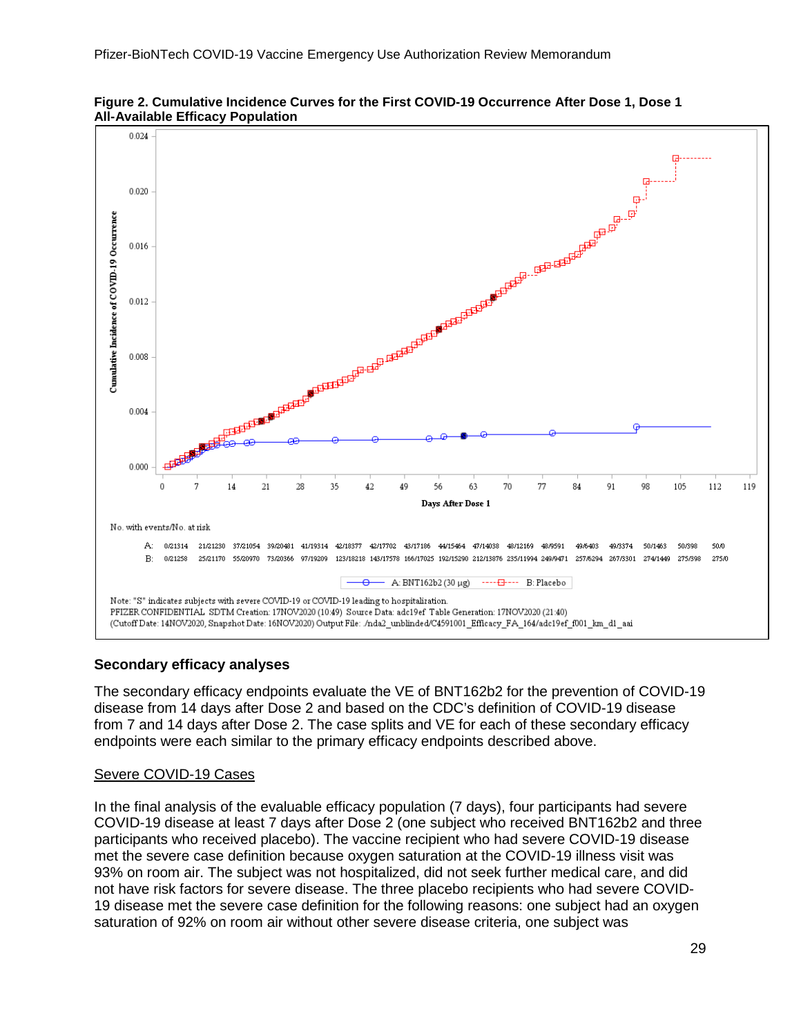



#### **Secondary efficacy analyses**

The secondary efficacy endpoints evaluate the VE of BNT162b2 for the prevention of COVID-19 disease from 14 days after Dose 2 and based on the CDC's definition of COVID-19 disease from 7 and 14 days after Dose 2. The case splits and VE for each of these secondary efficacy endpoints were each similar to the primary efficacy endpoints described above.

#### Severe COVID-19 Cases

In the final analysis of the evaluable efficacy population (7 days), four participants had severe COVID-19 disease at least 7 days after Dose 2 (one subject who received BNT162b2 and three participants who received placebo). The vaccine recipient who had severe COVID-19 disease met the severe case definition because oxygen saturation at the COVID-19 illness visit was 93% on room air. The subject was not hospitalized, did not seek further medical care, and did not have risk factors for severe disease. The three placebo recipients who had severe COVID-19 disease met the severe case definition for the following reasons: one subject had an oxygen saturation of 92% on room air without other severe disease criteria, one subject was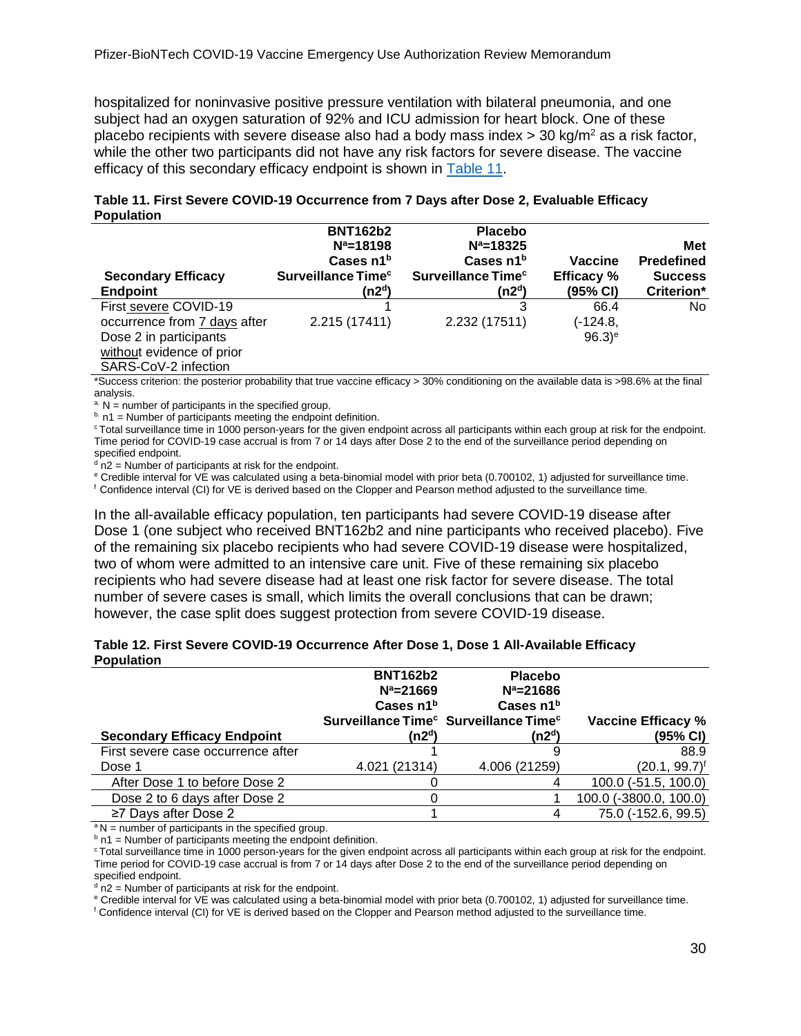hospitalized for noninvasive positive pressure ventilation with bilateral pneumonia, and one subject had an oxygen saturation of 92% and ICU admission for heart block. One of these placebo recipients with severe disease also had a body mass index  $>$  30 kg/m<sup>2</sup> as a risk factor, while the other two participants did not have any risk factors for severe disease. The vaccine efficacy of this secondary efficacy endpoint is shown in [Table 11.](#page-29-0)

| <b>1 UPURUUT</b>             |                                                           |                                              |                      |                                 |
|------------------------------|-----------------------------------------------------------|----------------------------------------------|----------------------|---------------------------------|
|                              | <b>BNT162b2</b><br>$N^a = 18198$<br>Cases n1 <sup>b</sup> | <b>Placebo</b><br>$N^a = 18325$<br>Cases n1b | Vaccine              | <b>Met</b><br><b>Predefined</b> |
| <b>Secondary Efficacy</b>    | Surveillance Time <sup>c</sup>                            | Surveillance Time <sup>c</sup>               | <b>Efficacy</b> %    | <b>Success</b>                  |
| <b>Endpoint</b>              | (n2 <sup>d</sup> )                                        | (n2ª)                                        | $(95% \, \text{Cl})$ | Criterion*                      |
| First severe COVID-19        |                                                           | 3                                            | 66.4                 | No.                             |
| occurrence from 7 days after | 2.215 (17411)                                             | 2.232 (17511)                                | (-124.8,             |                                 |
| Dose 2 in participants       |                                                           |                                              | $96.3$ <sup>e</sup>  |                                 |
| without evidence of prior    |                                                           |                                              |                      |                                 |
| SARS-CoV-2 infection         |                                                           |                                              |                      |                                 |

#### <span id="page-29-0"></span>**Table 11. First Severe COVID-19 Occurrence from 7 Days after Dose 2, Evaluable Efficacy Population**

\*Success criterion: the posterior probability that true vaccine efficacy > 30% conditioning on the available data is >98.6% at the final

analysis.<br>a.  $N =$  number of participants in the specified group.

 $b.$  n1 = Number of participants meeting the endpoint definition.

<sup>c</sup> Total surveillance time in 1000 person-years for the given endpoint across all participants within each group at risk for the endpoint. Time period for COVID-19 case accrual is from 7 or 14 days after Dose 2 to the end of the surveillance period depending on specified endpoint.

 $d$  n2 = Number of participants at risk for the endpoint.

<sup>e</sup> Credible interval for VE was calculated using a beta-binomial model with prior beta (0.700102, 1) adjusted for surveillance time.

f Confidence interval (CI) for VE is derived based on the Clopper and Pearson method adjusted to the surveillance time.

In the all-available efficacy population, ten participants had severe COVID-19 disease after Dose 1 (one subject who received BNT162b2 and nine participants who received placebo). Five of the remaining six placebo recipients who had severe COVID-19 disease were hospitalized, two of whom were admitted to an intensive care unit. Five of these remaining six placebo recipients who had severe disease had at least one risk factor for severe disease. The total number of severe cases is small, which limits the overall conclusions that can be drawn; however, the case split does suggest protection from severe COVID-19 disease.

#### <span id="page-29-1"></span>**Table 12. First Severe COVID-19 Occurrence After Dose 1, Dose 1 All-Available Efficacy Population**

|                                    | <b>BNT162b2</b>       | <b>Placebo</b>                                                |                           |
|------------------------------------|-----------------------|---------------------------------------------------------------|---------------------------|
|                                    | $N^a = 21669$         | $N^a = 21686$                                                 |                           |
|                                    | Cases n1 <sup>b</sup> | Cases n1b                                                     |                           |
|                                    |                       | Surveillance Time <sup>c</sup> Surveillance Time <sup>c</sup> | <b>Vaccine Efficacy %</b> |
| <b>Secondary Efficacy Endpoint</b> | (n2 <sup>d</sup> )    | (n2 <sup>d</sup> )                                            | (95% CI)                  |
| First severe case occurrence after |                       |                                                               | 88.9                      |
| Dose 1                             | 4.021 (21314)         | 4.006 (21259)                                                 | $(20.1, 99.7)^f$          |
| After Dose 1 to before Dose 2      |                       |                                                               | 100.0 (-51.5, 100.0)      |
| Dose 2 to 6 days after Dose 2      |                       |                                                               | 100.0 (-3800.0, 100.0)    |
| $\geq$ 7 Days after Dose 2         |                       |                                                               | 75.0 (-152.6, 99.5)       |

 $A^a$ N = number of participants in the specified group.

 $<sup>b</sup>$  n1 = Number of participants meeting the endpoint definition.</sup>

<sup>c</sup> Total surveillance time in 1000 person-years for the given endpoint across all participants within each group at risk for the endpoint. Time period for COVID-19 case accrual is from 7 or 14 days after Dose 2 to the end of the surveillance period depending on specified endpoint.

 $d$  n2 = Number of participants at risk for the endpoint.

<sup>e</sup> Credible interval for VE was calculated using a beta-binomial model with prior beta (0.700102, 1) adjusted for surveillance time.

<sup>f</sup> Confidence interval (CI) for VE is derived based on the Clopper and Pearson method adjusted to the surveillance time.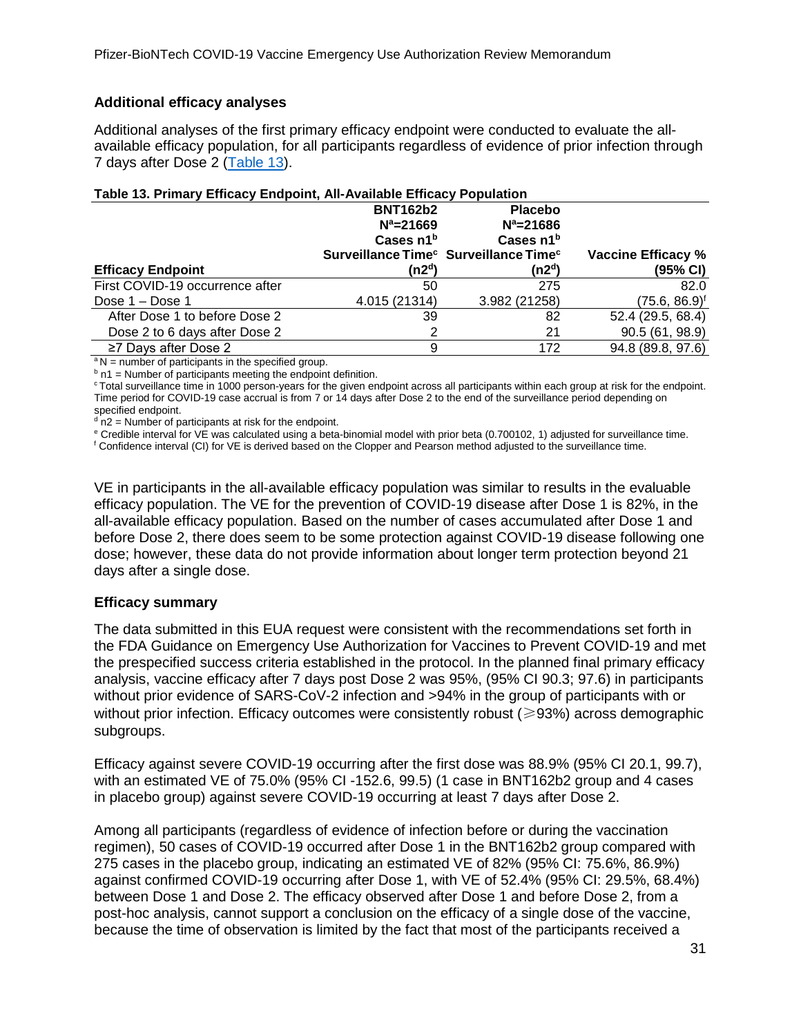### **Additional efficacy analyses**

Additional analyses of the first primary efficacy endpoint were conducted to evaluate the allavailable efficacy population, for all participants regardless of evidence of prior infection through 7 days after Dose 2 [\(Table 13\)](#page-30-0).

| Table 13. Primary Efficacy Endpoint, All-Available Efficacy Population |                       |                                                               |  |  |  |
|------------------------------------------------------------------------|-----------------------|---------------------------------------------------------------|--|--|--|
| <b>BNT162b2</b>                                                        | <b>Placebo</b>        |                                                               |  |  |  |
| $N^a = 21669$                                                          | $N^a = 21686$         |                                                               |  |  |  |
| Cases $n1b$                                                            | Cases n1 <sup>b</sup> |                                                               |  |  |  |
|                                                                        |                       | Vaccine Efficacy %                                            |  |  |  |
| (n2ª)                                                                  | (n2ª)                 | (95% CI)                                                      |  |  |  |
| 50                                                                     | 275                   | 82.0                                                          |  |  |  |
| 4.015 (21314)                                                          | 3.982 (21258)         | $(75.6, 86.9)^t$                                              |  |  |  |
| 39                                                                     | 82                    | 52.4 (29.5, 68.4)                                             |  |  |  |
| 2                                                                      | 21                    | 90.5(61, 98.9)                                                |  |  |  |
| 9                                                                      | 172                   | 94.8 (89.8, 97.6)                                             |  |  |  |
|                                                                        |                       | Surveillance Time <sup>c</sup> Surveillance Time <sup>c</sup> |  |  |  |

### <span id="page-30-0"></span>**Table 13. Primary Efficacy Endpoint, All-Available Efficacy Population**

 $a N$  = number of participants in the specified group.

 $<sup>b</sup>$  n1 = Number of participants meeting the endpoint definition.</sup>

<sup>c</sup> Total surveillance time in 1000 person-years for the given endpoint across all participants within each group at risk for the endpoint. Time period for COVID-19 case accrual is from 7 or 14 days after Dose 2 to the end of the surveillance period depending on specified endpoint.

 $d$  n2 = Number of participants at risk for the endpoint.

<sup>e</sup> Credible interval for VE was calculated using a beta-binomial model with prior beta (0.700102, 1) adjusted for surveillance time.

<sup>f</sup> Confidence interval (CI) for VE is derived based on the Clopper and Pearson method adjusted to the surveillance time.

VE in participants in the all-available efficacy population was similar to results in the evaluable efficacy population. The VE for the prevention of COVID-19 disease after Dose 1 is 82%, in the all-available efficacy population. Based on the number of cases accumulated after Dose 1 and before Dose 2, there does seem to be some protection against COVID-19 disease following one dose; however, these data do not provide information about longer term protection beyond 21 days after a single dose.

#### **Efficacy summary**

The data submitted in this EUA request were consistent with the recommendations set forth in the FDA Guidance on Emergency Use Authorization for Vaccines to Prevent COVID-19 and met the prespecified success criteria established in the protocol. In the planned final primary efficacy analysis, vaccine efficacy after 7 days post Dose 2 was 95%, (95% CI 90.3; 97.6) in participants without prior evidence of SARS-CoV-2 infection and >94% in the group of participants with or without prior infection. Efficacy outcomes were consistently robust ( $\geq$ 93%) across demographic subgroups.

Efficacy against severe COVID-19 occurring after the first dose was 88.9% (95% CI 20.1, 99.7), with an estimated VE of 75.0% (95% CI -152.6, 99.5) (1 case in BNT162b2 group and 4 cases in placebo group) against severe COVID-19 occurring at least 7 days after Dose 2.

Among all participants (regardless of evidence of infection before or during the vaccination regimen), 50 cases of COVID-19 occurred after Dose 1 in the BNT162b2 group compared with 275 cases in the placebo group, indicating an estimated VE of 82% (95% CI: 75.6%, 86.9%) against confirmed COVID-19 occurring after Dose 1, with VE of 52.4% (95% CI: 29.5%, 68.4%) between Dose 1 and Dose 2. The efficacy observed after Dose 1 and before Dose 2, from a post-hoc analysis, cannot support a conclusion on the efficacy of a single dose of the vaccine, because the time of observation is limited by the fact that most of the participants received a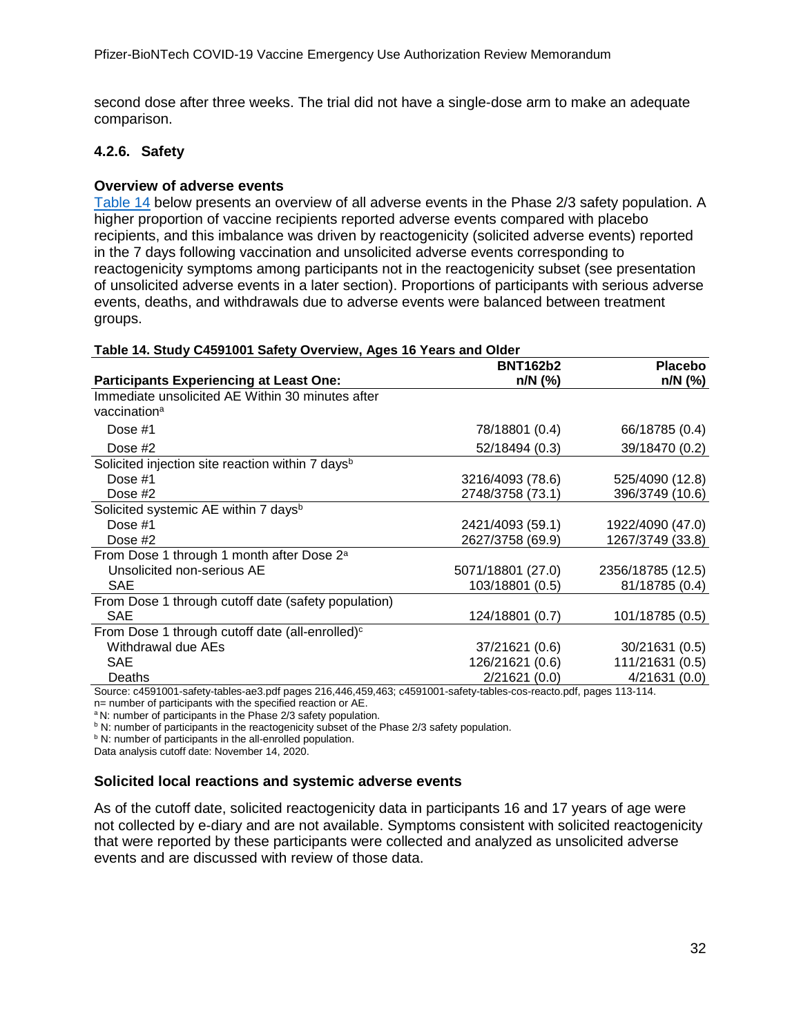second dose after three weeks. The trial did not have a single-dose arm to make an adequate comparison.

### <span id="page-31-0"></span>**4.2.6. Safety**

### **Overview of adverse events**

[Table 14](#page-31-1) below presents an overview of all adverse events in the Phase 2/3 safety population. A higher proportion of vaccine recipients reported adverse events compared with placebo recipients, and this imbalance was driven by reactogenicity (solicited adverse events) reported in the 7 days following vaccination and unsolicited adverse events corresponding to reactogenicity symptoms among participants not in the reactogenicity subset (see presentation of unsolicited adverse events in a later section). Proportions of participants with serious adverse events, deaths, and withdrawals due to adverse events were balanced between treatment groups.

|                                                                                                                                 | <b>BNT162b2</b>   | <b>Placebo</b>    |
|---------------------------------------------------------------------------------------------------------------------------------|-------------------|-------------------|
| <b>Participants Experiencing at Least One:</b>                                                                                  | $n/N$ (%)         | $n/N$ (%)         |
| Immediate unsolicited AE Within 30 minutes after                                                                                |                   |                   |
| vaccination <sup>a</sup>                                                                                                        |                   |                   |
| Dose #1                                                                                                                         | 78/18801 (0.4)    | 66/18785 (0.4)    |
| Dose $#2$                                                                                                                       | 52/18494 (0.3)    | 39/18470 (0.2)    |
| Solicited injection site reaction within 7 days <sup>b</sup>                                                                    |                   |                   |
| Dose #1                                                                                                                         | 3216/4093 (78.6)  | 525/4090 (12.8)   |
| Dose $#2$                                                                                                                       | 2748/3758 (73.1)  | 396/3749 (10.6)   |
| Solicited systemic AE within 7 days <sup>b</sup>                                                                                |                   |                   |
| Dose #1                                                                                                                         | 2421/4093 (59.1)  | 1922/4090 (47.0)  |
| Dose $#2$                                                                                                                       | 2627/3758 (69.9)  | 1267/3749 (33.8)  |
| From Dose 1 through 1 month after Dose 2 <sup>a</sup>                                                                           |                   |                   |
| Unsolicited non-serious AE                                                                                                      | 5071/18801 (27.0) | 2356/18785 (12.5) |
| <b>SAE</b>                                                                                                                      | 103/18801 (0.5)   | 81/18785 (0.4)    |
| From Dose 1 through cutoff date (safety population)                                                                             |                   |                   |
| <b>SAE</b>                                                                                                                      | 124/18801 (0.7)   | 101/18785 (0.5)   |
| From Dose 1 through cutoff date (all-enrolled) <sup>c</sup>                                                                     |                   |                   |
| Withdrawal due AEs                                                                                                              | 37/21621 (0.6)    | 30/21631 (0.5)    |
| <b>SAE</b>                                                                                                                      | 126/21621 (0.6)   | 111/21631 (0.5)   |
| Deaths<br>Course of E01001 october to blog and names at 6.146.450.469; of E01001 october to blog and reasts politically 110,111 | 2/21621(0.0)      | 4/21631(0.0)      |

#### <span id="page-31-1"></span>**Table 14. Study C4591001 Safety Overview, Ages 16 Years and Older**

Source: c4591001-safety-tables-ae3.pdf pages 216,446,459,463; c4591001-safety-tables-cos-reacto.pdf, pages 113-114.<br>n= number of participants with the specified reaction or AE.

<sup>a</sup> N: number of participants in the Phase 2/3 safety population.

b N: number of participants in the reactogenicity subset of the Phase 2/3 safety population.

b N: number of participants in the all-enrolled population.

Data analysis cutoff date: November 14, 2020.

### **Solicited local reactions and systemic adverse events**

As of the cutoff date, solicited reactogenicity data in participants 16 and 17 years of age were not collected by e-diary and are not available. Symptoms consistent with solicited reactogenicity that were reported by these participants were collected and analyzed as unsolicited adverse events and are discussed with review of those data.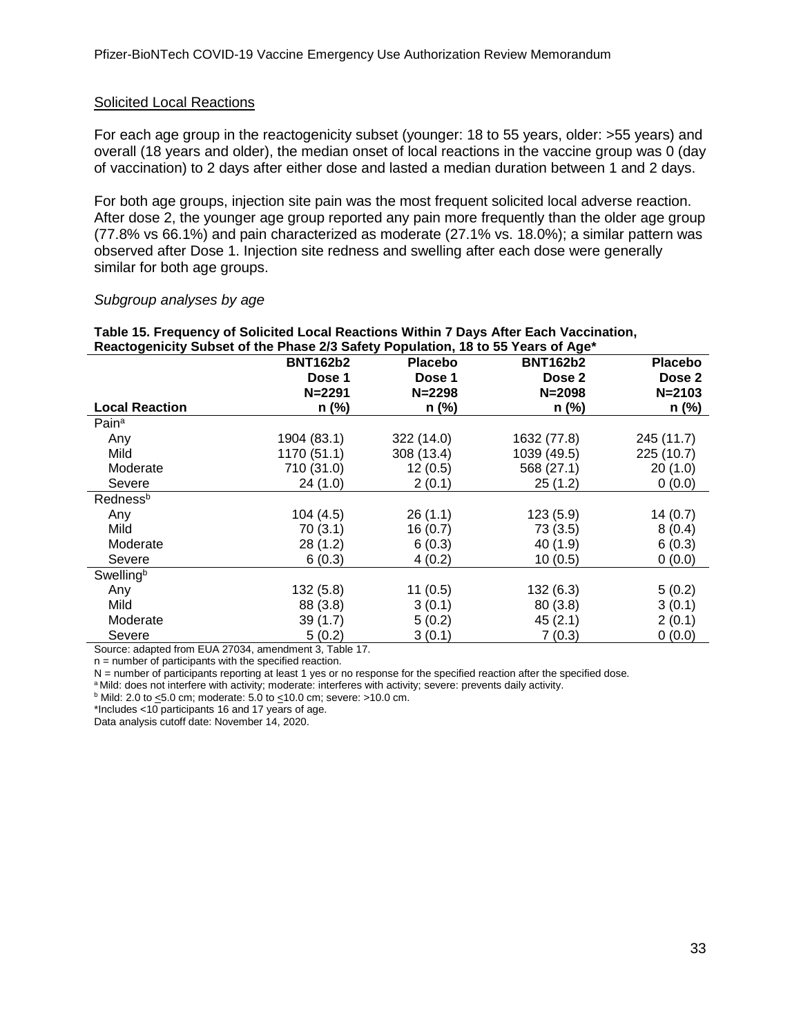#### Solicited Local Reactions

For each age group in the reactogenicity subset (younger: 18 to 55 years, older: >55 years) and overall (18 years and older), the median onset of local reactions in the vaccine group was 0 (day of vaccination) to 2 days after either dose and lasted a median duration between 1 and 2 days.

For both age groups, injection site pain was the most frequent solicited local adverse reaction. After dose 2, the younger age group reported any pain more frequently than the older age group (77.8% vs 66.1%) and pain characterized as moderate (27.1% vs. 18.0%); a similar pattern was observed after Dose 1. Injection site redness and swelling after each dose were generally similar for both age groups.

#### *Subgroup analyses by age*

#### <span id="page-32-0"></span>**Table 15. Frequency of Solicited Local Reactions Within 7 Days After Each Vaccination, Reactogenicity Subset of the Phase 2/3 Safety Population, 18 to 55 Years of Age\***

|                       | <b>BNT162b2</b> | <b>Placebo</b> | <b>BNT162b2</b> | <b>Placebo</b> |
|-----------------------|-----------------|----------------|-----------------|----------------|
|                       | Dose 1          | Dose 1         | Dose 2          | Dose 2         |
|                       | $N = 2291$      | $N = 2298$     | $N = 2098$      | $N = 2103$     |
| <b>Local Reaction</b> | n (%)           | n (%)          | $n$ (%)         | n (%)          |
| Pain <sup>a</sup>     |                 |                |                 |                |
| Any                   | 1904 (83.1)     | 322 (14.0)     | 1632 (77.8)     | 245 (11.7)     |
| Mild                  | 1170 (51.1)     | 308 (13.4)     | 1039 (49.5)     | 225 (10.7)     |
| Moderate              | 710 (31.0)      | 12(0.5)        | 568 (27.1)      | 20(1.0)        |
| Severe                | 24(1.0)         | 2(0.1)         | 25(1.2)         | 0(0.0)         |
| Redness <sup>b</sup>  |                 |                |                 |                |
| Any                   | 104(4.5)        | 26(1.1)        | 123(5.9)        | 14(0.7)        |
| Mild                  | 70(3.1)         | 16(0.7)        | 73(3.5)         | 8(0.4)         |
| Moderate              | 28(1.2)         | 6(0.3)         | 40 (1.9)        | 6(0.3)         |
| Severe                | 6(0.3)          | 4(0.2)         | 10(0.5)         | 0(0.0)         |
| Swellingb             |                 |                |                 |                |
| Any                   | 132(5.8)        | 11(0.5)        | 132(6.3)        | 5(0.2)         |
| Mild                  | 88 (3.8)        | 3(0.1)         | 80(3.8)         | 3(0.1)         |
| Moderate              | 39(1.7)         | 5(0.2)         | 45(2.1)         | 2(0.1)         |
| Severe                | 5(0.2)          | 3(0.1)         | 7(0.3)          | 0(0.0)         |

Source: adapted from EUA 27034, amendment 3, Table 17.

n = number of participants with the specified reaction.

N = number of participants reporting at least 1 yes or no response for the specified reaction after the specified dose.

a Mild: does not interfere with activity; moderate: interferes with activity; severe: prevents daily activity.

 $<sup>b</sup>$  Mild: 2.0 to  $\leq$ 5.0 cm; moderate: 5.0 to  $\leq$ 10.0 cm; severe: >10.0 cm.</sup>

\*Includes <10 participants 16 and 17 years of age.

Data analysis cutoff date: November 14, 2020.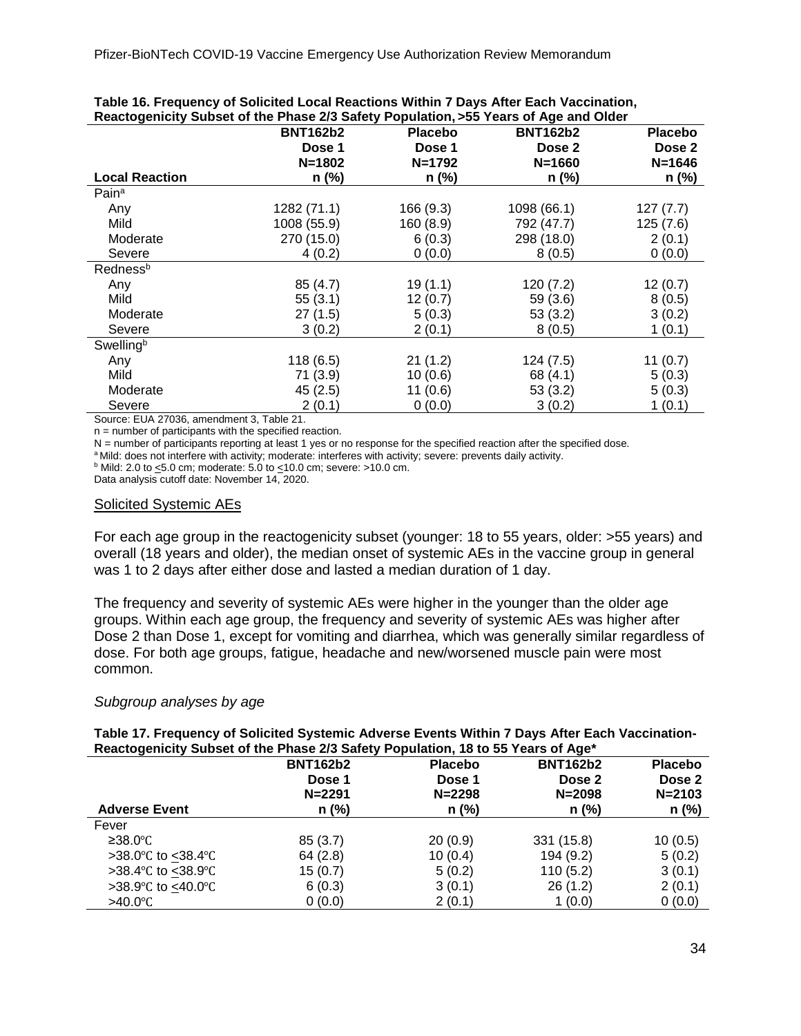| Reactogenicity Subset of the Phase 2/3 Salety Population, >55 Tears of Age and Older |                 |                |                 |                |  |
|--------------------------------------------------------------------------------------|-----------------|----------------|-----------------|----------------|--|
|                                                                                      | <b>BNT162b2</b> | <b>Placebo</b> | <b>BNT162b2</b> | <b>Placebo</b> |  |
|                                                                                      | Dose 1          | Dose 1         | Dose 2          | Dose 2         |  |
|                                                                                      | $N = 1802$      | $N = 1792$     | $N = 1660$      | $N = 1646$     |  |
| <b>Local Reaction</b>                                                                | n (%)           | $n$ (%)        | $n$ (%)         | n (%)          |  |
| Pain <sup>a</sup>                                                                    |                 |                |                 |                |  |
| Any                                                                                  | 1282 (71.1)     | 166 (9.3)      | 1098 (66.1)     | 127(7.7)       |  |
| Mild                                                                                 | 1008 (55.9)     | 160 (8.9)      | 792 (47.7)      | 125(7.6)       |  |
| Moderate                                                                             | 270 (15.0)      | 6(0.3)         | 298 (18.0)      | 2(0.1)         |  |
| Severe                                                                               | 4(0.2)          | 0(0.0)         | 8(0.5)          | 0(0.0)         |  |
| Rednessb                                                                             |                 |                |                 |                |  |
| Any                                                                                  | 85(4.7)         | 19(1.1)        | 120(7.2)        | 12(0.7)        |  |
| Mild                                                                                 | 55(3.1)         | 12(0.7)        | 59(3.6)         | 8(0.5)         |  |
| Moderate                                                                             | 27(1.5)         | 5(0.3)         | 53(3.2)         | 3(0.2)         |  |
| Severe                                                                               | 3(0.2)          | 2(0.1)         | 8(0.5)          | 1(0.1)         |  |
| Swellingb                                                                            |                 |                |                 |                |  |
| Any                                                                                  | 118(6.5)        | 21(1.2)        | 124(7.5)        | 11(0.7)        |  |
| Mild                                                                                 | 71(3.9)         | 10(0.6)        | 68 (4.1)        | 5(0.3)         |  |
| Moderate                                                                             | 45(2.5)         | 11(0.6)        | 53(3.2)         | 5(0.3)         |  |
| Severe                                                                               | 2(0.1)          | 0(0.0)         | 3(0.2)          | 1(0.1)         |  |
| $- \cdot \cdot$ $- - - -$                                                            | .               |                |                 |                |  |

#### <span id="page-33-0"></span>**Table 16. Frequency of Solicited Local Reactions Within 7 Days After Each Vaccination, Reactogenicity Subset of the Phase 2/3 Safety Population, >55 Years of Age and Older**

Source: EUA 27036, amendment 3, Table 21.

n = number of participants with the specified reaction.

N = number of participants reporting at least 1 yes or no response for the specified reaction after the specified dose.

a Mild: does not interfere with activity; moderate: interferes with activity; severe: prevents daily activity.

 $<sup>b</sup>$  Mild: 2.0 to  $\leq$ 5.0 cm; moderate: 5.0 to  $\leq$ 10.0 cm; severe: >10.0 cm.</sup>

Data analysis cutoff date: November 14, 2020.

#### Solicited Systemic AEs

For each age group in the reactogenicity subset (younger: 18 to 55 years, older: >55 years) and overall (18 years and older), the median onset of systemic AEs in the vaccine group in general was 1 to 2 days after either dose and lasted a median duration of 1 day.

The frequency and severity of systemic AEs were higher in the younger than the older age groups. Within each age group, the frequency and severity of systemic AEs was higher after Dose 2 than Dose 1, except for vomiting and diarrhea, which was generally similar regardless of dose. For both age groups, fatigue, headache and new/worsened muscle pain were most common.

#### *Subgroup analyses by age*

<span id="page-33-1"></span>

|                                                                                  |  | Table 17. Frequency of Solicited Systemic Adverse Events Within 7 Days After Each Vaccination- |
|----------------------------------------------------------------------------------|--|------------------------------------------------------------------------------------------------|
| Reactogenicity Subset of the Phase 2/3 Safety Population, 18 to 55 Years of Age* |  |                                                                                                |

| $\cdot$              | <b>BNT162b2</b><br>Dose 1<br>$N = 2291$ | <b>Placebo</b><br>Dose 1<br>$N = 2298$ | <b>BNT162b2</b><br>Dose 2<br>$N = 2098$ | <b>Placebo</b><br>Dose 2<br>$N = 2103$ |
|----------------------|-----------------------------------------|----------------------------------------|-----------------------------------------|----------------------------------------|
| <b>Adverse Event</b> | $n$ (%)                                 | $n$ (%)                                | $n$ (%)                                 | $n$ (%)                                |
| Fever                |                                         |                                        |                                         |                                        |
| ≥38.0°C              | 85(3.7)                                 | 20(0.9)                                | 331 (15.8)                              | 10(0.5)                                |
| >38.0 °C to <38.4 °C | 64(2.8)                                 | 10(0.4)                                | 194 (9.2)                               | 5(0.2)                                 |
| >38.4 °C to <38.9 °C | 15(0.7)                                 | 5(0.2)                                 | 110(5.2)                                | 3(0.1)                                 |
| >38.9 °C to <40.0 °C | 6(0.3)                                  | 3(0.1)                                 | 26(1.2)                                 | 2(0.1)                                 |
| $>40.0^{\circ}$ C    | 0(0.0)                                  | 2(0.1)                                 | 1(0.0)                                  | 0(0.0)                                 |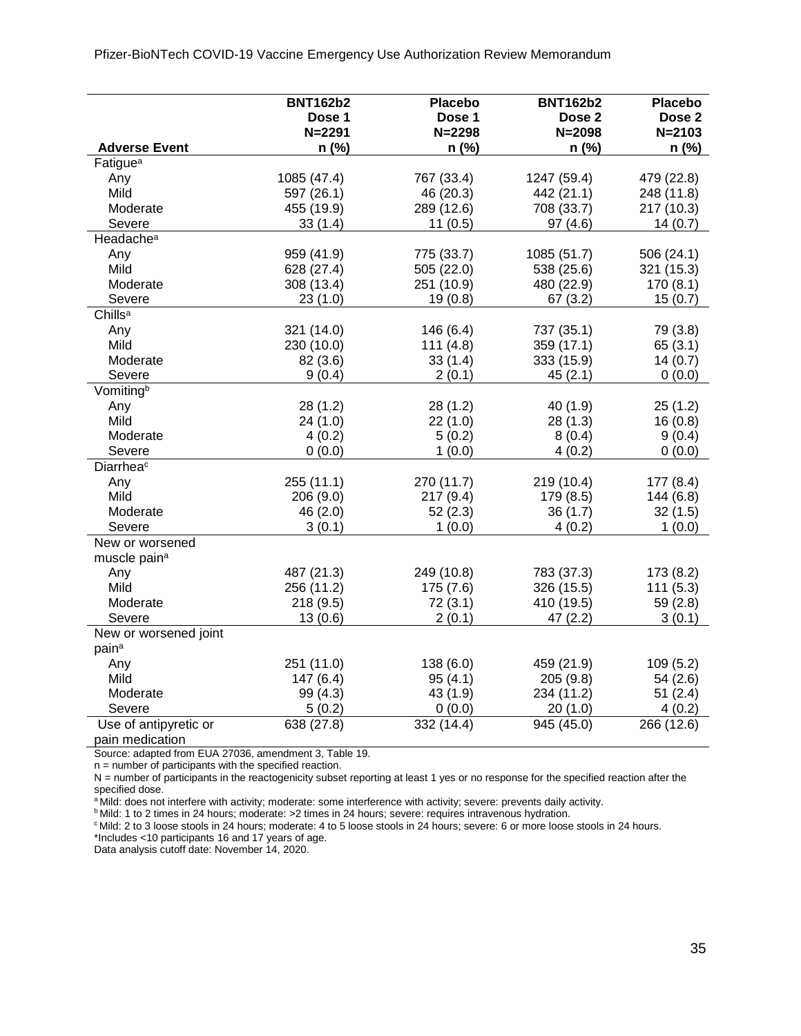<span id="page-34-0"></span>Pfizer-BioNTech COVID-19 Vaccine Emergency Use Authorization Review Memorandum

|                                 | <b>BNT162b2</b> | <b>Placebo</b> | <b>BNT162b2</b> | <b>Placebo</b>    |
|---------------------------------|-----------------|----------------|-----------------|-------------------|
|                                 | Dose 1          | Dose 1         | Dose 2          | Dose <sub>2</sub> |
|                                 | $N = 2291$      | $N = 2298$     | $N = 2098$      | $N = 2103$        |
| <b>Adverse Event</b>            | $n$ (%)         | n (%)          | $n$ (%)         | n (%)             |
| Fatigue <sup>a</sup>            |                 |                |                 |                   |
| Any                             | 1085 (47.4)     | 767 (33.4)     | 1247 (59.4)     | 479 (22.8)        |
| Mild                            | 597 (26.1)      | 46 (20.3)      | 442 (21.1)      | 248 (11.8)        |
| Moderate                        | 455 (19.9)      | 289 (12.6)     | 708 (33.7)      | 217 (10.3)        |
| Severe                          | 33(1.4)         | 11(0.5)        | 97(4.6)         | 14(0.7)           |
| Headache <sup>a</sup>           |                 |                |                 |                   |
| Any                             | 959 (41.9)      | 775 (33.7)     | 1085 (51.7)     | 506 (24.1)        |
| Mild                            | 628 (27.4)      | 505 (22.0)     | 538 (25.6)      | 321 (15.3)        |
| Moderate                        | 308 (13.4)      | 251 (10.9)     | 480 (22.9)      | 170(8.1)          |
| Severe                          | 23(1.0)         | 19(0.8)        | 67(3.2)         | 15(0.7)           |
| Chills <sup>a</sup>             |                 |                |                 |                   |
| Any                             | 321 (14.0)      | 146 (6.4)      | 737 (35.1)      | 79 (3.8)          |
| Mild                            | 230 (10.0)      | 111(4.8)       | 359 (17.1)      | 65(3.1)           |
| Moderate                        | 82 (3.6)        | 33(1.4)        | 333 (15.9)      | 14(0.7)           |
| Severe                          | 9(0.4)          | 2(0.1)         | 45(2.1)         | 0(0.0)            |
| Vomitingb                       |                 |                |                 |                   |
| Any                             | 28 (1.2)        | 28(1.2)        | 40 (1.9)        | 25(1.2)           |
| Mild                            | 24 (1.0)        | 22(1.0)        | 28(1.3)         | 16(0.8)           |
| Moderate                        | 4(0.2)          | 5(0.2)         | 8(0.4)          | 9(0.4)            |
| Severe                          | 0(0.0)          | 1(0.0)         | 4(0.2)          | 0(0.0)            |
| Diarrheac                       |                 |                |                 |                   |
| Any                             | 255 (11.1)      | 270 (11.7)     | 219 (10.4)      | 177(8.4)          |
| Mild                            | 206 (9.0)       | 217(9.4)       | 179 (8.5)       | 144(6.8)          |
| Moderate                        | 46 (2.0)        | 52(2.3)        | 36(1.7)         | 32(1.5)           |
| Severe                          | 3(0.1)          | 1(0.0)         | 4(0.2)          | 1(0.0)            |
| New or worsened                 |                 |                |                 |                   |
| muscle pain <sup>a</sup>        |                 |                |                 |                   |
| Any                             | 487 (21.3)      | 249 (10.8)     | 783 (37.3)      | 173 (8.2)         |
| Mild                            | 256 (11.2)      | 175(7.6)       | 326 (15.5)      | 111(5.3)          |
| Moderate                        | 218 (9.5)       | 72(3.1)        | 410 (19.5)      | 59(2.8)           |
| Severe                          | 13(0.6)         | 2(0.1)         | 47(2.2)         | 3(0.1)            |
| New or worsened joint           |                 |                |                 |                   |
| pain <sup>a</sup>               |                 |                |                 |                   |
| Any                             | 251 (11.0)      | 138(6.0)       | 459 (21.9)      | 109(5.2)          |
| Mild                            | 147(6.4)        | 95(4.1)        | 205(9.8)        | 54(2.6)           |
| Moderate                        | 99 (4.3)        | 43 (1.9)       | 234 (11.2)      | 51(2.4)           |
| Severe<br>Use of antipyretic or | 5(0.2)          | 0(0.0)         | 20(1.0)         | 4(0.2)            |
|                                 | 638 (27.8)      | 332 (14.4)     | 945 (45.0)      | 266 (12.6)        |

pain medication

Source: adapted from EUA 27036, amendment 3, Table 19.

n = number of participants with the specified reaction.

N = number of participants in the reactogenicity subset reporting at least 1 yes or no response for the specified reaction after the specified dose.

a Mild: does not interfere with activity; moderate: some interference with activity; severe: prevents daily activity.

b Mild: 1 to 2 times in 24 hours; moderate: >2 times in 24 hours; severe: requires intravenous hydration.

c Mild: 2 to 3 loose stools in 24 hours; moderate: 4 to 5 loose stools in 24 hours; severe: 6 or more loose stools in 24 hours.

\*Includes <10 participants 16 and 17 years of age.

Data analysis cutoff date: November 14, 2020.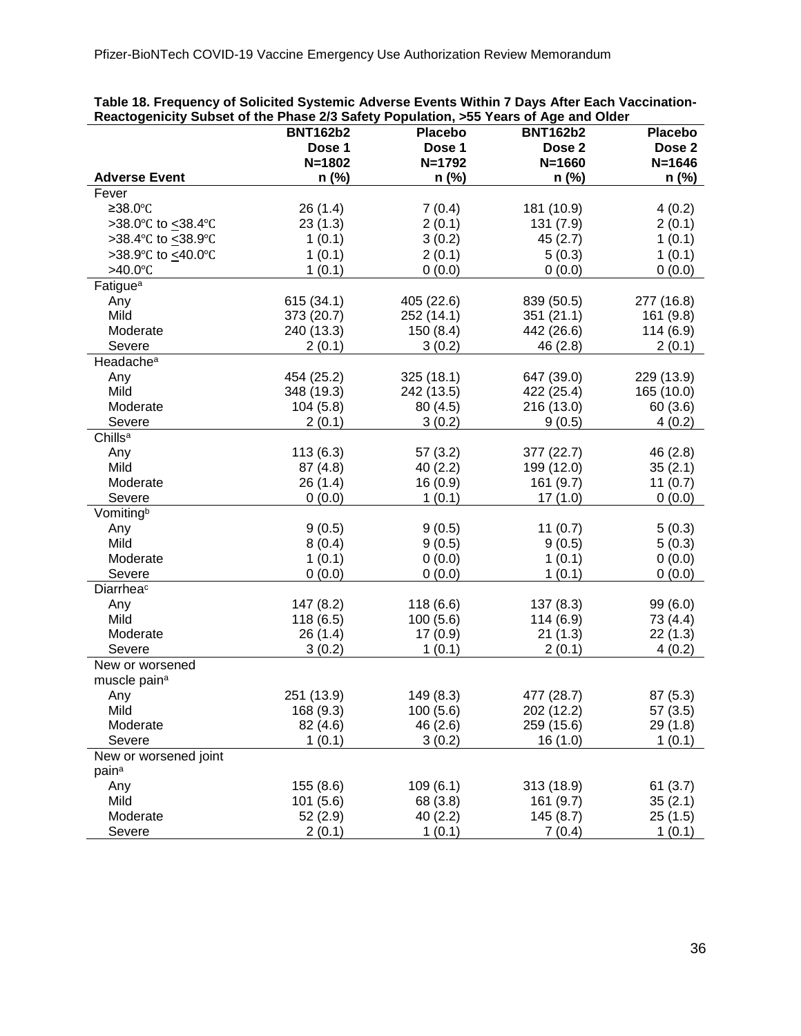| Reactogenicity Subset of the Phase 2/3 Safety Population, >55 Years of Age and Older |                 |                         |                 |                       |  |
|--------------------------------------------------------------------------------------|-----------------|-------------------------|-----------------|-----------------------|--|
|                                                                                      | <b>BNT162b2</b> | <b>Placebo</b>          | <b>BNT162b2</b> | <b>Placebo</b>        |  |
|                                                                                      | Dose 1          | Dose 1                  | Dose 2          | Dose 2                |  |
|                                                                                      | $N = 1802$      | $N = 1792$              | $N = 1660$      | $N = 1646$            |  |
| <b>Adverse Event</b>                                                                 | $n$ (%)         | $n$ (%)                 | n (%)           | $n$ (%)               |  |
| Fever                                                                                |                 |                         |                 |                       |  |
| ≥38.0°C                                                                              | 26 (1.4)        | 7(0.4)                  | 181 (10.9)      | 4(0.2)                |  |
| >38.0°C to < 38.4°C                                                                  | 23(1.3)         | 2(0.1)                  | 131 (7.9)       | 2(0.1)                |  |
| >38.4°C to <u>&lt;</u> 38.9°C                                                        | 1(0.1)          | 3(0.2)                  | 45(2.7)         | 1(0.1)                |  |
| >38.9°C to <40.0°C                                                                   | 1(0.1)          | 2(0.1)                  | 5(0.3)          | 1(0.1)                |  |
| $>40.0$ °C                                                                           | 1(0.1)          | 0(0.0)                  | 0(0.0)          | 0(0.0)                |  |
| Fatigue <sup>a</sup>                                                                 |                 |                         |                 |                       |  |
| Any                                                                                  | 615 (34.1)      | 405 (22.6)              | 839 (50.5)      | 277 (16.8)            |  |
| Mild                                                                                 | 373 (20.7)      | 252 (14.1)              | 351(21.1)       | 161 (9.8)             |  |
| Moderate                                                                             | 240 (13.3)      | 150(8.4)                | 442 (26.6)      | 114(6.9)              |  |
| Severe                                                                               |                 | 3(0.2)                  | 46 (2.8)        | 2(0.1)                |  |
| Headache <sup>a</sup>                                                                | 2(0.1)          |                         |                 |                       |  |
|                                                                                      | 454 (25.2)      |                         | 647 (39.0)      | 229 (13.9)            |  |
| Any<br>Mild                                                                          | 348 (19.3)      | 325(18.1)<br>242 (13.5) |                 |                       |  |
| Moderate                                                                             |                 |                         | 422 (25.4)      | 165 (10.0)<br>60(3.6) |  |
|                                                                                      | 104(5.8)        | 80(4.5)                 | 216 (13.0)      |                       |  |
| Severe                                                                               | 2(0.1)          | 3(0.2)                  | 9(0.5)          | 4(0.2)                |  |
| Chills <sup>a</sup>                                                                  |                 |                         |                 |                       |  |
| Any                                                                                  | 113(6.3)        | 57(3.2)                 | 377 (22.7)      | 46 (2.8)              |  |
| Mild                                                                                 | 87(4.8)         | 40(2.2)                 | 199 (12.0)      | 35(2.1)               |  |
| Moderate                                                                             | 26 (1.4)        | 16(0.9)                 | 161 (9.7)       | 11 $(0.7)$            |  |
| Severe                                                                               | 0(0.0)          | 1(0.1)                  | 17(1.0)         | 0(0.0)                |  |
| Vomitingb                                                                            |                 |                         |                 |                       |  |
| Any                                                                                  | 9(0.5)          | 9(0.5)                  | 11(0.7)         | 5(0.3)                |  |
| Mild                                                                                 | 8(0.4)          | 9(0.5)                  | 9(0.5)          | 5(0.3)                |  |
| Moderate                                                                             | 1(0.1)          | 0(0.0)                  | 1(0.1)          | 0(0.0)                |  |
| Severe                                                                               | 0(0.0)          | 0(0.0)                  | 1(0.1)          | 0(0.0)                |  |
| Diarrheac                                                                            |                 |                         |                 |                       |  |
| Any                                                                                  | 147 (8.2)       | 118(6.6)                | 137(8.3)        | 99(6.0)               |  |
| Mild                                                                                 | 118(6.5)        | 100(5.6)                | 114 (6.9)       | 73 (4.4)              |  |
| Moderate                                                                             | 26(1.4)         | 17(0.9)                 | 21(1.3)         | 22(1.3)               |  |
| Severe                                                                               | 3(0.2)          | 1(0.1)                  | 2(0.1)          | 4(0.2)                |  |
| New or worsened                                                                      |                 |                         |                 |                       |  |
| muscle pain <sup>a</sup>                                                             |                 |                         |                 |                       |  |
| Any                                                                                  | 251 (13.9)      | 149 (8.3)               | 477 (28.7)      | 87(5.3)               |  |
| Mild                                                                                 | 168 (9.3)       | 100(5.6)                | 202 (12.2)      | 57(3.5)               |  |
| Moderate                                                                             | 82 (4.6)        | 46(2.6)                 | 259 (15.6)      | 29(1.8)               |  |
| Severe                                                                               | 1(0.1)          | 3(0.2)                  | 16(1.0)         | 1(0.1)                |  |
| New or worsened joint                                                                |                 |                         |                 |                       |  |
| pain <sup>a</sup>                                                                    |                 |                         |                 |                       |  |
| Any                                                                                  | 155 (8.6)       | 109(6.1)                | 313 (18.9)      | 61(3.7)               |  |
| Mild                                                                                 | 101(5.6)        | 68 (3.8)                | 161 (9.7)       | 35(2.1)               |  |
| Moderate                                                                             | 52(2.9)         | 40(2.2)                 | 145(8.7)        | 25(1.5)               |  |
| Severe                                                                               | 2(0.1)          | 1(0.1)                  | 7(0.4)          | 1(0.1)                |  |

**Table 18. Frequency of Solicited Systemic Adverse Events Within 7 Days After Each Vaccination-**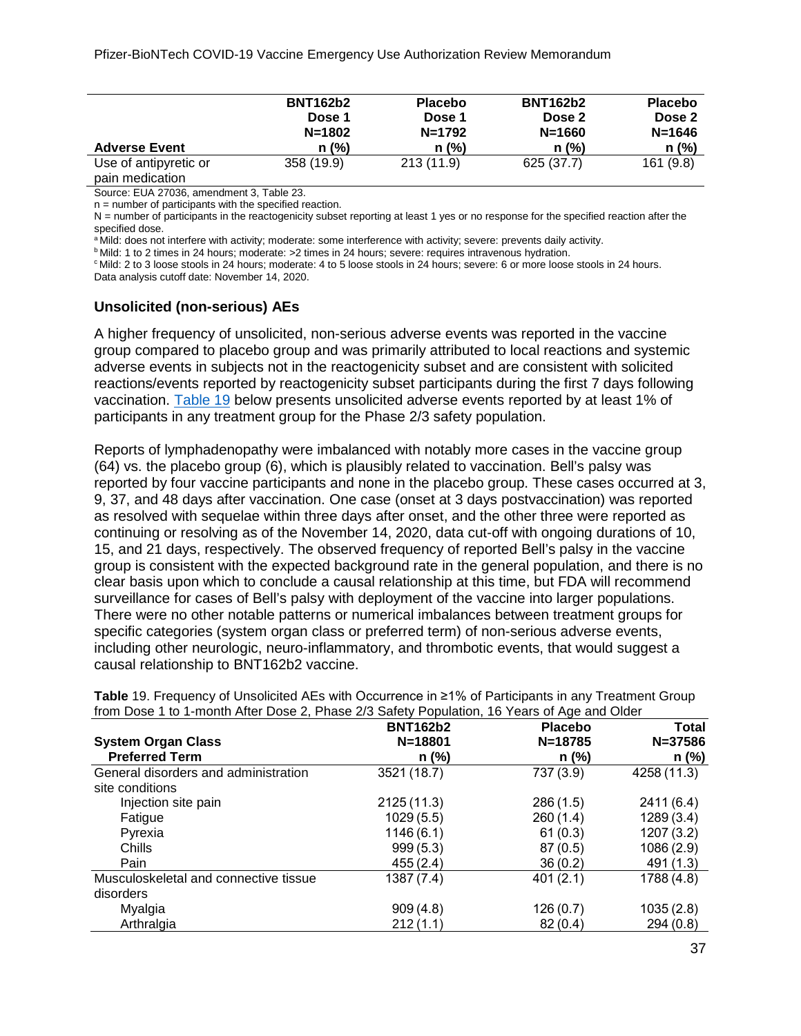|                                          | <b>BNT162b2</b><br>Dose 1<br>$N = 1802$ | <b>Placebo</b><br>Dose 1<br>$N = 1792$ | <b>BNT162b2</b><br>Dose 2<br>$N = 1660$ | <b>Placebo</b><br>Dose 2<br>$N = 1646$ |
|------------------------------------------|-----------------------------------------|----------------------------------------|-----------------------------------------|----------------------------------------|
| <b>Adverse Event</b>                     | $n$ (%)                                 | $n$ (%)                                | $n$ (%)                                 | $n$ (%)                                |
| Use of antipyretic or<br>pain medication | 358 (19.9)                              | 213(11.9)                              | 625 (37.7)                              | 161 (9.8)                              |

Source: EUA 27036, amendment 3, Table 23.

n = number of participants with the specified reaction.

N = number of participants in the reactogenicity subset reporting at least 1 yes or no response for the specified reaction after the specified dose.

a Mild: does not interfere with activity; moderate: some interference with activity; severe: prevents daily activity.

**b Mild: 1 to 2 times in 24 hours; moderate: > 2 times in 24 hours; severe: requires intravenous hydration.** 

c Mild: 2 to 3 loose stools in 24 hours; moderate: 4 to 5 loose stools in 24 hours; severe: 6 or more loose stools in 24 hours. Data analysis cutoff date: November 14, 2020.

#### **Unsolicited (non-serious) AEs**

A higher frequency of unsolicited, non-serious adverse events was reported in the vaccine group compared to placebo group and was primarily attributed to local reactions and systemic adverse events in subjects not in the reactogenicity subset and are consistent with solicited reactions/events reported by reactogenicity subset participants during the first 7 days following vaccination. [Table 19](#page-36-0) below presents unsolicited adverse events reported by at least 1% of participants in any treatment group for the Phase 2/3 safety population.

Reports of lymphadenopathy were imbalanced with notably more cases in the vaccine group (64) vs. the placebo group (6), which is plausibly related to vaccination. Bell's palsy was reported by four vaccine participants and none in the placebo group. These cases occurred at 3, 9, 37, and 48 days after vaccination. One case (onset at 3 days postvaccination) was reported as resolved with sequelae within three days after onset, and the other three were reported as continuing or resolving as of the November 14, 2020, data cut-off with ongoing durations of 10, 15, and 21 days, respectively. The observed frequency of reported Bell's palsy in the vaccine group is consistent with the expected background rate in the general population, and there is no clear basis upon which to conclude a causal relationship at this time, but FDA will recommend surveillance for cases of Bell's palsy with deployment of the vaccine into larger populations. There were no other notable patterns or numerical imbalances between treatment groups for specific categories (system organ class or preferred term) of non-serious adverse events, including other neurologic, neuro-inflammatory, and thrombotic events, that would suggest a causal relationship to BNT162b2 vaccine.

|                                       | <b>BNT162b2</b> | <b>Placebo</b> | Total       |  |
|---------------------------------------|-----------------|----------------|-------------|--|
| <b>System Organ Class</b>             | $N = 18801$     | $N = 18785$    | $N = 37586$ |  |
| <b>Preferred Term</b>                 | n (%)           | n (%)          | $n$ (%)     |  |
| General disorders and administration  | 3521 (18.7)     | 737 (3.9)      | 4258 (11.3) |  |
| site conditions                       |                 |                |             |  |
| Injection site pain                   | 2125(11.3)      | 286(1.5)       | 2411(6.4)   |  |
| Fatigue                               | 1029(5.5)       | 260(1.4)       | 1289(3.4)   |  |
| Pyrexia                               | 1146(6.1)       | 61(0.3)        | 1207(3.2)   |  |
| Chills                                | 999(5.3)        | 87(0.5)        | 1086(2.9)   |  |
| Pain                                  | 455(2.4)        | 36(0.2)        | 491 (1.3)   |  |
| Musculoskeletal and connective tissue | 1387 (7.4)      | 401(2.1)       | 1788(4.8)   |  |
| disorders                             |                 |                |             |  |
| Myalgia                               | 909(4.8)        | 126(0.7)       | 1035(2.8)   |  |
| Arthralgia                            | 212(1.1)        | 82(0.4)        | 294(0.8)    |  |

<span id="page-36-0"></span>**Table** 19. Frequency of Unsolicited AEs with Occurrence in ≥1% of Participants in any Treatment Group from Dose 1 to 1-month After Dose 2, Phase 2/3 Safety Population, 16 Years of Age and Older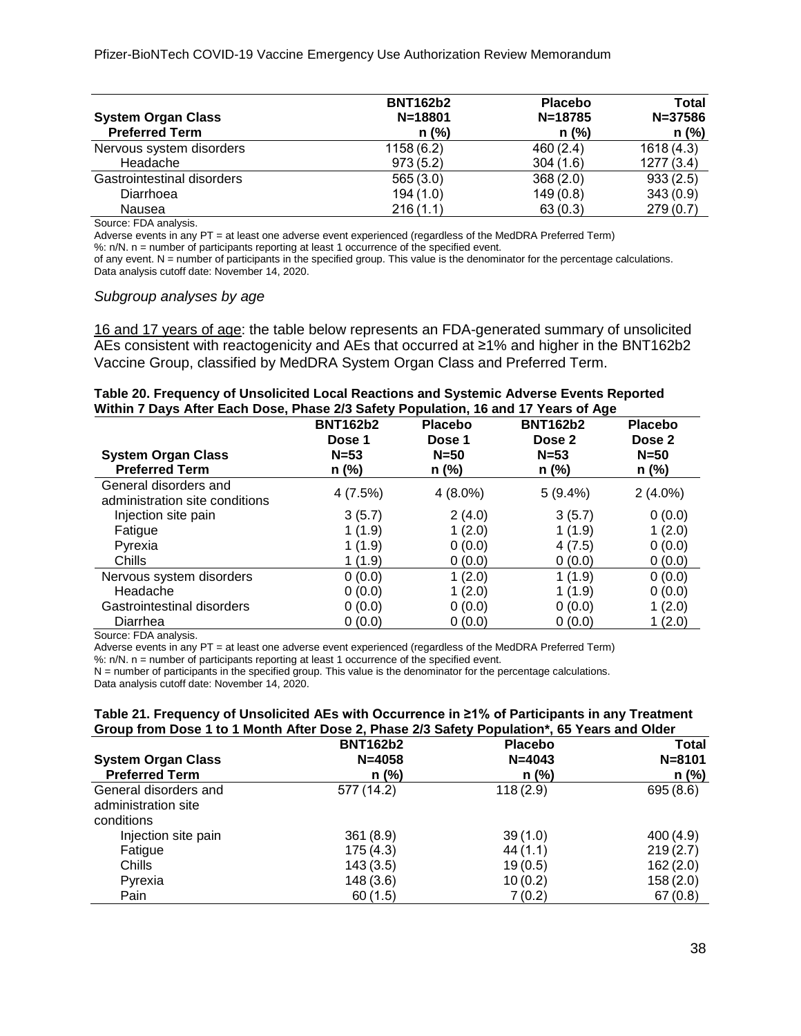| <b>System Organ Class</b><br><b>Preferred Term</b> | <b>BNT162b2</b><br>$N = 18801$<br>$n$ (%) | <b>Placebo</b><br>$N = 18785$<br>$n$ (%) | Total<br>$N = 37586$<br>$n$ (%) |
|----------------------------------------------------|-------------------------------------------|------------------------------------------|---------------------------------|
| Nervous system disorders                           | 1158 (6.2)                                | 460(2.4)                                 | 1618(4.3)                       |
| Headache                                           | 973(5.2)                                  | 304(1.6)                                 | 1277(3.4)                       |
| Gastrointestinal disorders                         | 565(3.0)                                  | 368(2.0)                                 | 933(2.5)                        |
| Diarrhoea                                          | 194(1.0)                                  | 149(0.8)                                 | 343(0.9)                        |
| Nausea                                             | 216(1.1)                                  | 63(0.3)                                  | 279(0.7)                        |

Source: FDA analysis.

Adverse events in any PT = at least one adverse event experienced (regardless of the MedDRA Preferred Term)

%: n/N. n = number of participants reporting at least 1 occurrence of the specified event.

of any event. N = number of participants in the specified group. This value is the denominator for the percentage calculations. Data analysis cutoff date: November 14, 2020.

#### *Subgroup analyses by age*

16 and 17 years of age: the table below represents an FDA-generated summary of unsolicited AEs consistent with reactogenicity and AEs that occurred at ≥1% and higher in the BNT162b2 Vaccine Group, classified by MedDRA System Organ Class and Preferred Term.

<span id="page-37-0"></span>

|  | Table 20. Frequency of Unsolicited Local Reactions and Systemic Adverse Events Reported |  |  |
|--|-----------------------------------------------------------------------------------------|--|--|
|  | Within 7 Days After Each Dose, Phase 2/3 Safety Population, 16 and 17 Years of Age      |  |  |

|                                                         | <b>BNT162b2</b><br>Dose 1 | <b>Placebo</b><br>Dose 1 | <b>BNT162b2</b><br>Dose 2 | <b>Placebo</b><br>Dose 2 |
|---------------------------------------------------------|---------------------------|--------------------------|---------------------------|--------------------------|
| <b>System Organ Class</b><br><b>Preferred Term</b>      | $N = 53$<br>n (%)         | $N = 50$<br>n (%)        | $N=53$<br>n (%)           | $N = 50$<br>n (%)        |
| General disorders and<br>administration site conditions | 4(7.5%)                   | $4(8.0\%)$               | 5(9.4%)                   | $2(4.0\%)$               |
| Injection site pain                                     | 3(5.7)                    | 2(4.0)                   | 3(5.7)                    | 0(0.0)                   |
| Fatigue                                                 | 1(1.9)                    | 1(2.0)                   | 1(1.9)                    | 1(2.0)                   |
| Pyrexia                                                 | 1(1.9)                    | 0(0.0)                   | 4(7.5)                    | 0(0.0)                   |
| Chills                                                  | 1 (1.9)                   | 0(0.0)                   | 0(0.0)                    | 0(0.0)                   |
| Nervous system disorders                                | 0(0.0)                    | 1(2.0)                   | 1(1.9)                    | 0(0.0)                   |
| Headache                                                | 0(0.0)                    | 1(2.0)                   | 1(1.9)                    | 0(0.0)                   |
| Gastrointestinal disorders                              | 0(0.0)                    | 0(0.0)                   | 0(0.0)                    | 1(2.0)                   |
| Diarrhea                                                | 0(0.0)                    | 0(0.0)                   | 0(0.0)                    | 1(2.0)                   |

Source: FDA analysis.

Adverse events in any PT = at least one adverse event experienced (regardless of the MedDRA Preferred Term)

%: n/N. n = number of participants reporting at least 1 occurrence of the specified event.

N = number of participants in the specified group. This value is the denominator for the percentage calculations.

Data analysis cutoff date: November 14, 2020.

#### <span id="page-37-1"></span>**Table 21. Frequency of Unsolicited AEs with Occurrence in ≥1% of Participants in any Treatment Group from Dose 1 to 1 Month After Dose 2, Phase 2/3 Safety Population\*, 65 Years and Older**

|                                                            | <b>BNT162b2</b> | <b>Placebo</b> | <b>Total</b> |
|------------------------------------------------------------|-----------------|----------------|--------------|
| <b>System Organ Class</b>                                  | $N = 4058$      | $N = 4043$     | $N = 8101$   |
| <b>Preferred Term</b>                                      | $n$ (%)         | $n$ (%)        | n (%)        |
| General disorders and<br>administration site<br>conditions | 577 (14.2)      | 118(2.9)       | 695(8.6)     |
| Injection site pain                                        | 361(8.9)        | 39(1.0)        | 400(4.9)     |
| Fatigue                                                    | 175(4.3)        | 44(1.1)        | 219(2.7)     |
| Chills                                                     | 143(3.5)        | 19(0.5)        | 162(2.0)     |
| Pyrexia                                                    | 148(3.6)        | 10(0.2)        | 158(2.0)     |
| Pain                                                       | 60(1.5)         | 7(0.2)         | 67(0.8)      |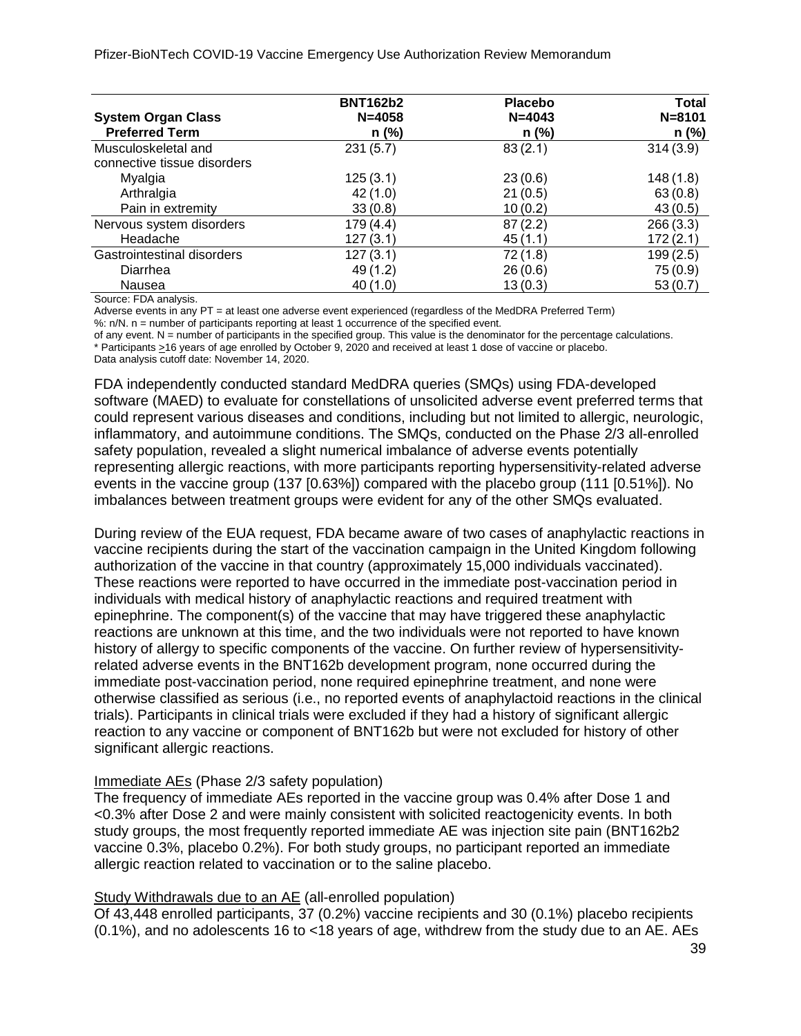Pfizer-BioNTech COVID-19 Vaccine Emergency Use Authorization Review Memorandum

|                             | <b>BNT162b2</b> | <b>Placebo</b> | <b>Total</b> |
|-----------------------------|-----------------|----------------|--------------|
| <b>System Organ Class</b>   | $N = 4058$      | $N = 4043$     | $N = 8101$   |
| <b>Preferred Term</b>       | $n$ (%)         | $n$ (%)        | n (%)        |
| Musculoskeletal and         | 231(5.7)        | 83(2.1)        | 314(3.9)     |
| connective tissue disorders |                 |                |              |
| Myalgia                     | 125(3.1)        | 23(0.6)        | 148(1.8)     |
| Arthralgia                  | 42(1.0)         | 21(0.5)        | 63(0.8)      |
| Pain in extremity           | 33(0.8)         | 10(0.2)        | 43(0.5)      |
| Nervous system disorders    | 179(4.4)        | 87(2.2)        | 266(3.3)     |
| Headache                    | 127(3.1)        | 45(1.1)        | 172(2.1)     |
| Gastrointestinal disorders  | 127(3.1)        | 72(1.8)        | 199(2.5)     |
| Diarrhea                    | 49(1.2)         | 26(0.6)        | 75(0.9)      |
| Nausea                      | 40(1.0)         | 13(0.3)        | 53(0.7)      |

Source: FDA analysis.

Adverse events in any PT = at least one adverse event experienced (regardless of the MedDRA Preferred Term)

%: n/N. n = number of participants reporting at least 1 occurrence of the specified event.

of any event. N = number of participants in the specified group. This value is the denominator for the percentage calculations. \* Participants >16 years of age enrolled by October 9, 2020 and received at least 1 dose of vaccine or placebo.

Data analysis cutoff date: November 14, 2020.

FDA independently conducted standard MedDRA queries (SMQs) using FDA-developed software (MAED) to evaluate for constellations of unsolicited adverse event preferred terms that could represent various diseases and conditions, including but not limited to allergic, neurologic, inflammatory, and autoimmune conditions. The SMQs, conducted on the Phase 2/3 all-enrolled safety population, revealed a slight numerical imbalance of adverse events potentially representing allergic reactions, with more participants reporting hypersensitivity-related adverse events in the vaccine group (137 [0.63%]) compared with the placebo group (111 [0.51%]). No imbalances between treatment groups were evident for any of the other SMQs evaluated.

During review of the EUA request, FDA became aware of two cases of anaphylactic reactions in vaccine recipients during the start of the vaccination campaign in the United Kingdom following authorization of the vaccine in that country (approximately 15,000 individuals vaccinated). These reactions were reported to have occurred in the immediate post-vaccination period in individuals with medical history of anaphylactic reactions and required treatment with epinephrine. The component(s) of the vaccine that may have triggered these anaphylactic reactions are unknown at this time, and the two individuals were not reported to have known history of allergy to specific components of the vaccine. On further review of hypersensitivityrelated adverse events in the BNT162b development program, none occurred during the immediate post-vaccination period, none required epinephrine treatment, and none were otherwise classified as serious (i.e., no reported events of anaphylactoid reactions in the clinical trials). Participants in clinical trials were excluded if they had a history of significant allergic reaction to any vaccine or component of BNT162b but were not excluded for history of other significant allergic reactions.

#### Immediate AEs (Phase 2/3 safety population)

The frequency of immediate AEs reported in the vaccine group was 0.4% after Dose 1 and <0.3% after Dose 2 and were mainly consistent with solicited reactogenicity events. In both study groups, the most frequently reported immediate AE was injection site pain (BNT162b2 vaccine 0.3%, placebo 0.2%). For both study groups, no participant reported an immediate allergic reaction related to vaccination or to the saline placebo.

### Study Withdrawals due to an AE (all-enrolled population)

Of 43,448 enrolled participants, 37 (0.2%) vaccine recipients and 30 (0.1%) placebo recipients (0.1%), and no adolescents 16 to <18 years of age, withdrew from the study due to an AE. AEs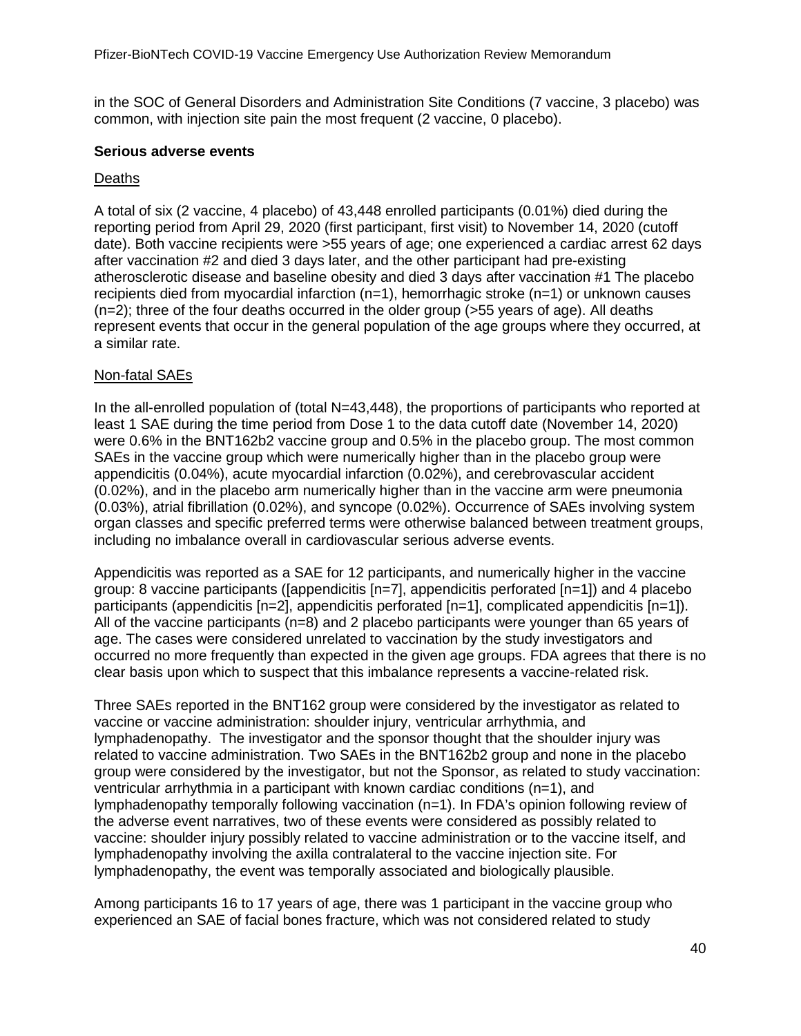in the SOC of General Disorders and Administration Site Conditions (7 vaccine, 3 placebo) was common, with injection site pain the most frequent (2 vaccine, 0 placebo).

#### **Serious adverse events**

### Deaths

A total of six (2 vaccine, 4 placebo) of 43,448 enrolled participants (0.01%) died during the reporting period from April 29, 2020 (first participant, first visit) to November 14, 2020 (cutoff date). Both vaccine recipients were >55 years of age; one experienced a cardiac arrest 62 days after vaccination #2 and died 3 days later, and the other participant had pre-existing atherosclerotic disease and baseline obesity and died 3 days after vaccination #1 The placebo recipients died from myocardial infarction  $(n=1)$ , hemorrhagic stroke  $(n=1)$  or unknown causes (n=2); three of the four deaths occurred in the older group (>55 years of age). All deaths represent events that occur in the general population of the age groups where they occurred, at a similar rate.

### Non-fatal SAEs

In the all-enrolled population of (total N=43,448), the proportions of participants who reported at least 1 SAE during the time period from Dose 1 to the data cutoff date (November 14, 2020) were 0.6% in the BNT162b2 vaccine group and 0.5% in the placebo group. The most common SAEs in the vaccine group which were numerically higher than in the placebo group were appendicitis (0.04%), acute myocardial infarction (0.02%), and cerebrovascular accident (0.02%), and in the placebo arm numerically higher than in the vaccine arm were pneumonia (0.03%), atrial fibrillation (0.02%), and syncope (0.02%). Occurrence of SAEs involving system organ classes and specific preferred terms were otherwise balanced between treatment groups, including no imbalance overall in cardiovascular serious adverse events.

Appendicitis was reported as a SAE for 12 participants, and numerically higher in the vaccine group: 8 vaccine participants ([appendicitis  $[n=7]$ , appendicitis perforated  $[n=1]$ ) and 4 placebo participants (appendicitis [n=2], appendicitis perforated [n=1], complicated appendicitis [n=1]). All of the vaccine participants (n=8) and 2 placebo participants were younger than 65 years of age. The cases were considered unrelated to vaccination by the study investigators and occurred no more frequently than expected in the given age groups. FDA agrees that there is no clear basis upon which to suspect that this imbalance represents a vaccine-related risk.

Three SAEs reported in the BNT162 group were considered by the investigator as related to vaccine or vaccine administration: shoulder injury, ventricular arrhythmia, and lymphadenopathy. The investigator and the sponsor thought that the shoulder injury was related to vaccine administration. Two SAEs in the BNT162b2 group and none in the placebo group were considered by the investigator, but not the Sponsor, as related to study vaccination: ventricular arrhythmia in a participant with known cardiac conditions  $(n=1)$ , and lymphadenopathy temporally following vaccination (n=1). In FDA's opinion following review of the adverse event narratives, two of these events were considered as possibly related to vaccine: shoulder injury possibly related to vaccine administration or to the vaccine itself, and lymphadenopathy involving the axilla contralateral to the vaccine injection site. For lymphadenopathy, the event was temporally associated and biologically plausible.

Among participants 16 to 17 years of age, there was 1 participant in the vaccine group who experienced an SAE of facial bones fracture, which was not considered related to study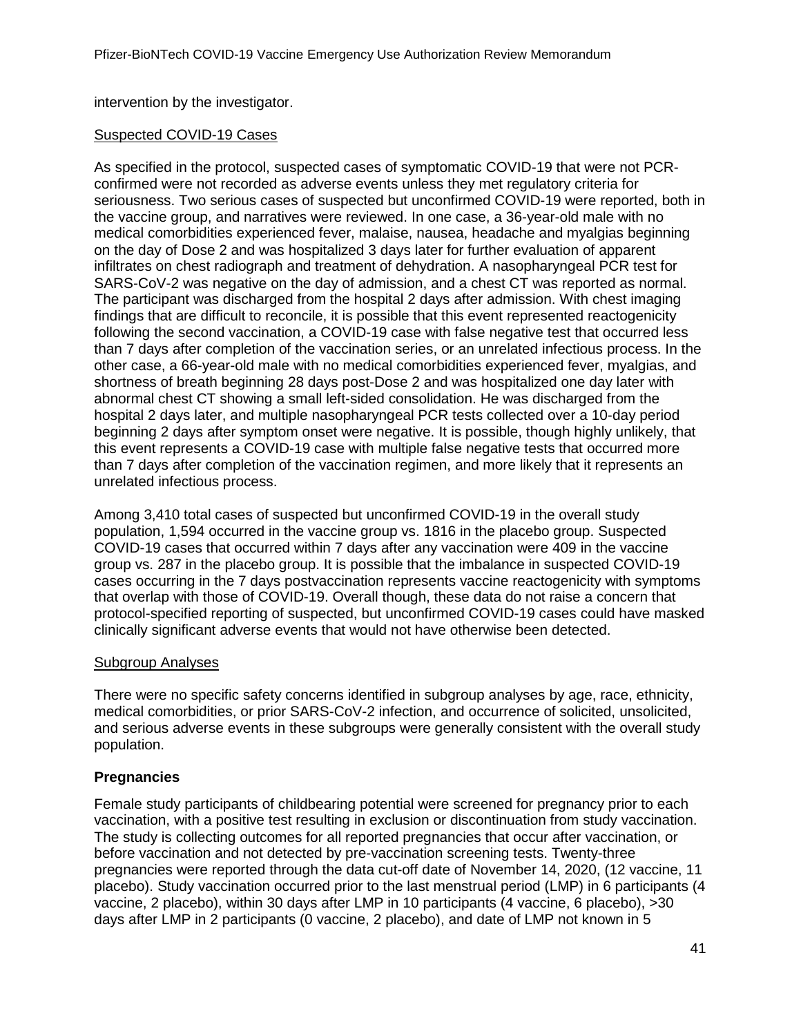intervention by the investigator.

### Suspected COVID-19 Cases

As specified in the protocol, suspected cases of symptomatic COVID-19 that were not PCRconfirmed were not recorded as adverse events unless they met regulatory criteria for seriousness. Two serious cases of suspected but unconfirmed COVID-19 were reported, both in the vaccine group, and narratives were reviewed. In one case, a 36-year-old male with no medical comorbidities experienced fever, malaise, nausea, headache and myalgias beginning on the day of Dose 2 and was hospitalized 3 days later for further evaluation of apparent infiltrates on chest radiograph and treatment of dehydration. A nasopharyngeal PCR test for SARS-CoV-2 was negative on the day of admission, and a chest CT was reported as normal. The participant was discharged from the hospital 2 days after admission. With chest imaging findings that are difficult to reconcile, it is possible that this event represented reactogenicity following the second vaccination, a COVID-19 case with false negative test that occurred less than 7 days after completion of the vaccination series, or an unrelated infectious process. In the other case, a 66-year-old male with no medical comorbidities experienced fever, myalgias, and shortness of breath beginning 28 days post-Dose 2 and was hospitalized one day later with abnormal chest CT showing a small left-sided consolidation. He was discharged from the hospital 2 days later, and multiple nasopharyngeal PCR tests collected over a 10-day period beginning 2 days after symptom onset were negative. It is possible, though highly unlikely, that this event represents a COVID-19 case with multiple false negative tests that occurred more than 7 days after completion of the vaccination regimen, and more likely that it represents an unrelated infectious process.

Among 3,410 total cases of suspected but unconfirmed COVID-19 in the overall study population, 1,594 occurred in the vaccine group vs. 1816 in the placebo group. Suspected COVID-19 cases that occurred within 7 days after any vaccination were 409 in the vaccine group vs. 287 in the placebo group. It is possible that the imbalance in suspected COVID-19 cases occurring in the 7 days postvaccination represents vaccine reactogenicity with symptoms that overlap with those of COVID-19. Overall though, these data do not raise a concern that protocol-specified reporting of suspected, but unconfirmed COVID-19 cases could have masked clinically significant adverse events that would not have otherwise been detected.

### Subgroup Analyses

There were no specific safety concerns identified in subgroup analyses by age, race, ethnicity, medical comorbidities, or prior SARS-CoV-2 infection, and occurrence of solicited, unsolicited, and serious adverse events in these subgroups were generally consistent with the overall study population.

### **Pregnancies**

Female study participants of childbearing potential were screened for pregnancy prior to each vaccination, with a positive test resulting in exclusion or discontinuation from study vaccination. The study is collecting outcomes for all reported pregnancies that occur after vaccination, or before vaccination and not detected by pre-vaccination screening tests. Twenty-three pregnancies were reported through the data cut-off date of November 14, 2020, (12 vaccine, 11 placebo). Study vaccination occurred prior to the last menstrual period (LMP) in 6 participants (4 vaccine, 2 placebo), within 30 days after LMP in 10 participants (4 vaccine, 6 placebo), >30 days after LMP in 2 participants (0 vaccine, 2 placebo), and date of LMP not known in 5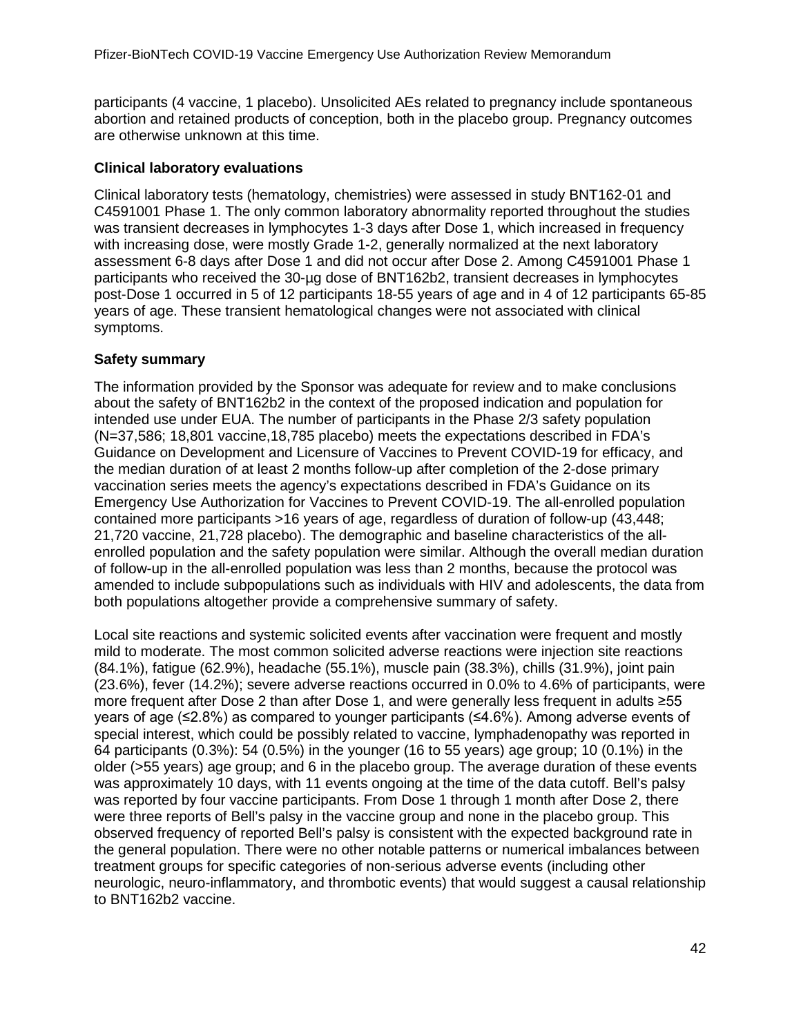participants (4 vaccine, 1 placebo). Unsolicited AEs related to pregnancy include spontaneous abortion and retained products of conception, both in the placebo group. Pregnancy outcomes are otherwise unknown at this time.

### **Clinical laboratory evaluations**

Clinical laboratory tests (hematology, chemistries) were assessed in study BNT162-01 and C4591001 Phase 1. The only common laboratory abnormality reported throughout the studies was transient decreases in lymphocytes 1-3 days after Dose 1, which increased in frequency with increasing dose, were mostly Grade 1-2, generally normalized at the next laboratory assessment 6-8 days after Dose 1 and did not occur after Dose 2. Among C4591001 Phase 1 participants who received the 30-µg dose of BNT162b2, transient decreases in lymphocytes post-Dose 1 occurred in 5 of 12 participants 18-55 years of age and in 4 of 12 participants 65-85 years of age. These transient hematological changes were not associated with clinical symptoms.

### **Safety summary**

The information provided by the Sponsor was adequate for review and to make conclusions about the safety of BNT162b2 in the context of the proposed indication and population for intended use under EUA. The number of participants in the Phase 2/3 safety population (N=37,586; 18,801 vaccine,18,785 placebo) meets the expectations described in FDA's Guidance on Development and Licensure of Vaccines to Prevent COVID-19 for efficacy, and the median duration of at least 2 months follow-up after completion of the 2-dose primary vaccination series meets the agency's expectations described in FDA's Guidance on its Emergency Use Authorization for Vaccines to Prevent COVID-19. The all-enrolled population contained more participants >16 years of age, regardless of duration of follow-up (43,448; 21,720 vaccine, 21,728 placebo). The demographic and baseline characteristics of the allenrolled population and the safety population were similar. Although the overall median duration of follow-up in the all-enrolled population was less than 2 months, because the protocol was amended to include subpopulations such as individuals with HIV and adolescents, the data from both populations altogether provide a comprehensive summary of safety.

Local site reactions and systemic solicited events after vaccination were frequent and mostly mild to moderate. The most common solicited adverse reactions were injection site reactions (84.1%), fatigue (62.9%), headache (55.1%), muscle pain (38.3%), chills (31.9%), joint pain (23.6%), fever (14.2%); severe adverse reactions occurred in 0.0% to 4.6% of participants, were more frequent after Dose 2 than after Dose 1, and were generally less frequent in adults ≥55 years of age (≤2.8%) as compared to younger participants (≤4.6%). Among adverse events of special interest, which could be possibly related to vaccine, lymphadenopathy was reported in 64 participants (0.3%): 54 (0.5%) in the younger (16 to 55 years) age group; 10 (0.1%) in the older (>55 years) age group; and 6 in the placebo group. The average duration of these events was approximately 10 days, with 11 events ongoing at the time of the data cutoff. Bell's palsy was reported by four vaccine participants. From Dose 1 through 1 month after Dose 2, there were three reports of Bell's palsy in the vaccine group and none in the placebo group. This observed frequency of reported Bell's palsy is consistent with the expected background rate in the general population. There were no other notable patterns or numerical imbalances between treatment groups for specific categories of non-serious adverse events (including other neurologic, neuro-inflammatory, and thrombotic events) that would suggest a causal relationship to BNT162b2 vaccine.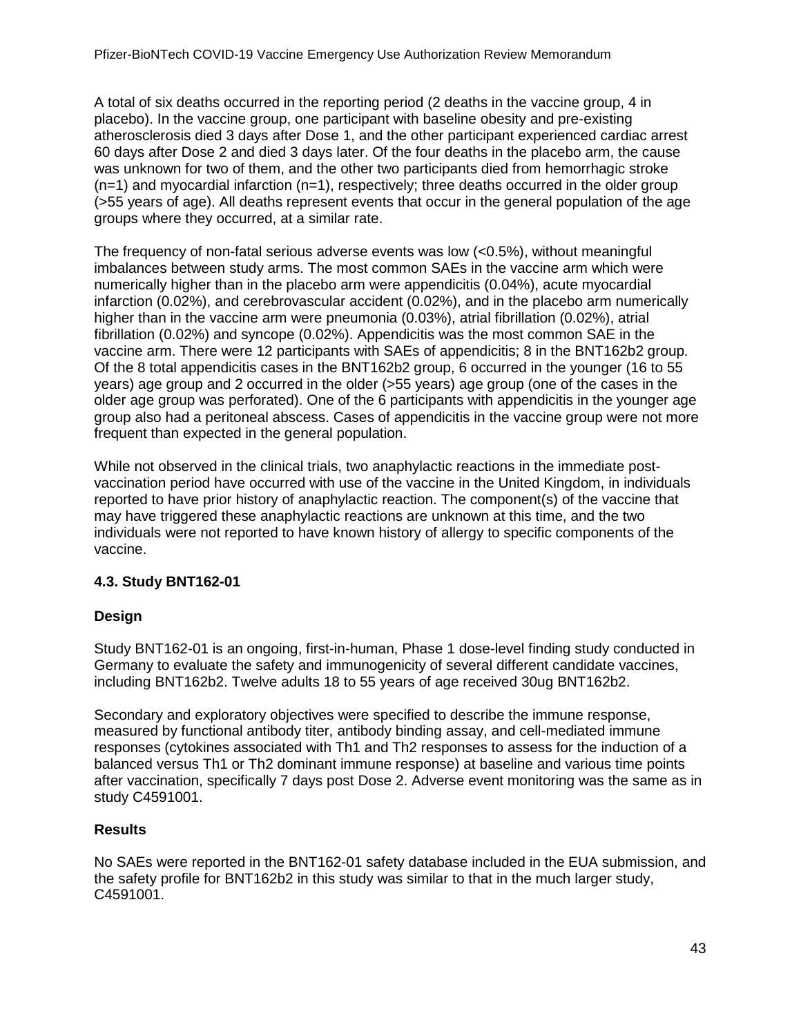A total of six deaths occurred in the reporting period (2 deaths in the vaccine group, 4 in placebo). In the vaccine group, one participant with baseline obesity and pre-existing atherosclerosis died 3 days after Dose 1, and the other participant experienced cardiac arrest 60 days after Dose 2 and died 3 days later. Of the four deaths in the placebo arm, the cause was unknown for two of them, and the other two participants died from hemorrhagic stroke  $(n=1)$  and myocardial infarction  $(n=1)$ , respectively; three deaths occurred in the older group (>55 years of age). All deaths represent events that occur in the general population of the age groups where they occurred, at a similar rate.

The frequency of non-fatal serious adverse events was low (<0.5%), without meaningful imbalances between study arms. The most common SAEs in the vaccine arm which were numerically higher than in the placebo arm were appendicitis (0.04%), acute myocardial infarction (0.02%), and cerebrovascular accident (0.02%), and in the placebo arm numerically higher than in the vaccine arm were pneumonia (0.03%), atrial fibrillation (0.02%), atrial fibrillation (0.02%) and syncope (0.02%). Appendicitis was the most common SAE in the vaccine arm. There were 12 participants with SAEs of appendicitis; 8 in the BNT162b2 group. Of the 8 total appendicitis cases in the BNT162b2 group, 6 occurred in the younger (16 to 55 years) age group and 2 occurred in the older (>55 years) age group (one of the cases in the older age group was perforated). One of the 6 participants with appendicitis in the younger age group also had a peritoneal abscess. Cases of appendicitis in the vaccine group were not more frequent than expected in the general population.

While not observed in the clinical trials, two anaphylactic reactions in the immediate postvaccination period have occurred with use of the vaccine in the United Kingdom, in individuals reported to have prior history of anaphylactic reaction. The component(s) of the vaccine that may have triggered these anaphylactic reactions are unknown at this time, and the two individuals were not reported to have known history of allergy to specific components of the vaccine.

# <span id="page-42-0"></span>**4.3. Study BNT162-01**

### **Design**

Study BNT162-01 is an ongoing, first-in-human, Phase 1 dose-level finding study conducted in Germany to evaluate the safety and immunogenicity of several different candidate vaccines, including BNT162b2. Twelve adults 18 to 55 years of age received 30ug BNT162b2.

Secondary and exploratory objectives were specified to describe the immune response, measured by functional antibody titer, antibody binding assay, and cell-mediated immune responses (cytokines associated with Th1 and Th2 responses to assess for the induction of a balanced versus Th1 or Th2 dominant immune response) at baseline and various time points after vaccination, specifically 7 days post Dose 2. Adverse event monitoring was the same as in study C4591001.

### **Results**

No SAEs were reported in the BNT162-01 safety database included in the EUA submission, and the safety profile for BNT162b2 in this study was similar to that in the much larger study, C4591001.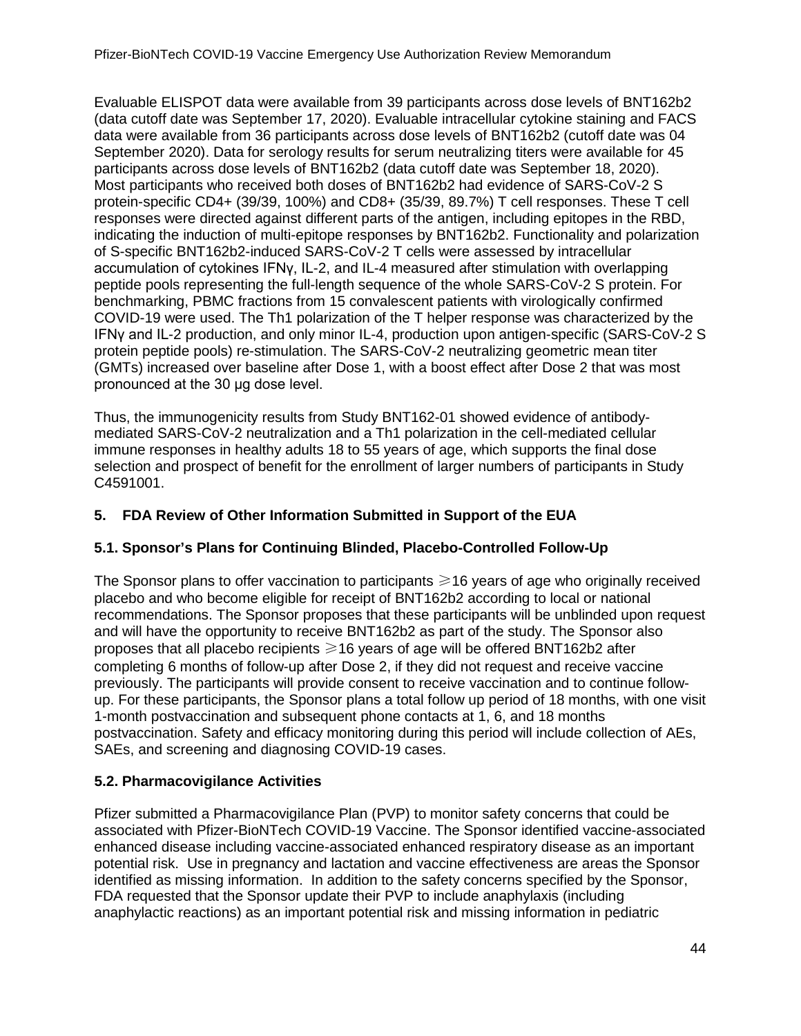Evaluable ELISPOT data were available from 39 participants across dose levels of BNT162b2 (data cutoff date was September 17, 2020). Evaluable intracellular cytokine staining and FACS data were available from 36 participants across dose levels of BNT162b2 (cutoff date was 04 September 2020). Data for serology results for serum neutralizing titers were available for 45 participants across dose levels of BNT162b2 (data cutoff date was September 18, 2020). Most participants who received both doses of BNT162b2 had evidence of SARS-CoV-2 S protein-specific CD4+ (39/39, 100%) and CD8+ (35/39, 89.7%) T cell responses. These T cell responses were directed against different parts of the antigen, including epitopes in the RBD, indicating the induction of multi-epitope responses by BNT162b2. Functionality and polarization of S-specific BNT162b2-induced SARS-CoV-2 T cells were assessed by intracellular accumulation of cytokines IFNγ, IL-2, and IL-4 measured after stimulation with overlapping peptide pools representing the full-length sequence of the whole SARS-CoV-2 S protein. For benchmarking, PBMC fractions from 15 convalescent patients with virologically confirmed COVID-19 were used. The Th1 polarization of the T helper response was characterized by the IFNγ and IL-2 production, and only minor IL-4, production upon antigen-specific (SARS-CoV-2 S protein peptide pools) re-stimulation. The SARS-CoV-2 neutralizing geometric mean titer (GMTs) increased over baseline after Dose 1, with a boost effect after Dose 2 that was most pronounced at the 30 μg dose level.

Thus, the immunogenicity results from Study BNT162-01 showed evidence of antibodymediated SARS-CoV-2 neutralization and a Th1 polarization in the cell-mediated cellular immune responses in healthy adults 18 to 55 years of age, which supports the final dose selection and prospect of benefit for the enrollment of larger numbers of participants in Study C4591001.

# <span id="page-43-0"></span>**5. FDA Review of Other Information Submitted in Support of the EUA**

# <span id="page-43-1"></span>**5.1. Sponsor's Plans for Continuing Blinded, Placebo-Controlled Follow-Up**

The Sponsor plans to offer vaccination to participants  $\geq 16$  years of age who originally received placebo and who become eligible for receipt of BNT162b2 according to local or national recommendations. The Sponsor proposes that these participants will be unblinded upon request and will have the opportunity to receive BNT162b2 as part of the study. The Sponsor also proposes that all placebo recipients  $\geq 16$  years of age will be offered BNT162b2 after completing 6 months of follow-up after Dose 2, if they did not request and receive vaccine previously. The participants will provide consent to receive vaccination and to continue followup. For these participants, the Sponsor plans a total follow up period of 18 months, with one visit 1-month postvaccination and subsequent phone contacts at 1, 6, and 18 months postvaccination. Safety and efficacy monitoring during this period will include collection of AEs, SAEs, and screening and diagnosing COVID-19 cases.

# <span id="page-43-2"></span>**5.2. Pharmacovigilance Activities**

Pfizer submitted a Pharmacovigilance Plan (PVP) to monitor safety concerns that could be associated with Pfizer-BioNTech COVID-19 Vaccine. The Sponsor identified vaccine-associated enhanced disease including vaccine-associated enhanced respiratory disease as an important potential risk. Use in pregnancy and lactation and vaccine effectiveness are areas the Sponsor identified as missing information. In addition to the safety concerns specified by the Sponsor, FDA requested that the Sponsor update their PVP to include anaphylaxis (including anaphylactic reactions) as an important potential risk and missing information in pediatric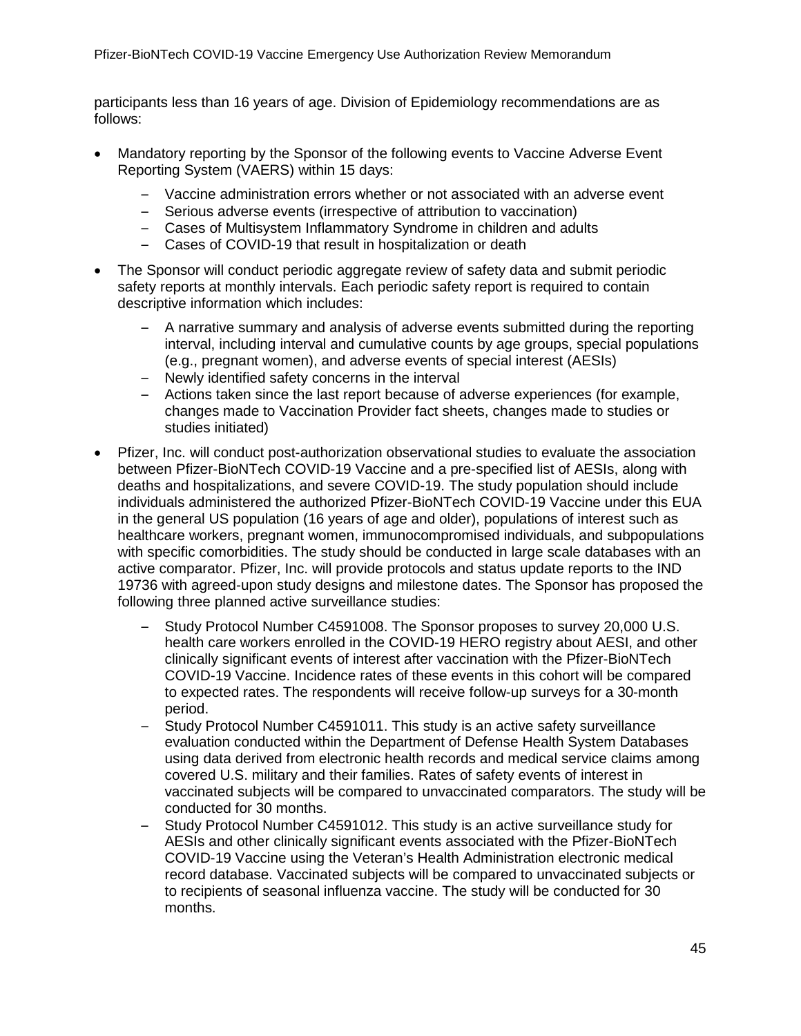participants less than 16 years of age. Division of Epidemiology recommendations are as follows:

- Mandatory reporting by the Sponsor of the following events to Vaccine Adverse Event Reporting System (VAERS) within 15 days:
	- Vaccine administration errors whether or not associated with an adverse event
	- Serious adverse events (irrespective of attribution to vaccination)
	- Cases of Multisystem Inflammatory Syndrome in children and adults
	- Cases of COVID-19 that result in hospitalization or death
- The Sponsor will conduct periodic aggregate review of safety data and submit periodic safety reports at monthly intervals. Each periodic safety report is required to contain descriptive information which includes:
	- A narrative summary and analysis of adverse events submitted during the reporting interval, including interval and cumulative counts by age groups, special populations (e.g., pregnant women), and adverse events of special interest (AESIs)
	- Newly identified safety concerns in the interval
	- Actions taken since the last report because of adverse experiences (for example, changes made to Vaccination Provider fact sheets, changes made to studies or studies initiated)
- Pfizer, Inc. will conduct post-authorization observational studies to evaluate the association between Pfizer-BioNTech COVID-19 Vaccine and a pre-specified list of AESIs, along with deaths and hospitalizations, and severe COVID-19. The study population should include individuals administered the authorized Pfizer-BioNTech COVID-19 Vaccine under this EUA in the general US population (16 years of age and older), populations of interest such as healthcare workers, pregnant women, immunocompromised individuals, and subpopulations with specific comorbidities. The study should be conducted in large scale databases with an active comparator. Pfizer, Inc. will provide protocols and status update reports to the IND 19736 with agreed-upon study designs and milestone dates. The Sponsor has proposed the following three planned active surveillance studies:
	- Study Protocol Number C4591008. The Sponsor proposes to survey 20,000 U.S. health care workers enrolled in the COVID-19 HERO registry about AESI, and other clinically significant events of interest after vaccination with the Pfizer-BioNTech COVID-19 Vaccine. Incidence rates of these events in this cohort will be compared to expected rates. The respondents will receive follow-up surveys for a 30-month period.
	- Study Protocol Number C4591011. This study is an active safety surveillance evaluation conducted within the Department of Defense Health System Databases using data derived from electronic health records and medical service claims among covered U.S. military and their families. Rates of safety events of interest in vaccinated subjects will be compared to unvaccinated comparators. The study will be conducted for 30 months.
	- Study Protocol Number C4591012. This study is an active surveillance study for AESIs and other clinically significant events associated with the Pfizer-BioNTech COVID-19 Vaccine using the Veteran's Health Administration electronic medical record database. Vaccinated subjects will be compared to unvaccinated subjects or to recipients of seasonal influenza vaccine. The study will be conducted for 30 months.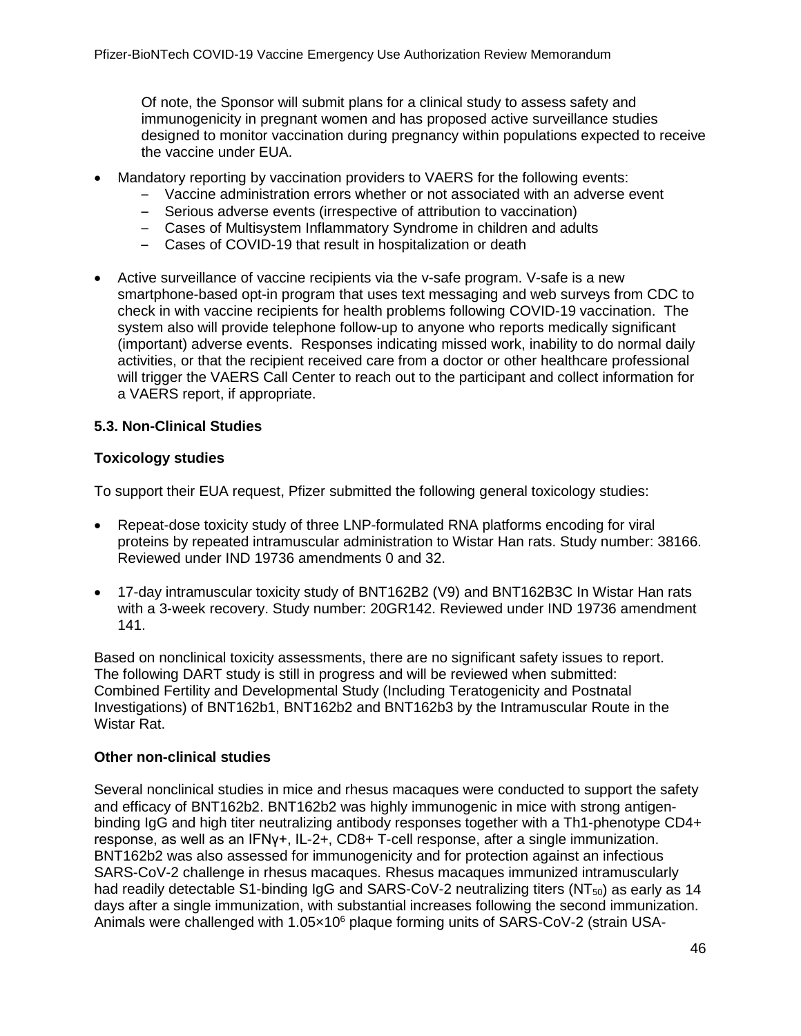Of note, the Sponsor will submit plans for a clinical study to assess safety and immunogenicity in pregnant women and has proposed active surveillance studies designed to monitor vaccination during pregnancy within populations expected to receive the vaccine under EUA.

- Mandatory reporting by vaccination providers to VAERS for the following events:
	- Vaccine administration errors whether or not associated with an adverse event
	- Serious adverse events (irrespective of attribution to vaccination)
	- Cases of Multisystem Inflammatory Syndrome in children and adults
	- Cases of COVID-19 that result in hospitalization or death
- Active surveillance of vaccine recipients via the v-safe program. V-safe is a new smartphone-based opt-in program that uses text messaging and web surveys from CDC to check in with vaccine recipients for health problems following COVID-19 vaccination. The system also will provide telephone follow-up to anyone who reports medically significant (important) adverse events. Responses indicating missed work, inability to do normal daily activities, or that the recipient received care from a doctor or other healthcare professional will trigger the VAERS Call Center to reach out to the participant and collect information for a VAERS report, if appropriate.

### <span id="page-45-0"></span>**5.3. Non-Clinical Studies**

### **Toxicology studies**

To support their EUA request, Pfizer submitted the following general toxicology studies:

- Repeat-dose toxicity study of three LNP-formulated RNA platforms encoding for viral proteins by repeated intramuscular administration to Wistar Han rats. Study number: 38166. Reviewed under IND 19736 amendments 0 and 32.
- 17-day intramuscular toxicity study of BNT162B2 (V9) and BNT162B3C In Wistar Han rats with a 3-week recovery. Study number: 20GR142. Reviewed under IND 19736 amendment 141.

Based on nonclinical toxicity assessments, there are no significant safety issues to report. The following DART study is still in progress and will be reviewed when submitted: Combined Fertility and Developmental Study (Including Teratogenicity and Postnatal Investigations) of BNT162b1, BNT162b2 and BNT162b3 by the Intramuscular Route in the Wistar Rat.

### **Other non-clinical studies**

Several nonclinical studies in mice and rhesus macaques were conducted to support the safety and efficacy of BNT162b2. BNT162b2 was highly immunogenic in mice with strong antigenbinding IgG and high titer neutralizing antibody responses together with a Th1-phenotype CD4+ response, as well as an IFNγ+, IL-2+, CD8+ T-cell response, after a single immunization. BNT162b2 was also assessed for immunogenicity and for protection against an infectious SARS-CoV-2 challenge in rhesus macaques. Rhesus macaques immunized intramuscularly had readily detectable S1-binding IgG and SARS-CoV-2 neutralizing titers (NT $_{50}$ ) as early as 14 days after a single immunization, with substantial increases following the second immunization. Animals were challenged with 1.05×10<sup>6</sup> plaque forming units of SARS-CoV-2 (strain USA-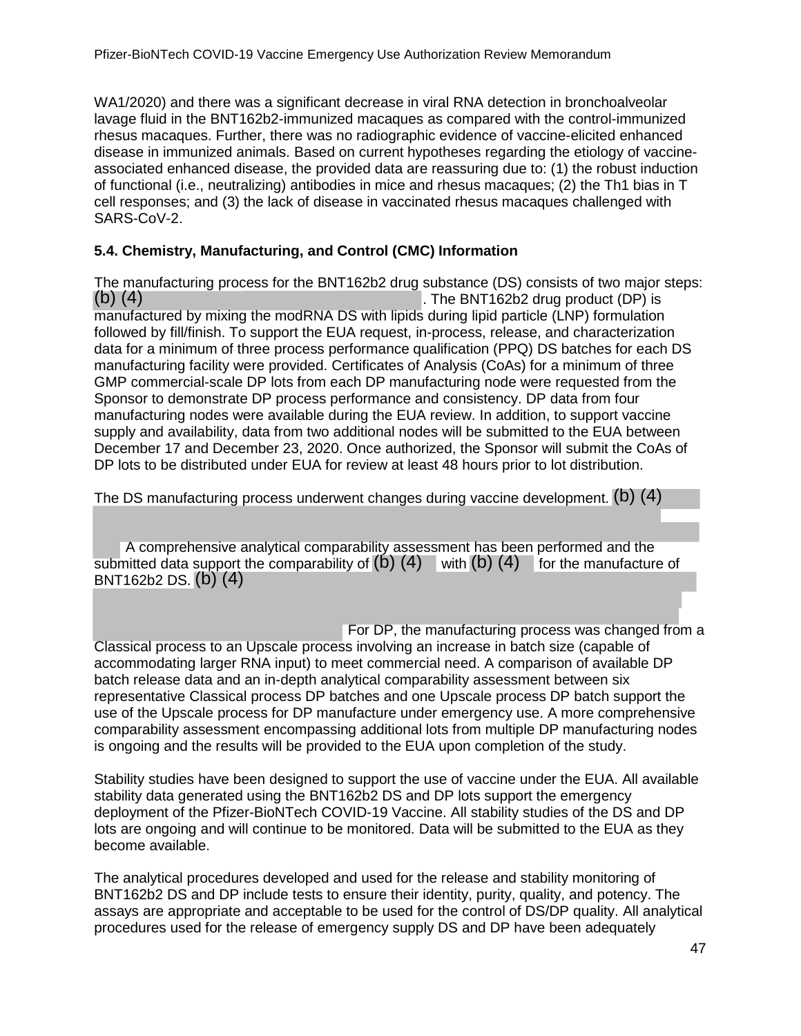WA1/2020) and there was a significant decrease in viral RNA detection in bronchoalveolar lavage fluid in the BNT162b2-immunized macaques as compared with the control-immunized rhesus macaques. Further, there was no radiographic evidence of vaccine-elicited enhanced disease in immunized animals. Based on current hypotheses regarding the etiology of vaccineassociated enhanced disease, the provided data are reassuring due to: (1) the robust induction of functional (i.e., neutralizing) antibodies in mice and rhesus macaques; (2) the Th1 bias in T cell responses; and (3) the lack of disease in vaccinated rhesus macaques challenged with SARS-CoV-2.

### <span id="page-46-0"></span>**5.4. Chemistry, Manufacturing, and Control (CMC) Information**

The manufacturing process for the BNT162b2 drug substance (DS) consists of two major steps:<br>(b) (4) (b) (4) . The BNT162b2 drug product (DP) is manufactured by mixing the modRNA DS with lipids during lipid particle (LNP) formulation followed by fill/finish. To support the EUA request, in-process, release, and characterization data for a minimum of three process performance qualification (PPQ) DS batches for each DS manufacturing facility were provided. Certificates of Analysis (CoAs) for a minimum of three GMP commercial-scale DP lots from each DP manufacturing node were requested from the Sponsor to demonstrate DP process performance and consistency. DP data from four manufacturing nodes were available during the EUA review. In addition, to support vaccine supply and availability, data from two additional nodes will be submitted to the EUA between December 17 and December 23, 2020. Once authorized, the Sponsor will submit the CoAs of DP lots to be distributed under EUA for review at least 48 hours prior to lot distribution.

The DS manufacturing process underwent changes during vaccine development. (b) (4)

 A comprehensive analytical comparability assessment has been performed and the submitted data support the comparability of  $(b)$   $(4)$  with  $(b)$   $(4)$  for the manufacture of BNT162b2 DS. (b) (4)

 For DP, the manufacturing process was changed from a Classical process to an Upscale process involving an increase in batch size (capable of accommodating larger RNA input) to meet commercial need. A comparison of available DP batch release data and an in-depth analytical comparability assessment between six representative Classical process DP batches and one Upscale process DP batch support the use of the Upscale process for DP manufacture under emergency use. A more comprehensive comparability assessment encompassing additional lots from multiple DP manufacturing nodes is ongoing and the results will be provided to the EUA upon completion of the study.

Stability studies have been designed to support the use of vaccine under the EUA. All available stability data generated using the BNT162b2 DS and DP lots support the emergency deployment of the Pfizer-BioNTech COVID-19 Vaccine. All stability studies of the DS and DP lots are ongoing and will continue to be monitored. Data will be submitted to the EUA as they become available.

The analytical procedures developed and used for the release and stability monitoring of BNT162b2 DS and DP include tests to ensure their identity, purity, quality, and potency. The assays are appropriate and acceptable to be used for the control of DS/DP quality. All analytical procedures used for the release of emergency supply DS and DP have been adequately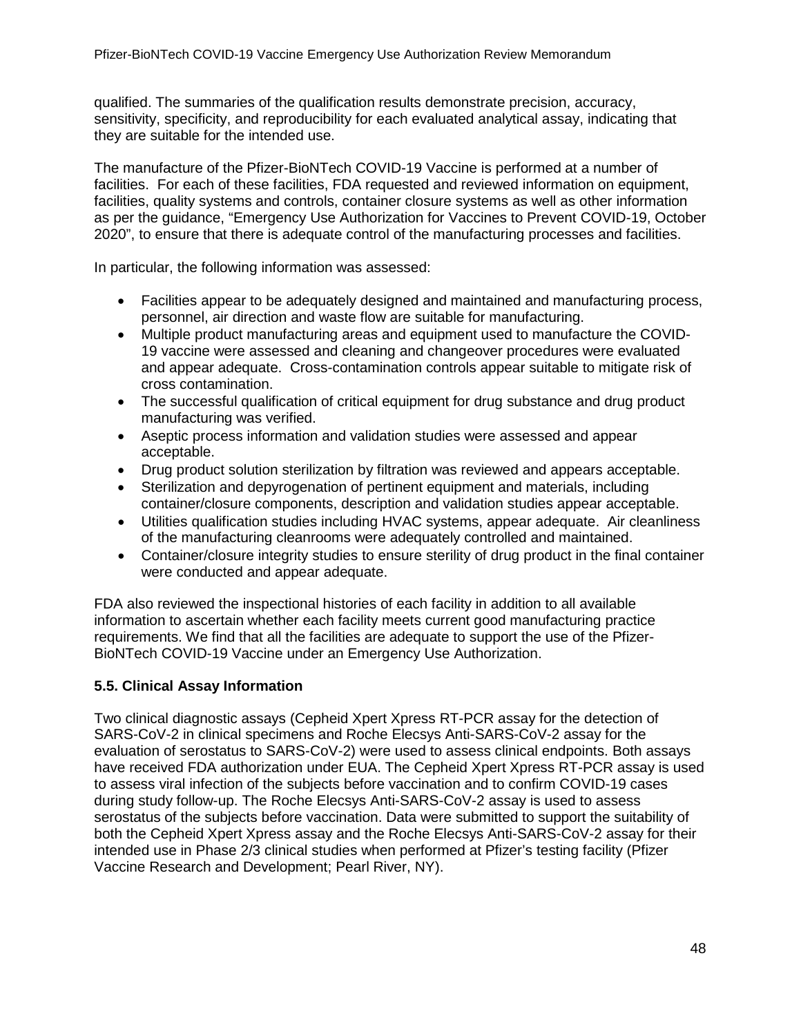<span id="page-47-1"></span>qualified. The summaries of the qualification results demonstrate precision, accuracy, sensitivity, specificity, and reproducibility for each evaluated analytical assay, indicating that they are suitable for the intended use.

The manufacture of the Pfizer-BioNTech COVID-19 Vaccine is performed at a number of facilities. For each of these facilities, FDA requested and reviewed information on equipment, facilities, quality systems and controls, container closure systems as well as other information as per the guidance, "Emergency Use Authorization for Vaccines to Prevent COVID-19, October 2020", to ensure that there is adequate control of the manufacturing processes and facilities.

In particular, the following information was assessed:

- Facilities appear to be adequately designed and maintained and manufacturing process, personnel, air direction and waste flow are suitable for manufacturing.
- Multiple product manufacturing areas and equipment used to manufacture the COVID-19 vaccine were assessed and cleaning and changeover procedures were evaluated and appear adequate. Cross-contamination controls appear suitable to mitigate risk of cross contamination.
- The successful qualification of critical equipment for drug substance and drug product manufacturing was verified.
- Aseptic process information and validation studies were assessed and appear acceptable.
- Drug product solution sterilization by filtration was reviewed and appears acceptable.
- Sterilization and depyrogenation of pertinent equipment and materials, including container/closure components, description and validation studies appear acceptable.
- Utilities qualification studies including HVAC systems, appear adequate. Air cleanliness of the manufacturing cleanrooms were adequately controlled and maintained.
- Container/closure integrity studies to ensure sterility of drug product in the final container were conducted and appear adequate.

FDA also reviewed the inspectional histories of each facility in addition to all available information to ascertain whether each facility meets current good manufacturing practice requirements. We find that all the facilities are adequate to support the use of the Pfizer-BioNTech COVID-19 Vaccine under an Emergency Use Authorization.

# <span id="page-47-0"></span>**5.5. Clinical Assay Information**

Two clinical diagnostic assays (Cepheid Xpert Xpress RT-PCR assay for the detection of SARS-CoV-2 in clinical specimens and Roche Elecsys Anti-SARS-CoV-2 assay for the evaluation of serostatus to SARS-CoV-2) were used to assess clinical endpoints. Both assays have received FDA authorization under EUA. The Cepheid Xpert Xpress RT-PCR assay is used to assess viral infection of the subjects before vaccination and to confirm COVID-19 cases during study follow-up. The Roche Elecsys Anti-SARS-CoV-2 assay is used to assess serostatus of the subjects before vaccination. Data were submitted to support the suitability of both the Cepheid Xpert Xpress assay and the Roche Elecsys Anti-SARS-CoV-2 assay for their intended use in Phase 2/3 clinical studies when performed at Pfizer's testing facility (Pfizer Vaccine Research and Development; Pearl River, NY).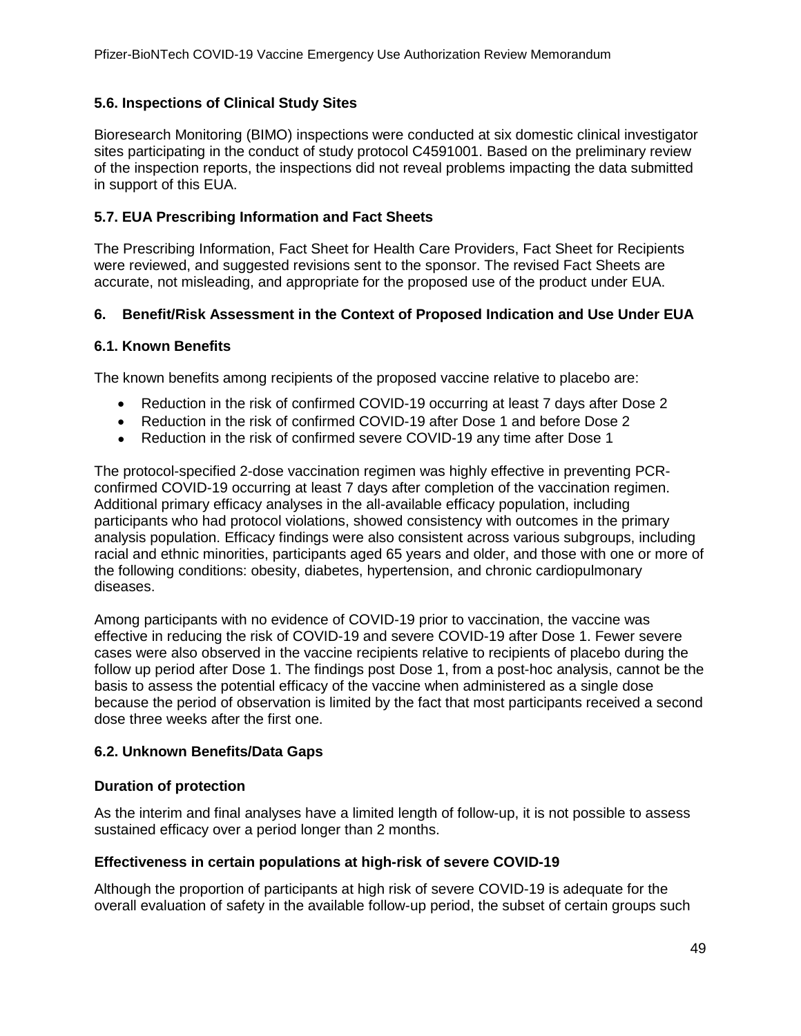### **5.6. Inspections of Clinical Study Sites**

Bioresearch Monitoring (BIMO) inspections were conducted at six domestic clinical investigator sites participating in the conduct of study protocol C4591001. Based on the preliminary review of the inspection reports, the inspections did not reveal problems impacting the data submitted in support of this EUA.

### <span id="page-48-0"></span>**5.7. EUA Prescribing Information and Fact Sheets**

The Prescribing Information, Fact Sheet for Health Care Providers, Fact Sheet for Recipients were reviewed, and suggested revisions sent to the sponsor. The revised Fact Sheets are accurate, not misleading, and appropriate for the proposed use of the product under EUA.

### <span id="page-48-1"></span>**6. Benefit/Risk Assessment in the Context of Proposed Indication and Use Under EUA**

### <span id="page-48-2"></span>**6.1. Known Benefits**

The known benefits among recipients of the proposed vaccine relative to placebo are:

- Reduction in the risk of confirmed COVID-19 occurring at least 7 days after Dose 2
- Reduction in the risk of confirmed COVID-19 after Dose 1 and before Dose 2
- Reduction in the risk of confirmed severe COVID-19 any time after Dose 1

The protocol-specified 2-dose vaccination regimen was highly effective in preventing PCRconfirmed COVID-19 occurring at least 7 days after completion of the vaccination regimen. Additional primary efficacy analyses in the all-available efficacy population, including participants who had protocol violations, showed consistency with outcomes in the primary analysis population. Efficacy findings were also consistent across various subgroups, including racial and ethnic minorities, participants aged 65 years and older, and those with one or more of the following conditions: obesity, diabetes, hypertension, and chronic cardiopulmonary diseases.

Among participants with no evidence of COVID-19 prior to vaccination, the vaccine was effective in reducing the risk of COVID-19 and severe COVID-19 after Dose 1. Fewer severe cases were also observed in the vaccine recipients relative to recipients of placebo during the follow up period after Dose 1. The findings post Dose 1, from a post-hoc analysis, cannot be the basis to assess the potential efficacy of the vaccine when administered as a single dose because the period of observation is limited by the fact that most participants received a second dose three weeks after the first one.

### <span id="page-48-3"></span>**6.2. Unknown Benefits/Data Gaps**

### **Duration of protection**

As the interim and final analyses have a limited length of follow-up, it is not possible to assess sustained efficacy over a period longer than 2 months.

### **Effectiveness in certain populations at high-risk of severe COVID-19**

Although the proportion of participants at high risk of severe COVID-19 is adequate for the overall evaluation of safety in the available follow-up period, the subset of certain groups such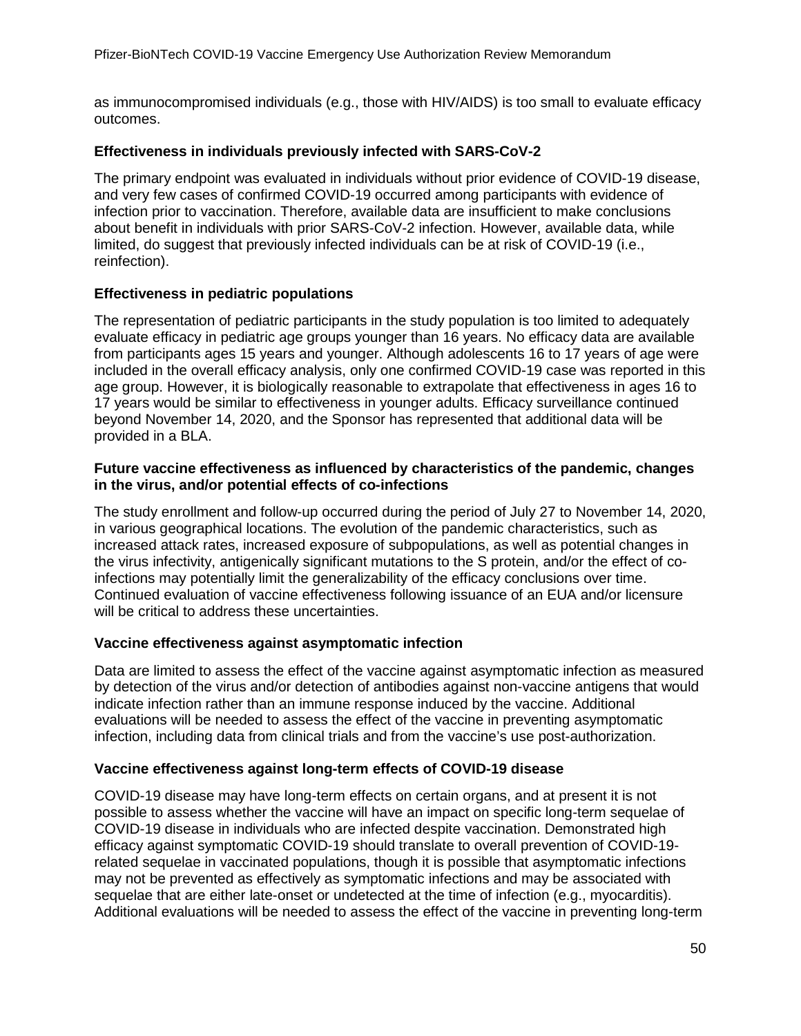as immunocompromised individuals (e.g., those with HIV/AIDS) is too small to evaluate efficacy outcomes.

### **Effectiveness in individuals previously infected with SARS-CoV-2**

The primary endpoint was evaluated in individuals without prior evidence of COVID-19 disease, and very few cases of confirmed COVID-19 occurred among participants with evidence of infection prior to vaccination. Therefore, available data are insufficient to make conclusions about benefit in individuals with prior SARS-CoV-2 infection. However, available data, while limited, do suggest that previously infected individuals can be at risk of COVID-19 (i.e., reinfection).

### **Effectiveness in pediatric populations**

The representation of pediatric participants in the study population is too limited to adequately evaluate efficacy in pediatric age groups younger than 16 years. No efficacy data are available from participants ages 15 years and younger. Although adolescents 16 to 17 years of age were included in the overall efficacy analysis, only one confirmed COVID-19 case was reported in this age group. However, it is biologically reasonable to extrapolate that effectiveness in ages 16 to 17 years would be similar to effectiveness in younger adults. Efficacy surveillance continued beyond November 14, 2020, and the Sponsor has represented that additional data will be provided in a BLA.

#### **Future vaccine effectiveness as influenced by characteristics of the pandemic, changes in the virus, and/or potential effects of co-infections**

The study enrollment and follow-up occurred during the period of July 27 to November 14, 2020, in various geographical locations. The evolution of the pandemic characteristics, such as increased attack rates, increased exposure of subpopulations, as well as potential changes in the virus infectivity, antigenically significant mutations to the S protein, and/or the effect of coinfections may potentially limit the generalizability of the efficacy conclusions over time. Continued evaluation of vaccine effectiveness following issuance of an EUA and/or licensure will be critical to address these uncertainties.

#### **Vaccine effectiveness against asymptomatic infection**

Data are limited to assess the effect of the vaccine against asymptomatic infection as measured by detection of the virus and/or detection of antibodies against non-vaccine antigens that would indicate infection rather than an immune response induced by the vaccine. Additional evaluations will be needed to assess the effect of the vaccine in preventing asymptomatic infection, including data from clinical trials and from the vaccine's use post-authorization.

### **Vaccine effectiveness against long-term effects of COVID-19 disease**

COVID-19 disease may have long-term effects on certain organs, and at present it is not possible to assess whether the vaccine will have an impact on specific long-term sequelae of COVID-19 disease in individuals who are infected despite vaccination. Demonstrated high efficacy against symptomatic COVID-19 should translate to overall prevention of COVID-19 related sequelae in vaccinated populations, though it is possible that asymptomatic infections may not be prevented as effectively as symptomatic infections and may be associated with sequelae that are either late-onset or undetected at the time of infection (e.g., myocarditis). Additional evaluations will be needed to assess the effect of the vaccine in preventing long-term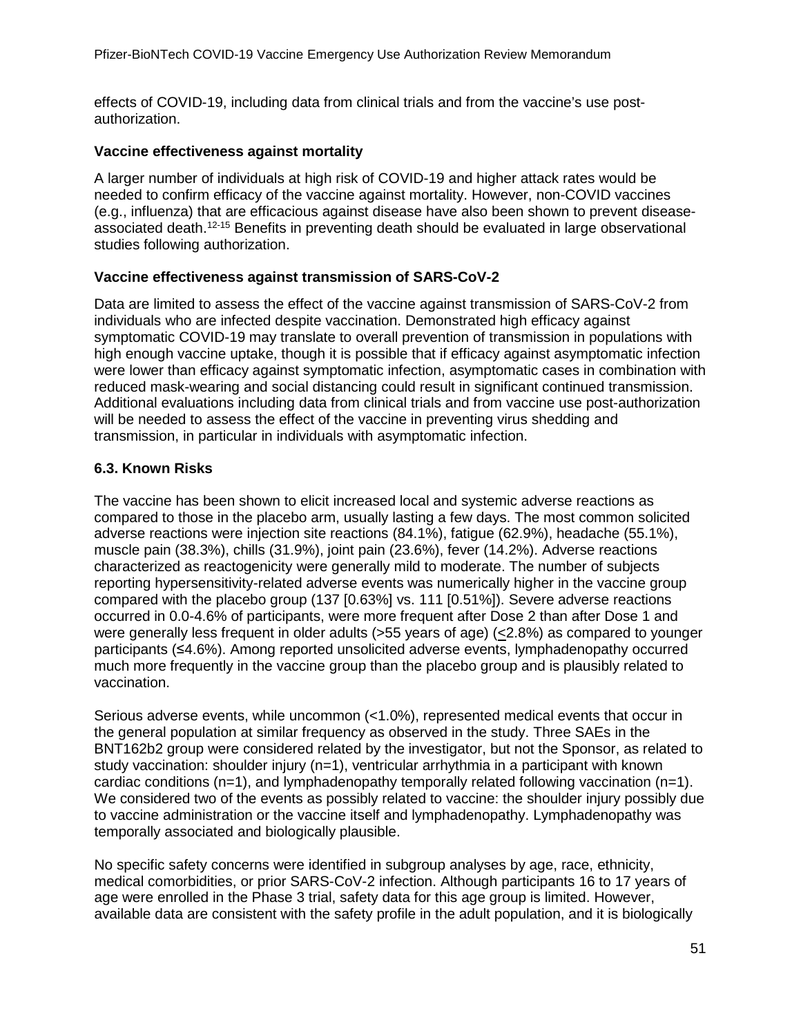effects of COVID-19, including data from clinical trials and from the vaccine's use postauthorization.

### **Vaccine effectiveness against mortality**

A larger number of individuals at high risk of COVID-19 and higher attack rates would be needed to confirm efficacy of the vaccine against mortality. However, non-COVID vaccines (e.g., influenza) that are efficacious against disease have also been shown to prevent diseaseassociated death[.12-15](#page-55-9) Benefits in preventing death should be evaluated in large observational studies following authorization.

### **Vaccine effectiveness against transmission of SARS-CoV-2**

Data are limited to assess the effect of the vaccine against transmission of SARS-CoV-2 from individuals who are infected despite vaccination. Demonstrated high efficacy against symptomatic COVID-19 may translate to overall prevention of transmission in populations with high enough vaccine uptake, though it is possible that if efficacy against asymptomatic infection were lower than efficacy against symptomatic infection, asymptomatic cases in combination with reduced mask-wearing and social distancing could result in significant continued transmission. Additional evaluations including data from clinical trials and from vaccine use post-authorization will be needed to assess the effect of the vaccine in preventing virus shedding and transmission, in particular in individuals with asymptomatic infection.

### <span id="page-50-0"></span>**6.3. Known Risks**

The vaccine has been shown to elicit increased local and systemic adverse reactions as compared to those in the placebo arm, usually lasting a few days. The most common solicited adverse reactions were injection site reactions (84.1%), fatigue (62.9%), headache (55.1%), muscle pain (38.3%), chills (31.9%), joint pain (23.6%), fever (14.2%). Adverse reactions characterized as reactogenicity were generally mild to moderate. The number of subjects reporting hypersensitivity-related adverse events was numerically higher in the vaccine group compared with the placebo group (137 [0.63%] vs. 111 [0.51%]). Severe adverse reactions occurred in 0.0-4.6% of participants, were more frequent after Dose 2 than after Dose 1 and were generally less frequent in older adults ( $>55$  years of age) ( $\leq$ 2.8%) as compared to younger participants (≤4.6%). Among reported unsolicited adverse events, lymphadenopathy occurred much more frequently in the vaccine group than the placebo group and is plausibly related to vaccination.

Serious adverse events, while uncommon (<1.0%), represented medical events that occur in the general population at similar frequency as observed in the study. Three SAEs in the BNT162b2 group were considered related by the investigator, but not the Sponsor, as related to study vaccination: shoulder injury  $(n=1)$ , ventricular arrhythmia in a participant with known cardiac conditions  $(n=1)$ , and lymphadenopathy temporally related following vaccination  $(n=1)$ . We considered two of the events as possibly related to vaccine: the shoulder injury possibly due to vaccine administration or the vaccine itself and lymphadenopathy. Lymphadenopathy was temporally associated and biologically plausible.

No specific safety concerns were identified in subgroup analyses by age, race, ethnicity, medical comorbidities, or prior SARS-CoV-2 infection. Although participants 16 to 17 years of age were enrolled in the Phase 3 trial, safety data for this age group is limited. However, available data are consistent with the safety profile in the adult population, and it is biologically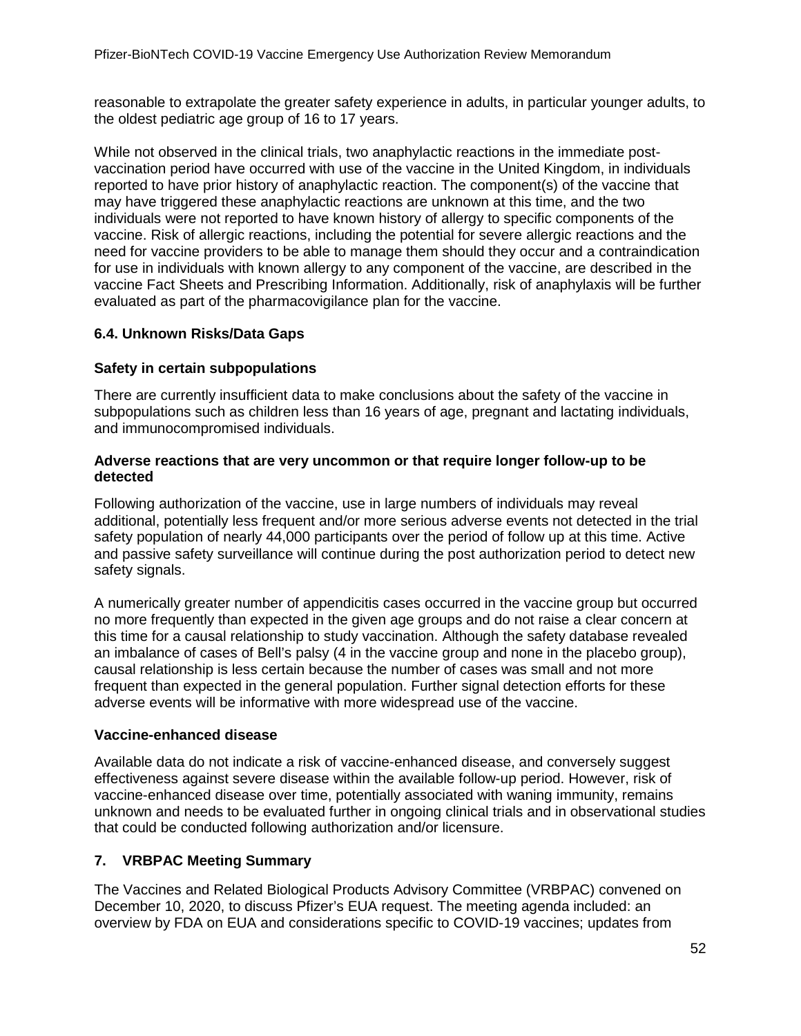reasonable to extrapolate the greater safety experience in adults, in particular younger adults, to the oldest pediatric age group of 16 to 17 years.

While not observed in the clinical trials, two anaphylactic reactions in the immediate postvaccination period have occurred with use of the vaccine in the United Kingdom, in individuals reported to have prior history of anaphylactic reaction. The component(s) of the vaccine that may have triggered these anaphylactic reactions are unknown at this time, and the two individuals were not reported to have known history of allergy to specific components of the vaccine. Risk of allergic reactions, including the potential for severe allergic reactions and the need for vaccine providers to be able to manage them should they occur and a contraindication for use in individuals with known allergy to any component of the vaccine, are described in the vaccine Fact Sheets and Prescribing Information. Additionally, risk of anaphylaxis will be further evaluated as part of the pharmacovigilance plan for the vaccine.

### <span id="page-51-0"></span>**6.4. Unknown Risks/Data Gaps**

#### **Safety in certain subpopulations**

There are currently insufficient data to make conclusions about the safety of the vaccine in subpopulations such as children less than 16 years of age, pregnant and lactating individuals, and immunocompromised individuals.

#### **Adverse reactions that are very uncommon or that require longer follow-up to be detected**

Following authorization of the vaccine, use in large numbers of individuals may reveal additional, potentially less frequent and/or more serious adverse events not detected in the trial safety population of nearly 44,000 participants over the period of follow up at this time. Active and passive safety surveillance will continue during the post authorization period to detect new safety signals.

A numerically greater number of appendicitis cases occurred in the vaccine group but occurred no more frequently than expected in the given age groups and do not raise a clear concern at this time for a causal relationship to study vaccination. Although the safety database revealed an imbalance of cases of Bell's palsy (4 in the vaccine group and none in the placebo group), causal relationship is less certain because the number of cases was small and not more frequent than expected in the general population. Further signal detection efforts for these adverse events will be informative with more widespread use of the vaccine.

#### **Vaccine-enhanced disease**

Available data do not indicate a risk of vaccine-enhanced disease, and conversely suggest effectiveness against severe disease within the available follow-up period. However, risk of vaccine-enhanced disease over time, potentially associated with waning immunity, remains unknown and needs to be evaluated further in ongoing clinical trials and in observational studies that could be conducted following authorization and/or licensure.

### <span id="page-51-1"></span>**7. VRBPAC Meeting Summary**

The Vaccines and Related Biological Products Advisory Committee (VRBPAC) convened on December 10, 2020, to discuss Pfizer's EUA request. The meeting agenda included: an overview by FDA on EUA and considerations specific to COVID-19 vaccines; updates from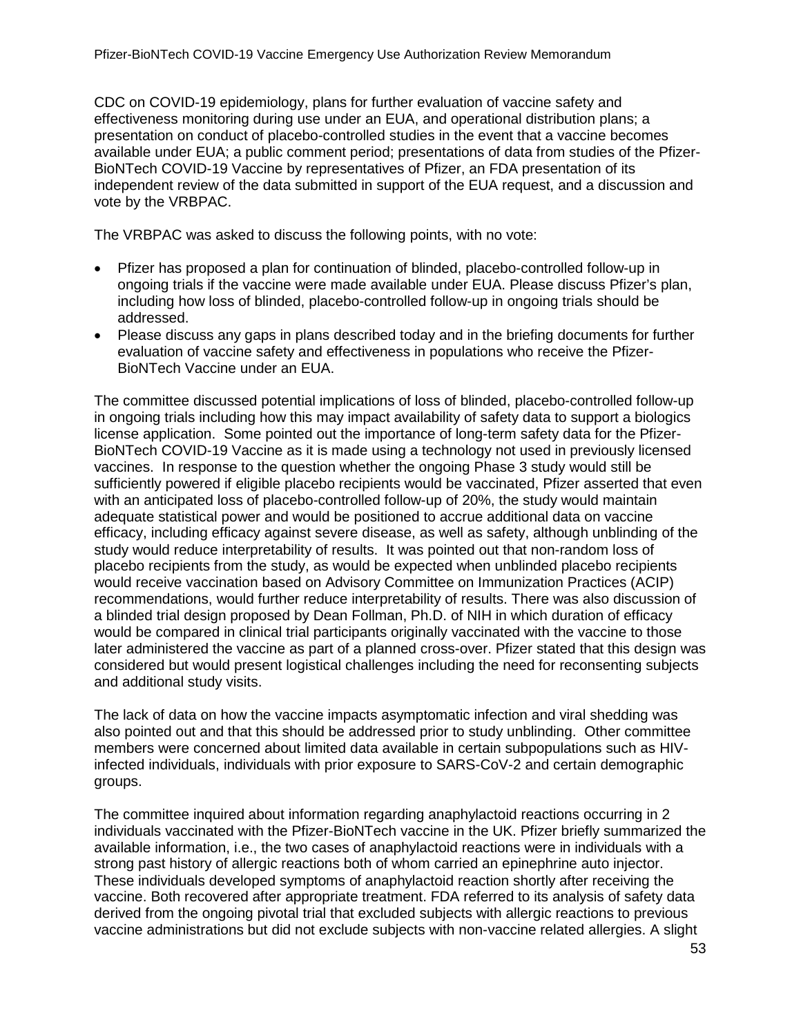CDC on COVID-19 epidemiology, plans for further evaluation of vaccine safety and effectiveness monitoring during use under an EUA, and operational distribution plans; a presentation on conduct of placebo-controlled studies in the event that a vaccine becomes available under EUA; a public comment period; presentations of data from studies of the Pfizer-BioNTech COVID-19 Vaccine by representatives of Pfizer, an FDA presentation of its independent review of the data submitted in support of the EUA request, and a discussion and vote by the VRBPAC.

The VRBPAC was asked to discuss the following points, with no vote:

- Pfizer has proposed a plan for continuation of blinded, placebo-controlled follow-up in ongoing trials if the vaccine were made available under EUA. Please discuss Pfizer's plan, including how loss of blinded, placebo-controlled follow-up in ongoing trials should be addressed.
- Please discuss any gaps in plans described today and in the briefing documents for further evaluation of vaccine safety and effectiveness in populations who receive the Pfizer-BioNTech Vaccine under an EUA.

The committee discussed potential implications of loss of blinded, placebo-controlled follow-up in ongoing trials including how this may impact availability of safety data to support a biologics license application. Some pointed out the importance of long-term safety data for the Pfizer-BioNTech COVID-19 Vaccine as it is made using a technology not used in previously licensed vaccines. In response to the question whether the ongoing Phase 3 study would still be sufficiently powered if eligible placebo recipients would be vaccinated, Pfizer asserted that even with an anticipated loss of placebo-controlled follow-up of 20%, the study would maintain adequate statistical power and would be positioned to accrue additional data on vaccine efficacy, including efficacy against severe disease, as well as safety, although unblinding of the study would reduce interpretability of results. It was pointed out that non-random loss of placebo recipients from the study, as would be expected when unblinded placebo recipients would receive vaccination based on Advisory Committee on Immunization Practices (ACIP) recommendations, would further reduce interpretability of results. There was also discussion of a blinded trial design proposed by Dean Follman, Ph.D. of NIH in which duration of efficacy would be compared in clinical trial participants originally vaccinated with the vaccine to those later administered the vaccine as part of a planned cross-over. Pfizer stated that this design was considered but would present logistical challenges including the need for reconsenting subjects and additional study visits.

The lack of data on how the vaccine impacts asymptomatic infection and viral shedding was also pointed out and that this should be addressed prior to study unblinding. Other committee members were concerned about limited data available in certain subpopulations such as HIVinfected individuals, individuals with prior exposure to SARS-CoV-2 and certain demographic groups.

The committee inquired about information regarding anaphylactoid reactions occurring in 2 individuals vaccinated with the Pfizer-BioNTech vaccine in the UK. Pfizer briefly summarized the available information, i.e., the two cases of anaphylactoid reactions were in individuals with a strong past history of allergic reactions both of whom carried an epinephrine auto injector. These individuals developed symptoms of anaphylactoid reaction shortly after receiving the vaccine. Both recovered after appropriate treatment. FDA referred to its analysis of safety data derived from the ongoing pivotal trial that excluded subjects with allergic reactions to previous vaccine administrations but did not exclude subjects with non-vaccine related allergies. A slight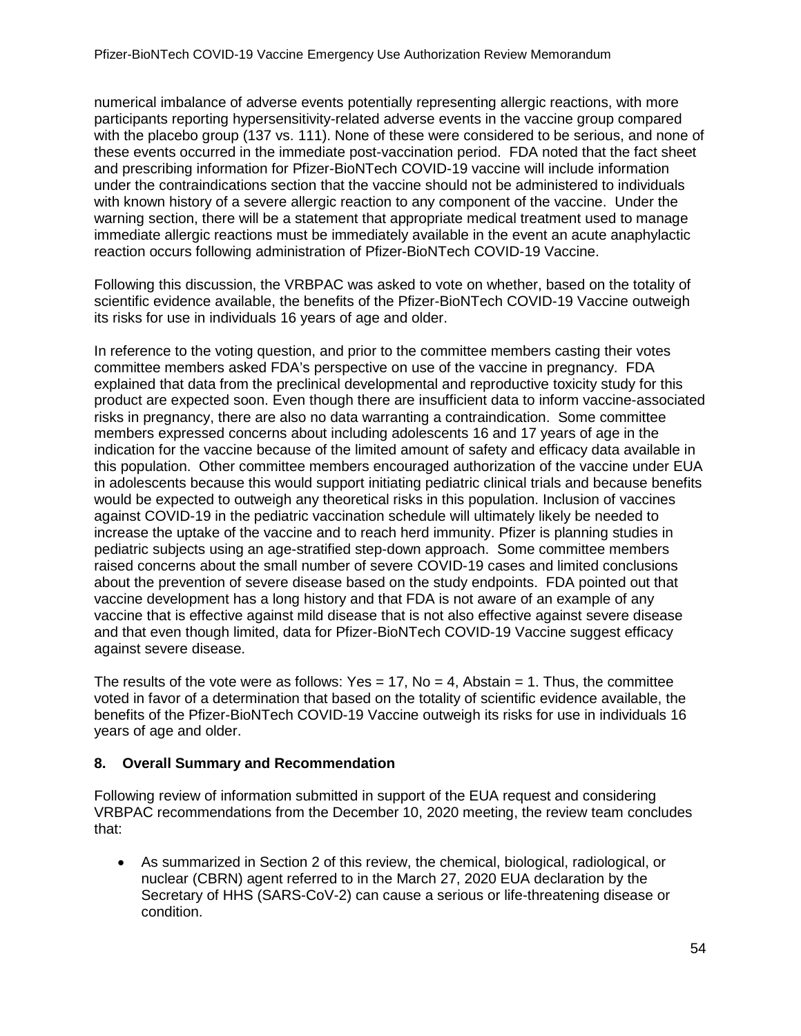numerical imbalance of adverse events potentially representing allergic reactions, with more participants reporting hypersensitivity-related adverse events in the vaccine group compared with the placebo group (137 vs. 111). None of these were considered to be serious, and none of these events occurred in the immediate post-vaccination period. FDA noted that the fact sheet and prescribing information for Pfizer-BioNTech COVID-19 vaccine will include information under the contraindications section that the vaccine should not be administered to individuals with known history of a severe allergic reaction to any component of the vaccine. Under the warning section, there will be a statement that appropriate medical treatment used to manage immediate allergic reactions must be immediately available in the event an acute anaphylactic reaction occurs following administration of Pfizer-BioNTech COVID-19 Vaccine.

Following this discussion, the VRBPAC was asked to vote on whether, based on the totality of scientific evidence available, the benefits of the Pfizer-BioNTech COVID-19 Vaccine outweigh its risks for use in individuals 16 years of age and older.

In reference to the voting question, and prior to the committee members casting their votes committee members asked FDA's perspective on use of the vaccine in pregnancy. FDA explained that data from the preclinical developmental and reproductive toxicity study for this product are expected soon. Even though there are insufficient data to inform vaccine-associated risks in pregnancy, there are also no data warranting a contraindication. Some committee members expressed concerns about including adolescents 16 and 17 years of age in the indication for the vaccine because of the limited amount of safety and efficacy data available in this population. Other committee members encouraged authorization of the vaccine under EUA in adolescents because this would support initiating pediatric clinical trials and because benefits would be expected to outweigh any theoretical risks in this population. Inclusion of vaccines against COVID-19 in the pediatric vaccination schedule will ultimately likely be needed to increase the uptake of the vaccine and to reach herd immunity. Pfizer is planning studies in pediatric subjects using an age-stratified step-down approach. Some committee members raised concerns about the small number of severe COVID-19 cases and limited conclusions about the prevention of severe disease based on the study endpoints. FDA pointed out that vaccine development has a long history and that FDA is not aware of an example of any vaccine that is effective against mild disease that is not also effective against severe disease and that even though limited, data for Pfizer-BioNTech COVID-19 Vaccine suggest efficacy against severe disease.

The results of the vote were as follows: Yes  $= 17$ , No  $= 4$ , Abstain  $= 1$ . Thus, the committee voted in favor of a determination that based on the totality of scientific evidence available, the benefits of the Pfizer-BioNTech COVID-19 Vaccine outweigh its risks for use in individuals 16 years of age and older.

### <span id="page-53-0"></span>**8. Overall Summary and Recommendation**

Following review of information submitted in support of the EUA request and considering VRBPAC recommendations from the December 10, 2020 meeting, the review team concludes that:

• As summarized in Section 2 of this review, the chemical, biological, radiological, or nuclear (CBRN) agent referred to in the March 27, 2020 EUA declaration by the Secretary of HHS (SARS-CoV-2) can cause a serious or life-threatening disease or condition.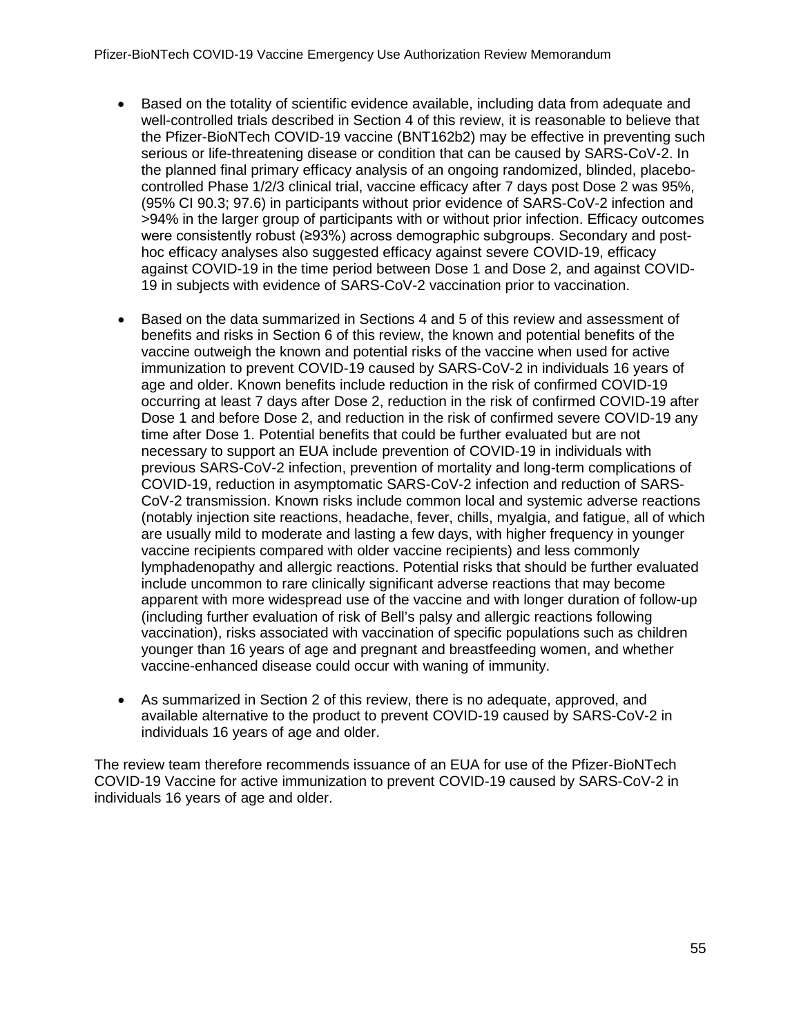- Based on the totality of scientific evidence available, including data from adequate and well-controlled trials described in Section 4 of this review, it is reasonable to believe that the Pfizer-BioNTech COVID-19 vaccine (BNT162b2) may be effective in preventing such serious or life-threatening disease or condition that can be caused by SARS-CoV-2. In the planned final primary efficacy analysis of an ongoing randomized, blinded, placebocontrolled Phase 1/2/3 clinical trial, vaccine efficacy after 7 days post Dose 2 was 95%, (95% CI 90.3; 97.6) in participants without prior evidence of SARS-CoV-2 infection and >94% in the larger group of participants with or without prior infection. Efficacy outcomes were consistently robust (≥93%) across demographic subgroups. Secondary and posthoc efficacy analyses also suggested efficacy against severe COVID-19, efficacy against COVID-19 in the time period between Dose 1 and Dose 2, and against COVID-19 in subjects with evidence of SARS-CoV-2 vaccination prior to vaccination.
- Based on the data summarized in Sections 4 and 5 of this review and assessment of benefits and risks in Section 6 of this review, the known and potential benefits of the vaccine outweigh the known and potential risks of the vaccine when used for active immunization to prevent COVID-19 caused by SARS-CoV-2 in individuals 16 years of age and older. Known benefits include reduction in the risk of confirmed COVID-19 occurring at least 7 days after Dose 2, reduction in the risk of confirmed COVID-19 after Dose 1 and before Dose 2, and reduction in the risk of confirmed severe COVID-19 any time after Dose 1. Potential benefits that could be further evaluated but are not necessary to support an EUA include prevention of COVID-19 in individuals with previous SARS-CoV-2 infection, prevention of mortality and long-term complications of COVID-19, reduction in asymptomatic SARS-CoV-2 infection and reduction of SARS-CoV-2 transmission. Known risks include common local and systemic adverse reactions (notably injection site reactions, headache, fever, chills, myalgia, and fatigue, all of which are usually mild to moderate and lasting a few days, with higher frequency in younger vaccine recipients compared with older vaccine recipients) and less commonly lymphadenopathy and allergic reactions. Potential risks that should be further evaluated include uncommon to rare clinically significant adverse reactions that may become apparent with more widespread use of the vaccine and with longer duration of follow-up (including further evaluation of risk of Bell's palsy and allergic reactions following vaccination), risks associated with vaccination of specific populations such as children younger than 16 years of age and pregnant and breastfeeding women, and whether vaccine-enhanced disease could occur with waning of immunity.
- As summarized in Section 2 of this review, there is no adequate, approved, and available alternative to the product to prevent COVID-19 caused by SARS-CoV-2 in individuals 16 years of age and older.

The review team therefore recommends issuance of an EUA for use of the Pfizer-BioNTech COVID-19 Vaccine for active immunization to prevent COVID-19 caused by SARS-CoV-2 in individuals 16 years of age and older.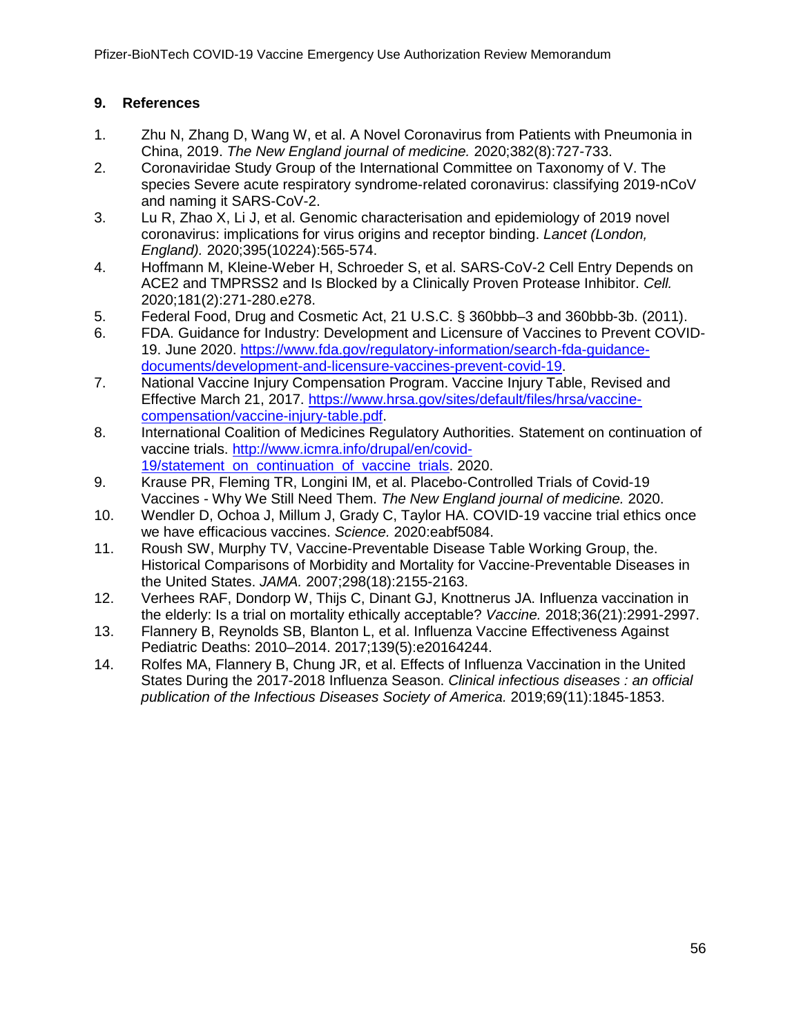# <span id="page-55-0"></span>**9. References**

- <span id="page-55-1"></span>1. Zhu N, Zhang D, Wang W, et al. A Novel Coronavirus from Patients with Pneumonia in China, 2019. *The New England journal of medicine.* 2020;382(8):727-733.
- <span id="page-55-2"></span>2. Coronaviridae Study Group of the International Committee on Taxonomy of V. The species Severe acute respiratory syndrome-related coronavirus: classifying 2019-nCoV and naming it SARS-CoV-2.
- <span id="page-55-3"></span>3. Lu R, Zhao X, Li J, et al. Genomic characterisation and epidemiology of 2019 novel coronavirus: implications for virus origins and receptor binding. *Lancet (London, England).* 2020;395(10224):565-574.
- <span id="page-55-4"></span>4. Hoffmann M, Kleine-Weber H, Schroeder S, et al. SARS-CoV-2 Cell Entry Depends on ACE2 and TMPRSS2 and Is Blocked by a Clinically Proven Protease Inhibitor. *Cell.*  2020;181(2):271-280.e278.
- <span id="page-55-5"></span>5. Federal Food, Drug and Cosmetic Act, 21 U.S.C. § 360bbb–3 and 360bbb-3b. (2011).
- <span id="page-55-6"></span>6. FDA. Guidance for Industry: Development and Licensure of Vaccines to Prevent COVID-19. June 2020. [https://www.fda.gov/regulatory-information/search-fda-guidance](https://www.fda.gov/regulatory-information/search-fda-guidance-documents/development-and-licensure-vaccines-prevent-covid-19)[documents/development-and-licensure-vaccines-prevent-covid-19.](https://www.fda.gov/regulatory-information/search-fda-guidance-documents/development-and-licensure-vaccines-prevent-covid-19)
- <span id="page-55-7"></span>7. National Vaccine Injury Compensation Program. Vaccine Injury Table, Revised and Effective March 21, 2017. [https://www.hrsa.gov/sites/default/files/hrsa/vaccine](https://www.hrsa.gov/sites/default/files/hrsa/vaccine-compensation/vaccine-injury-table.pdf)[compensation/vaccine-injury-table.pdf.](https://www.hrsa.gov/sites/default/files/hrsa/vaccine-compensation/vaccine-injury-table.pdf)
- <span id="page-55-8"></span>8. International Coalition of Medicines Regulatory Authorities. Statement on continuation of vaccine trials. [http://www.icmra.info/drupal/en/covid-](http://www.icmra.info/drupal/en/covid-19/statement_on_continuation_of_vaccine_trials)[19/statement on continuation of vaccine trials.](http://www.icmra.info/drupal/en/covid-19/statement_on_continuation_of_vaccine_trials) 2020.
- 9. Krause PR, Fleming TR, Longini IM, et al. Placebo-Controlled Trials of Covid-19 Vaccines - Why We Still Need Them. *The New England journal of medicine.* 2020.
- 10. Wendler D, Ochoa J, Millum J, Grady C, Taylor HA. COVID-19 vaccine trial ethics once we have efficacious vaccines. *Science.* 2020:eabf5084.
- 11. Roush SW, Murphy TV, Vaccine-Preventable Disease Table Working Group, the. Historical Comparisons of Morbidity and Mortality for Vaccine-Preventable Diseases in the United States. *JAMA.* 2007;298(18):2155-2163.
- <span id="page-55-9"></span>12. Verhees RAF, Dondorp W, Thijs C, Dinant GJ, Knottnerus JA. Influenza vaccination in the elderly: Is a trial on mortality ethically acceptable? *Vaccine.* 2018;36(21):2991-2997.
- 13. Flannery B, Reynolds SB, Blanton L, et al. Influenza Vaccine Effectiveness Against Pediatric Deaths: 2010–2014. 2017;139(5):e20164244.
- 14. Rolfes MA, Flannery B, Chung JR, et al. Effects of Influenza Vaccination in the United States During the 2017-2018 Influenza Season. *Clinical infectious diseases : an official publication of the Infectious Diseases Society of America.* 2019;69(11):1845-1853.